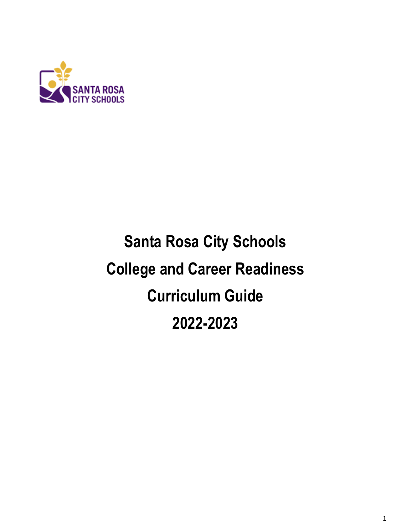

# **Santa Rosa City Schools College and Career Readiness Curriculum Guide 2022-2023**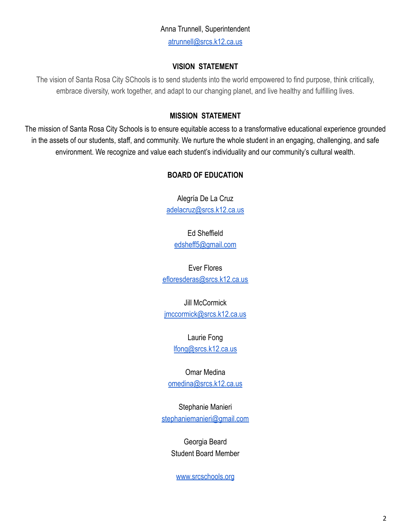## Anna Trunnell, Superintendent

[atrunnell@srcs.k12.ca.us](mailto:atrunnell@srcs.k12.ca.us)

#### **VISION STATEMENT**

The vision of Santa Rosa City SChools is to send students into the world empowered to find purpose, think critically, embrace diversity, work together, and adapt to our changing planet, and live healthy and fulfilling lives.

#### **MISSION STATEMENT**

The mission of Santa Rosa City Schools is to ensure equitable access to a transformative educational experience grounded in the assets of our students, staff, and community. We nurture the whole student in an engaging, challenging, and safe environment. We recognize and value each student's individuality and our community's cultural wealth.

#### **BOARD OF EDUCATION**

Alegría De La Cruz [adelacruz@srcs.k12.ca.us](mailto:adelacruz@srcs.k12.ca.us)

Ed Sheffield [edsheff5@gmail.com](mailto:edsheff5@gmail.com)

Ever Flores [efloresderas@srcs.k12.ca.us](mailto:efloresderas@srcs.k12.ca.us)

Jill McCormick [jmccormick@srcs.k12.ca.us](mailto:jmccormick@srcs.k12.ca.us)

> Laurie Fong [lfong@srcs.k12.ca.us](mailto:lfong@srcs.k12.ca.us)

Omar Medina [omedina@srcs.k12.ca.us](mailto:omedina@srcs.k12.ca.us)

Stephanie Manieri [stephaniemanieri@gmail.com](mailto:stephaniemanieri@gmail.com)

> Georgia Beard Student Board Member

[www.srcschools.org](http://www.srcschools.org)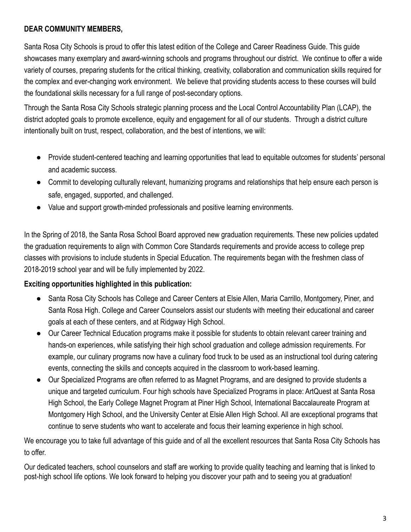#### **DEAR COMMUNITY MEMBERS,**

Santa Rosa City Schools is proud to offer this latest edition of the College and Career Readiness Guide. This guide showcases many exemplary and award-winning schools and programs throughout our district. We continue to offer a wide variety of courses, preparing students for the critical thinking, creativity, collaboration and communication skills required for the complex and ever-changing work environment. We believe that providing students access to these courses will build the foundational skills necessary for a full range of post-secondary options.

Through the Santa Rosa City Schools strategic planning process and the Local Control Accountability Plan (LCAP), the district adopted goals to promote excellence, equity and engagement for all of our students. Through a district culture intentionally built on trust, respect, collaboration, and the best of intentions, we will:

- Provide student-centered teaching and learning opportunities that lead to equitable outcomes for students' personal and academic success.
- Commit to developing culturally relevant, humanizing programs and relationships that help ensure each person is safe, engaged, supported, and challenged.
- Value and support growth-minded professionals and positive learning environments.

In the Spring of 2018, the Santa Rosa School Board approved new graduation requirements. These new policies updated the graduation requirements to align with Common Core Standards requirements and provide access to college prep classes with provisions to include students in Special Education. The requirements began with the freshmen class of 2018-2019 school year and will be fully implemented by 2022.

#### **Exciting opportunities highlighted in this publication:**

- Santa Rosa City Schools has College and Career Centers at Elsie Allen, Maria Carrillo, Montgomery, Piner, and Santa Rosa High. College and Career Counselors assist our students with meeting their educational and career goals at each of these centers, and at Ridgway High School.
- Our Career Technical Education programs make it possible for students to obtain relevant career training and hands-on experiences, while satisfying their high school graduation and college admission requirements. For example, our culinary programs now have a culinary food truck to be used as an instructional tool during catering events, connecting the skills and concepts acquired in the classroom to work-based learning.
- Our Specialized Programs are often referred to as Magnet Programs, and are designed to provide students a unique and targeted curriculum. Four high schools have Specialized Programs in place: ArtQuest at Santa Rosa High School, the Early College Magnet Program at Piner High School, International Baccalaureate Program at Montgomery High School, and the University Center at Elsie Allen High School. All are exceptional programs that continue to serve students who want to accelerate and focus their learning experience in high school.

We encourage you to take full advantage of this guide and of all the excellent resources that Santa Rosa City Schools has to offer.

Our dedicated teachers, school counselors and staff are working to provide quality teaching and learning that is linked to post-high school life options. We look forward to helping you discover your path and to seeing you at graduation!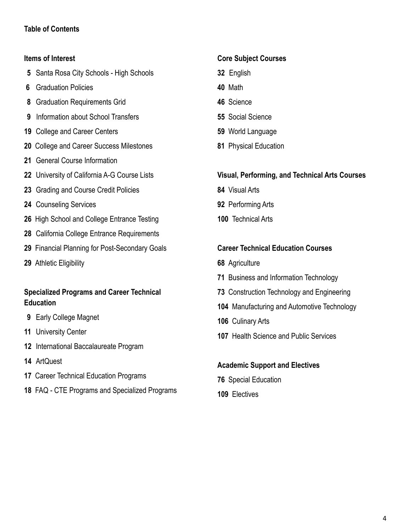#### **Table of Contents**

#### **Items of Interest**

- Santa Rosa City Schools High Schools
- Graduation Policies
- Graduation Requirements Grid
- Information about School Transfers
- College and Career Centers
- College and Career Success Milestones
- General Course Information
- University of California A-G Course Lists
- Grading and Course Credit Policies
- Counseling Services
- High School and College Entrance Testing
- California College Entrance Requirements
- Financial Planning for Post-Secondary Goals
- Athletic Eligibility

#### **Specialized Programs and Career Technical Education**

- Early College Magnet
- University Center
- International Baccalaureate Program
- ArtQuest
- Career Technical Education Programs
- FAQ CTE Programs and Specialized Programs

#### **Core Subject Courses**

- English
- Math
- Science
- Social Science
- World Language
- Physical Education

#### **Visual, Performing, and Technical Arts Courses**

- Visual Arts
- Performing Arts
- Technical Arts

#### **Career Technical Education Courses**

- Agriculture
- Business and Information Technology
- Construction Technology and Engineering
- Manufacturing and Automotive Technology
- Culinary Arts
- Health Science and Public Services

#### **Academic Support and Electives**

- Special Education
- Electives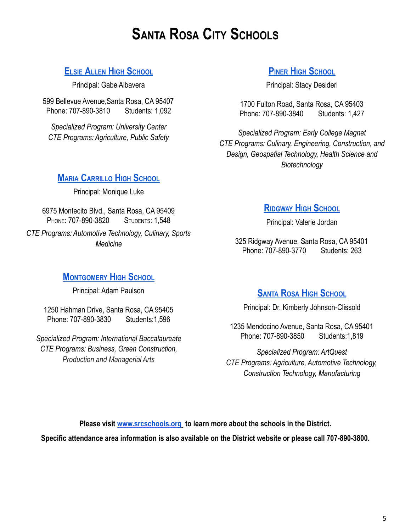## **SANTA ROSA CITY SCHOOLS**

## **ELSIE ALLEN HIGH S[CHOOL](https://eahs-santarosa-ca.schoolloop.com/)**

Principal: Gabe Albavera

599 Bellevue Avenue,Santa Rosa, CA 95407 Phone: 707-890-3810 Students: 1,092

*Specialized Program: University Center CTE Programs: Agriculture, Public Safety*

## **PINER HIGH S[CHOOL](https://piner.srcschools.org/)**

Principal: Stacy Desideri

1700 Fulton Road, Santa Rosa, CA 95403 Phone: 707-890-3840 Students: 1,427

*Specialized Program: Early College Magnet CTE Programs: Culinary, Engineering, Construction, and Design, Geospatial Technology, Health Science and Biotechnology*

#### **MARIA C[ARRILLO](https://mchs-santarosa-ca.schoolloop.com/) HIGH SCHOOL**

Principal: Monique Luke

6975 Montecito Blvd., Santa Rosa, CA 95409 PHONE: 707-890-3820 STUDENTS: 1,548 *CTE Programs: Automotive Technology, Culinary, Sports Medicine*

## **M[ONTGOMERY](https://mhs-santarosa-ca.schoolloop.com/) HIGH SCHOOL**

Principal: Adam Paulson

1250 Hahman Drive, Santa Rosa, CA 95405 Phone: 707-890-3830 Students:1,596

*Specialized Program: International Baccalaureate CTE Programs: Business, Green Construction, Production and Managerial Arts*

## **R[IDGWAY](https://www.srcschools.org/page/2248) HIGH SCHOOL**

Principal: Valerie Jordan

325 Ridgway Avenue, Santa Rosa, CA 95401 Phone: 707-890-3770 Students: 263

## **SANTA ROSA HIGH S[CHOOL](https://www.santarosahighschool.net/)**

Principal: Dr. Kimberly Johnson-Clissold

1235 Mendocino Avenue, Santa Rosa, CA 95401 Phone: 707-890-3850 Students:1,819

*Specialized Program: ArtQuest CTE Programs: Agriculture, Automotive Technology, Construction Technology, Manufacturing*

**Please visit [www.srcschools.org](http://www.srcschools.org) to learn more about the schools in the District.**

**Specific attendance area information is also available on the District website or please call 707-890-3800.**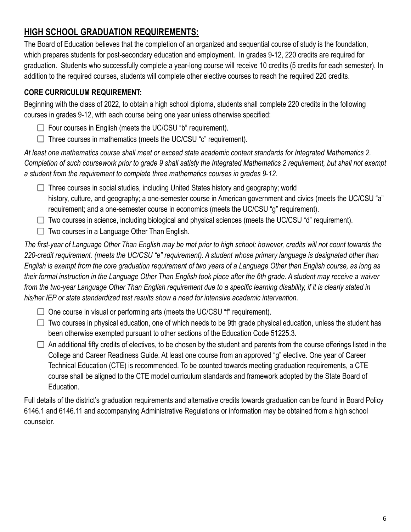## **HIGH SCHOOL GRADUATION REQUIREMENTS:**

The Board of Education believes that the completion of an organized and sequential course of study is the foundation, which prepares students for post-secondary education and employment. In grades 9-12, 220 credits are required for graduation. Students who successfully complete a year-long course will receive 10 credits (5 credits for each semester). In addition to the required courses, students will complete other elective courses to reach the required 220 credits.

#### **CORE CURRICULUM REQUIREMENT:**

Beginning with the class of 2022, to obtain a high school diploma, students shall complete 220 credits in the following courses in grades 9-12, with each course being one year unless otherwise specified:

- $\Box$  Four courses in English (meets the UC/CSU "b" requirement).
- $\Box$  Three courses in mathematics (meets the UC/CSU "c" requirement).

*At least one mathematics course shall meet or exceed state academic content standards for Integrated Mathematics 2. Completion of such coursework prior to grade 9 shall satisfy the Integrated Mathematics 2 requirement, but shall not exempt a student from the requirement to complete three mathematics courses in grades 9-12.*

 $\Box$  Three courses in social studies, including United States history and geography; world history, culture, and geography; a one-semester course in American government and civics (meets the UC/CSU "a" requirement; and a one-semester course in economics (meets the UC/CSU "g" requirement).

- $\Box$  Two courses in science, including biological and physical sciences (meets the UC/CSU "d" requirement).
- $\Box$  Two courses in a Language Other Than English.

*The first-year of Language Other Than English may be met prior to high school; however, credits will not count towards the 220-credit requirement. (meets the UC/CSU "e" requirement). A student whose primary language is designated other than English is exempt from the core graduation requirement of two years of a Language Other than English course, as long as their formal instruction in the Language Other Than English took place after the 6th grade. A student may receive a waiver from the two-year Language Other Than English requirement due to a specific learning disability, if it is clearly stated in his/her IEP or state standardized test results show a need for intensive academic intervention.*

 $\Box$  One course in visual or performing arts (meets the UC/CSU "f" requirement).

- $\Box$  Two courses in physical education, one of which needs to be 9th grade physical education, unless the student has been otherwise exempted pursuant to other sections of the Education Code 51225.3.
- $\Box$  An additional fifty credits of electives, to be chosen by the student and parents from the course offerings listed in the College and Career Readiness Guide. At least one course from an approved "g" elective. One year of Career Technical Education (CTE) is recommended. To be counted towards meeting graduation requirements, a CTE course shall be aligned to the CTE model curriculum standards and framework adopted by the State Board of Education.

Full details of the district's graduation requirements and alternative credits towards graduation can be found in Board Policy 6146.1 and 6146.11 and accompanying Administrative Regulations or information may be obtained from a high school counselor.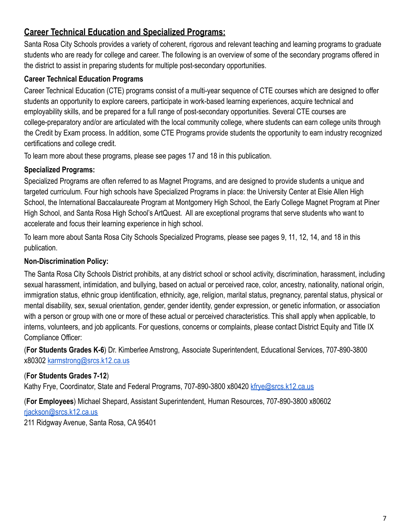## **Career Technical Education and Specialized Programs:**

Santa Rosa City Schools provides a variety of coherent, rigorous and relevant teaching and learning programs to graduate students who are ready for college and career. The following is an overview of some of the secondary programs offered in the district to assist in preparing students for multiple post-secondary opportunities.

#### **Career Technical Education Programs**

Career Technical Education (CTE) programs consist of a multi-year sequence of CTE courses which are designed to offer students an opportunity to explore careers, participate in work-based learning experiences, acquire technical and employability skills, and be prepared for a full range of post-secondary opportunities. Several CTE courses are college-preparatory and/or are articulated with the local community college, where students can earn college units through the Credit by Exam process. In addition, some CTE Programs provide students the opportunity to earn industry recognized certifications and college credit.

To learn more about these programs, please see pages 17 and 18 in this publication.

#### **Specialized Programs:**

Specialized Programs are often referred to as Magnet Programs, and are designed to provide students a unique and targeted curriculum. Four high schools have Specialized Programs in place: the University Center at Elsie Allen High School, the International Baccalaureate Program at Montgomery High School, the Early College Magnet Program at Piner High School, and Santa Rosa High School's ArtQuest. All are exceptional programs that serve students who want to accelerate and focus their learning experience in high school.

To learn more about Santa Rosa City Schools Specialized Programs, please see pages 9, 11, 12, 14, and 18 in this publication.

#### **Non-Discrimination Policy:**

The Santa Rosa City Schools District prohibits, at any district school or school activity, discrimination, harassment, including sexual harassment, intimidation, and bullying, based on actual or perceived race, color, ancestry, nationality, national origin, immigration status, ethnic group identification, ethnicity, age, religion, marital status, pregnancy, parental status, physical or mental disability, sex, sexual orientation, gender, gender identity, gender expression, or genetic information, or association with a person or group with one or more of these actual or perceived characteristics. This shall apply when applicable, to interns, volunteers, and job applicants. For questions, concerns or complaints, please contact District Equity and Title IX Compliance Officer:

(**For Students Grades K-6**) Dr. Kimberlee Amstrong, Associate Superintendent, Educational Services, 707-890-3800 x80302 [karmstrong@srcs.k12.ca.us](mailto:karmstrong@srcs.k12.ca.us)

#### (**For Students Grades 7-12**)

Kathy Frye, Coordinator, State and Federal Programs, 707-890-3800 x80420 [kfrye@srcs.k12.ca.us](mailto:kfrye@srcs.k12.ca.us)

(**For Employees**) Michael Shepard, Assistant Superintendent, Human Resources, 707-890-3800 x80602 [rjackson@srcs.k12.ca.us](mailto:rjackson@srcs.k12.ca.us) 211 Ridgway Avenue, Santa Rosa, CA 95401

7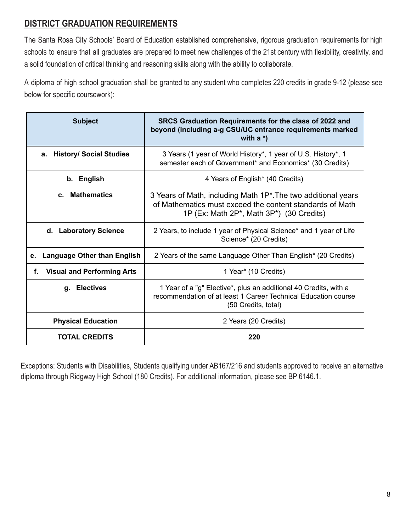## **DISTRICT GRADUATION REQUIREMENTS**

The Santa Rosa City Schools' Board of Education established comprehensive, rigorous graduation requirements for high schools to ensure that all graduates are prepared to meet new challenges of the 21st century with flexibility, creativity, and a solid foundation of critical thinking and reasoning skills along with the ability to collaborate.

A diploma of high school graduation shall be granted to any student who completes 220 credits in grade 9-12 (please see below for specific coursework):

| <b>Subject</b>                           | SRCS Graduation Requirements for the class of 2022 and<br>beyond (including a-g CSU/UC entrance requirements marked<br>with $a^*$ )                                                                          |
|------------------------------------------|--------------------------------------------------------------------------------------------------------------------------------------------------------------------------------------------------------------|
| <b>History/ Social Studies</b><br>а.     | 3 Years (1 year of World History*, 1 year of U.S. History*, 1<br>semester each of Government* and Economics* (30 Credits)                                                                                    |
| b. English                               | 4 Years of English* (40 Credits)                                                                                                                                                                             |
| c. Mathematics                           | 3 Years of Math, including Math 1P <sup>*</sup> . The two additional years<br>of Mathematics must exceed the content standards of Math<br>1P (Ex: Math 2P <sup>*</sup> , Math 3P <sup>*</sup> ) (30 Credits) |
| d. Laboratory Science                    | 2 Years, to include 1 year of Physical Science* and 1 year of Life<br>Science* (20 Credits)                                                                                                                  |
| <b>Language Other than English</b><br>е. | 2 Years of the same Language Other Than English* (20 Credits)                                                                                                                                                |
| <b>Visual and Performing Arts</b><br>f.  | 1 Year* (10 Credits)                                                                                                                                                                                         |
| q. Electives                             | 1 Year of a "g" Elective*, plus an additional 40 Credits, with a<br>recommendation of at least 1 Career Technical Education course<br>(50 Credits, total)                                                    |
| <b>Physical Education</b>                | 2 Years (20 Credits)                                                                                                                                                                                         |
| <b>TOTAL CREDITS</b>                     | 220                                                                                                                                                                                                          |

Exceptions: Students with Disabilities, Students qualifying under AB167/216 and students approved to receive an alternative diploma through Ridgway High School (180 Credits). For additional information, please see BP 6146.1.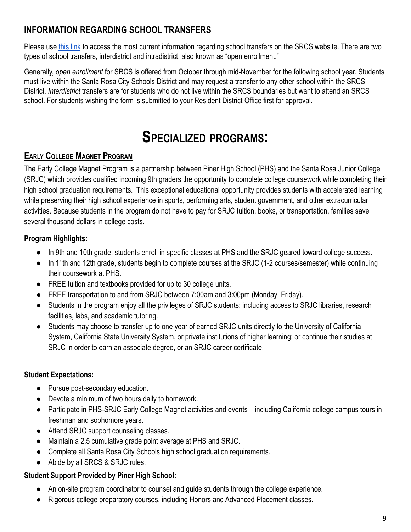## **INFORMATION REGARDING SCHOOL TRANSFERS**

Please use [this link](https://www.srcschools.org/Page/2171) to access the most current information regarding school transfers on the SRCS website. There are two types of school transfers, interdistrict and intradistrict, also known as "open enrollment."

Generally, *open enrollment* for SRCS is offered from October through mid-November for the following school year. Students must live within the Santa Rosa City Schools District and may request a transfer to any other school within the SRCS District. *Interdistrict* transfers are for students who do not live within the SRCS boundaries but want to attend an SRCS school. For students wishing the form is submitted to your Resident District Office first for approval.

## **SPECIALIZED PROGRAMS:**

## **EARLY COLLEGE MAGNET PROGRAM**

The Early College Magnet Program is a partnership between Piner High School (PHS) and the Santa Rosa Junior College (SRJC) which provides qualified incoming 9th graders the opportunity to complete college coursework while completing their high school graduation requirements. This exceptional educational opportunity provides students with accelerated learning while preserving their high school experience in sports, performing arts, student government, and other extracurricular activities. Because students in the program do not have to pay for SRJC tuition, books, or transportation, families save several thousand dollars in college costs.

#### **Program Highlights:**

- In 9th and 10th grade, students enroll in specific classes at PHS and the SRJC geared toward college success.
- In 11th and 12th grade, students begin to complete courses at the SRJC (1-2 courses/semester) while continuing their coursework at PHS.
- FREE tuition and textbooks provided for up to 30 college units.
- FREE transportation to and from SRJC between 7:00am and 3:00pm (Monday–Friday).
- Students in the program enjoy all the privileges of SRJC students; including access to SRJC libraries, research facilities, labs, and academic tutoring.
- Students may choose to transfer up to one year of earned SRJC units directly to the University of California System, California State University System, or private institutions of higher learning; or continue their studies at SRJC in order to earn an associate degree, or an SRJC career certificate.

#### **Student Expectations:**

- Pursue post-secondary education.
- Devote a minimum of two hours daily to homework.
- Participate in PHS-SRJC Early College Magnet activities and events including California college campus tours in freshman and sophomore years.
- Attend SRJC support counseling classes.
- Maintain a 2.5 cumulative grade point average at PHS and SRJC.
- Complete all Santa Rosa City Schools high school graduation requirements.
- Abide by all SRCS & SRJC rules.

#### **Student Support Provided by Piner High School:**

- An on-site program coordinator to counsel and guide students through the college experience.
- Rigorous college preparatory courses, including Honors and Advanced Placement classes.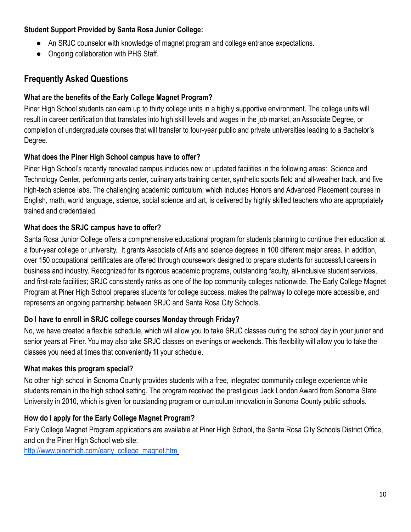#### **Student Support Provided by Santa Rosa Junior College:**

- An SRJC counselor with knowledge of magnet program and college entrance expectations.
- Ongoing collaboration with PHS Staff.

## **Frequently Asked Questions**

#### **What are the benefits of the Early College Magnet Program?**

Piner High School students can earn up to thirty college units in a highly supportive environment. The college units will result in career certification that translates into high skill levels and wages in the job market, an Associate Degree, or completion of undergraduate courses that will transfer to four-year public and private universities leading to a Bachelor's Degree.

#### **What does the Piner High School campus have to offer?**

Piner High School's recently renovated campus includes new or updated facilities in the following areas: Science and Technology Center, performing arts center, culinary arts training center, synthetic sports field and all-weather track, and five high-tech science labs. The challenging academic curriculum; which includes Honors and Advanced Placement courses in English, math, world language, science, social science and art, is delivered by highly skilled teachers who are appropriately trained and credentialed.

#### **What does the SRJC campus have to offer?**

Santa Rosa Junior College offers a comprehensive educational program for students planning to continue their education at a four-year college or university. It grants Associate of Arts and science degrees in 100 different major areas. In addition, over 150 occupational certificates are offered through coursework designed to prepare students for successful careers in business and industry. Recognized for its rigorous academic programs, outstanding faculty, all-inclusive student services, and first-rate facilities; SRJC consistently ranks as one of the top community colleges nationwide. The Early College Magnet Program at Piner High School prepares students for college success, makes the pathway to college more accessible, and represents an ongoing partnership between SRJC and Santa Rosa City Schools.

#### **Do I have to enroll in SRJC college courses Monday through Friday?**

No, we have created a flexible schedule, which will allow you to take SRJC classes during the school day in your junior and senior years at Piner. You may also take SRJC classes on evenings or weekends. This flexibility will allow you to take the classes you need at times that conveniently fit your schedule.

#### **What makes this program special?**

No other high school in Sonoma County provides students with a free, integrated community college experience while students remain in the high school setting. The program received the prestigious Jack London Award from Sonoma State University in 2010, which is given for outstanding program or curriculum innovation in Sonoma County public schools.

#### **How do I apply for the Early College Magnet Program?**

Early College Magnet Program applications are available at Piner High School, the Santa Rosa City Schools District Office, and on the Piner High School web site:

[http://www.pinerhigh.com/early\\_college\\_magnet.htm](http://www.pinerhigh.com/early_college_magnet.htm)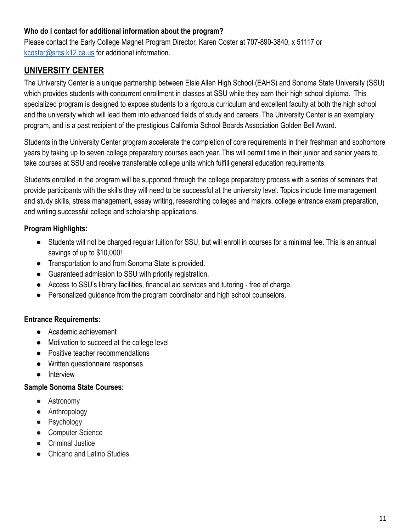#### **Who do I contact for additional information about the program?**

Please contact the Early College Magnet Program Director, Karen Coster at 707-890-3840, x 51117 or [kcoster@srcs.k12.ca.us](mailto:kcoster@srcs.k12.ca.us) for additional information.

## **UNIVERSITY CENTER**

The University Center is a unique partnership between Elsie Allen High School (EAHS) and Sonoma State University (SSU) which provides students with concurrent enrollment in classes at SSU while they earn their high school diploma. This specialized program is designed to expose students to a rigorous curriculum and excellent faculty at both the high school and the university which will lead them into advanced fields of study and careers. The University Center is an exemplary program, and is a past recipient of the prestigious California School Boards Association Golden Bell Award.

Students in the University Center program accelerate the completion of core requirements in their freshman and sophomore years by taking up to seven college preparatory courses each year. This will permit time in their junior and senior years to take courses at SSU and receive transferable college units which fulfill general education requirements.

Students enrolled in the program will be supported through the college preparatory process with a series of seminars that provide participants with the skills they will need to be successful at the university level. Topics include time management and study skills, stress management, essay writing, researching colleges and majors, college entrance exam preparation, and writing successful college and scholarship applications.

#### **Program Highlights:**

- Students will not be charged regular tuition for SSU, but will enroll in courses for a minimal fee. This is an annual savings of up to \$10,000!
- Transportation to and from Sonoma State is provided.
- Guaranteed admission to SSU with priority registration.
- Access to SSU's library facilities, financial aid services and tutoring free of charge.
- Personalized guidance from the program coordinator and high school counselors.

#### **Entrance Requirements:**

- Academic achievement
- Motivation to succeed at the college level
- Positive teacher recommendations
- Written questionnaire responses
- Interview

#### **Sample Sonoma State Courses:**

- Astronomy
- Anthropology
- Psychology
- Computer Science
- Criminal Justice
- Chicano and Latino Studies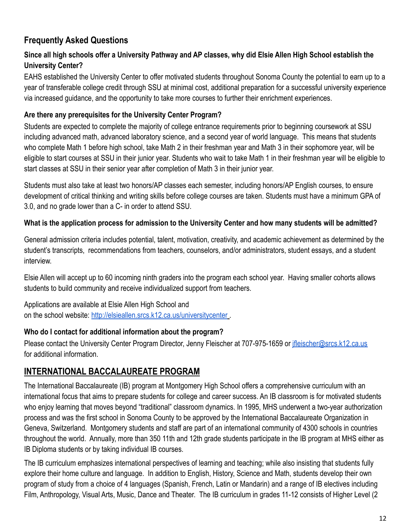## **Frequently Asked Questions**

#### **Since all high schools offer a University Pathway and AP classes, why did Elsie Allen High School establish the University Center?**

EAHS established the University Center to offer motivated students throughout Sonoma County the potential to earn up to a year of transferable college credit through SSU at minimal cost, additional preparation for a successful university experience via increased guidance, and the opportunity to take more courses to further their enrichment experiences.

#### **Are there any prerequisites for the University Center Program?**

Students are expected to complete the majority of college entrance requirements prior to beginning coursework at SSU including advanced math, advanced laboratory science, and a second year of world language. This means that students who complete Math 1 before high school, take Math 2 in their freshman year and Math 3 in their sophomore year, will be eligible to start courses at SSU in their junior year. Students who wait to take Math 1 in their freshman year will be eligible to start classes at SSU in their senior year after completion of Math 3 in their junior year.

Students must also take at least two honors/AP classes each semester, including honors/AP English courses, to ensure development of critical thinking and writing skills before college courses are taken. Students must have a minimum GPA of 3.0, and no grade lower than a C- in order to attend SSU.

#### **What is the application process for admission to the University Center and how many students will be admitted?**

General admission criteria includes potential, talent, motivation, creativity, and academic achievement as determined by the student's transcripts, recommendations from teachers, counselors, and/or administrators, student essays, and a student interview.

Elsie Allen will accept up to 60 incoming ninth graders into the program each school year. Having smaller cohorts allows students to build community and receive individualized support from teachers.

Applications are available at Elsie Allen High School and on the school website: <http://elsieallen.srcs.k12.ca.us/universitycenter> .

#### **Who do I contact for additional information about the program?**

Please contact the University Center Program Director, Jenny Fleischer at 707-975-1659 or *[jfleischer@srcs.k12.ca.us](mailto:jfleischer@srcs.k12.ca.us)* for additional information.

## **INTERNATIONAL BACCALAUREATE PROGRAM**

The International Baccalaureate (IB) program at Montgomery High School offers a comprehensive curriculum with an international focus that aims to prepare students for college and career success. An IB classroom is for motivated students who enjoy learning that moves beyond "traditional" classroom dynamics. In 1995, MHS underwent a two-year authorization process and was the first school in Sonoma County to be approved by the International Baccalaureate Organization in Geneva, Switzerland. Montgomery students and staff are part of an international community of 4300 schools in countries throughout the world. Annually, more than 350 11th and 12th grade students participate in the IB program at MHS either as IB Diploma students or by taking individual IB courses.

The IB curriculum emphasizes international perspectives of learning and teaching; while also insisting that students fully explore their home culture and language. In addition to English, History, Science and Math, students develop their own program of study from a choice of 4 languages (Spanish, French, Latin or Mandarin) and a range of IB electives including Film, Anthropology, Visual Arts, Music, Dance and Theater. The IB curriculum in grades 11-12 consists of Higher Level (2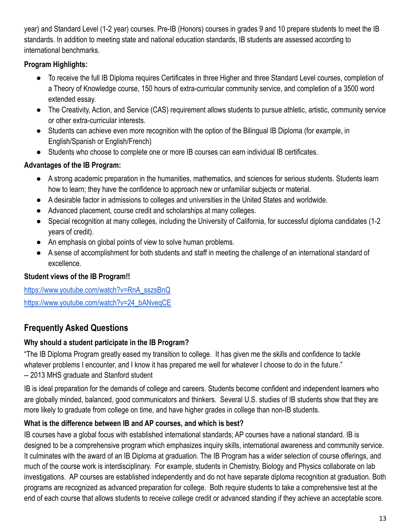year) and Standard Level (1-2 year) courses. Pre-IB (Honors) courses in grades 9 and 10 prepare students to meet the IB standards. In addition to meeting state and national education standards, IB students are assessed according to international benchmarks.

#### **Program Highlights:**

- To receive the full IB Diploma requires Certificates in three Higher and three Standard Level courses, completion of a Theory of Knowledge course, 150 hours of extra-curricular community service, and completion of a 3500 word extended essay.
- The Creativity, Action, and Service (CAS) requirement allows students to pursue athletic, artistic, community service or other extra-curricular interests.
- Students can achieve even more recognition with the option of the Bilingual IB Diploma (for example, in English/Spanish or English/French)
- Students who choose to complete one or more IB courses can earn individual IB certificates.

## **Advantages of the IB Program:**

- A strong academic preparation in the humanities, mathematics, and sciences for serious students. Students learn how to learn; they have the confidence to approach new or unfamiliar subjects or material.
- A desirable factor in admissions to colleges and universities in the United States and worldwide.
- Advanced placement, course credit and scholarships at many colleges.
- Special recognition at many colleges, including the University of California, for successful diploma candidates (1-2 years of credit).
- An emphasis on global points of view to solve human problems.
- A sense of accomplishment for both students and staff in meeting the challenge of an international standard of excellence.

## **Student views of the IB Program!!**

[https://www.youtube.com/watch?v=RnA\\_sszsBnQ](https://www.youtube.com/watch?v=RnA_sszsBnQ) [https://www.youtube.com/watch?v=24\\_bANveqCE](https://www.youtube.com/watch?v=24_bANveqCE)

## **Frequently Asked Questions**

#### **Why should a student participate in the IB Program?**

"The IB Diploma Program greatly eased my transition to college. It has given me the skills and confidence to tackle whatever problems I encounter, and I know it has prepared me well for whatever I choose to do in the future." -- 2013 MHS graduate and Stanford student

IB is ideal preparation for the demands of college and careers. Students become confident and independent learners who are globally minded, balanced, good communicators and thinkers. Several U.S. studies of IB students show that they are more likely to graduate from college on time, and have higher grades in college than non-IB students.

## **What is the difference between IB and AP courses, and which is best?**

IB courses have a global focus with established international standards; AP courses have a national standard. IB is designed to be a comprehensive program which emphasizes inquiry skills, international awareness and community service. It culminates with the award of an IB Diploma at graduation. The IB Program has a wider selection of course offerings, and much of the course work is interdisciplinary. For example, students in Chemistry, Biology and Physics collaborate on lab investigations. AP courses are established independently and do not have separate diploma recognition at graduation. Both programs are recognized as advanced preparation for college. Both require students to take a comprehensive test at the end of each course that allows students to receive college credit or advanced standing if they achieve an acceptable score.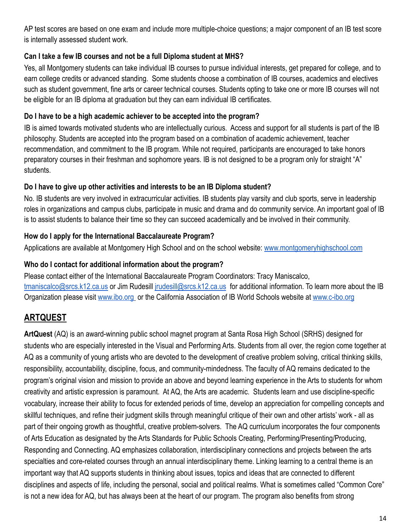AP test scores are based on one exam and include more multiple-choice questions; a major component of an IB test score is internally assessed student work.

#### **Can I take a few IB courses and not be a full Diploma student at MHS?**

Yes, all Montgomery students can take individual IB courses to pursue individual interests, get prepared for college, and to earn college credits or advanced standing. Some students choose a combination of IB courses, academics and electives such as student government, fine arts or career technical courses. Students opting to take one or more IB courses will not be eligible for an IB diploma at graduation but they can earn individual IB certificates.

#### **Do I have to be a high academic achiever to be accepted into the program?**

IB is aimed towards motivated students who are intellectually curious. Access and support for all students is part of the IB philosophy. Students are accepted into the program based on a combination of academic achievement, teacher recommendation, and commitment to the IB program. While not required, participants are encouraged to take honors preparatory courses in their freshman and sophomore years. IB is not designed to be a program only for straight "A" students.

#### **Do I have to give up other activities and interests to be an IB Diploma student?**

No. IB students are very involved in extracurricular activities. IB students play varsity and club sports, serve in leadership roles in organizations and campus clubs, participate in music and drama and do community service. An important goal of IB is to assist students to balance their time so they can succeed academically and be involved in their community.

#### **How do I apply for the International Baccalaureate Program?**

Applications are available at Montgomery High School and on the school website: [www.montgomeryhighschool.com](http://www.montgomeryhighschool.com)

#### **Who do I contact for additional information about the program?**

Please contact either of the International Baccalaureate Program Coordinators: Tracy Maniscalco, [tmaniscalco@srcs.k12.ca.us](mailto:tmaniscalco@srcs.k12.ca.us) or Jim Rudesill [jrudesill@srcs.k12.ca.us](mailto:jrudesill@srcs.k12.ca.us) for additional information. To learn more about the IB Organization please visit [www.ibo.org](http://www.ibo.org) or the California Association of IB World Schools website at [www.c-ibo.org](http://www.c-ibo.org)

## **ARTQUEST**

**ArtQuest** (AQ) is an award-winning public school magnet program at Santa Rosa High School (SRHS) designed for students who are especially interested in the Visual and Performing Arts. Students from all over, the region come together at AQ as a community of young artists who are devoted to the development of creative problem solving, critical thinking skills, responsibility, accountability, discipline, focus, and community-mindedness. The faculty of AQ remains dedicated to the program's original vision and mission to provide an above and beyond learning experience in the Arts to students for whom creativity and artistic expression is paramount. At AQ, the Arts are academic. Students learn and use discipline-specific vocabulary, increase their ability to focus for extended periods of time, develop an appreciation for compelling concepts and skillful techniques, and refine their judgment skills through meaningful critique of their own and other artists' work - all as part of their ongoing growth as thoughtful, creative problem-solvers. The AQ curriculum incorporates the four components of Arts Education as designated by the Arts Standards for Public Schools Creating, Performing/Presenting/Producing, Responding and Connecting. AQ emphasizes collaboration, interdisciplinary connections and projects between the arts specialties and core-related courses through an annual interdisciplinary theme. Linking learning to a central theme is an important way that AQ supports students in thinking about issues, topics and ideas that are connected to different disciplines and aspects of life, including the personal, social and political realms. What is sometimes called "Common Core" is not a new idea for AQ, but has always been at the heart of our program. The program also benefits from strong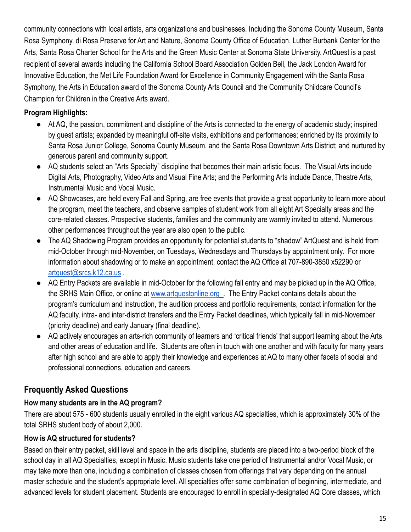community connections with local artists, arts organizations and businesses. Including the Sonoma County Museum, Santa Rosa Symphony, di Rosa Preserve for Art and Nature, Sonoma County Office of Education, Luther Burbank Center for the Arts, Santa Rosa Charter School for the Arts and the Green Music Center at Sonoma State University. ArtQuest is a past recipient of several awards including the California School Board Association Golden Bell, the Jack London Award for Innovative Education, the Met Life Foundation Award for Excellence in Community Engagement with the Santa Rosa Symphony, the Arts in Education award of the Sonoma County Arts Council and the Community Childcare Council's Champion for Children in the Creative Arts award.

#### **Program Highlights:**

- At AQ, the passion, commitment and discipline of the Arts is connected to the energy of academic study; inspired by guest artists; expanded by meaningful off-site visits, exhibitions and performances; enriched by its proximity to Santa Rosa Junior College, Sonoma County Museum, and the Santa Rosa Downtown Arts District; and nurtured by generous parent and community support.
- AQ students select an "Arts Specialty" discipline that becomes their main artistic focus. The Visual Arts include Digital Arts, Photography, Video Arts and Visual Fine Arts; and the Performing Arts include Dance, Theatre Arts, Instrumental Music and Vocal Music.
- AQ Showcases, are held every Fall and Spring, are free events that provide a great opportunity to learn more about the program, meet the teachers, and observe samples of student work from all eight Art Specialty areas and the core-related classes. Prospective students, families and the community are warmly invited to attend. Numerous other performances throughout the year are also open to the public.
- The AQ Shadowing Program provides an opportunity for potential students to "shadow" ArtQuest and is held from mid-October through mid-November, on Tuesdays, Wednesdays and Thursdays by appointment only. For more information about shadowing or to make an appointment, contact the AQ Office at 707-890-3850 x52290 or [artquest@srcs.k12.ca.us](mailto:artquest@srcs.k12.ca.us) .
- AQ Entry Packets are available in mid-October for the following fall entry and may be picked up in the AQ Office, the SRHS Main Office, or online at [www.artquestonline.org](http://www.artquestonline.org) . The Entry Packet contains details about the program's curriculum and instruction, the audition process and portfolio requirements, contact information for the AQ faculty, intra- and inter-district transfers and the Entry Packet deadlines, which typically fall in mid-November (priority deadline) and early January (final deadline).
- AQ actively encourages an arts-rich community of learners and 'critical friends' that support learning about the Arts and other areas of education and life. Students are often in touch with one another and with faculty for many years after high school and are able to apply their knowledge and experiences at AQ to many other facets of social and professional connections, education and careers.

## **Frequently Asked Questions**

#### **How many students are in the AQ program?**

There are about 575 - 600 students usually enrolled in the eight various AQ specialties, which is approximately 30% of the total SRHS student body of about 2,000.

#### **How is AQ structured for students?**

Based on their entry packet, skill level and space in the arts discipline, students are placed into a two-period block of the school day in all AQ Specialties, except in Music. Music students take one period of Instrumental and/or Vocal Music, or may take more than one, including a combination of classes chosen from offerings that vary depending on the annual master schedule and the student's appropriate level. All specialties offer some combination of beginning, intermediate, and advanced levels for student placement. Students are encouraged to enroll in specially-designated AQ Core classes, which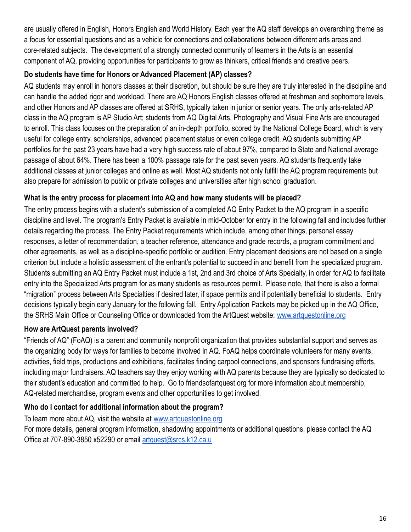are usually offered in English, Honors English and World History. Each year the AQ staff develops an overarching theme as a focus for essential questions and as a vehicle for connections and collaborations between different arts areas and core-related subjects. The development of a strongly connected community of learners in the Arts is an essential component of AQ, providing opportunities for participants to grow as thinkers, critical friends and creative peers.

#### **Do students have time for Honors or Advanced Placement (AP) classes?**

AQ students may enroll in honors classes at their discretion, but should be sure they are truly interested in the discipline and can handle the added rigor and workload. There are AQ Honors English classes offered at freshman and sophomore levels, and other Honors and AP classes are offered at SRHS, typically taken in junior or senior years. The only arts-related AP class in the AQ program is AP Studio Art; students from AQ Digital Arts, Photography and Visual Fine Arts are encouraged to enroll. This class focuses on the preparation of an in-depth portfolio, scored by the National College Board, which is very useful for college entry, scholarships, advanced placement status or even college credit. AQ students submitting AP portfolios for the past 23 years have had a very high success rate of about 97%, compared to State and National average passage of about 64%. There has been a 100% passage rate for the past seven years. AQ students frequently take additional classes at junior colleges and online as well. Most AQ students not only fulfill the AQ program requirements but also prepare for admission to public or private colleges and universities after high school graduation.

#### **What is the entry process for placement into AQ and how many students will be placed?**

The entry process begins with a student's submission of a completed AQ Entry Packet to the AQ program in a specific discipline and level. The program's Entry Packet is available in mid-October for entry in the following fall and includes further details regarding the process. The Entry Packet requirements which include, among other things, personal essay responses, a letter of recommendation, a teacher reference, attendance and grade records, a program commitment and other agreements, as well as a discipline-specific portfolio or audition. Entry placement decisions are not based on a single criterion but include a holistic assessment of the entrant's potential to succeed in and benefit from the specialized program. Students submitting an AQ Entry Packet must include a 1st, 2nd and 3rd choice of Arts Specialty, in order for AQ to facilitate entry into the Specialized Arts program for as many students as resources permit. Please note, that there is also a formal "migration" process between Arts Specialties if desired later, if space permits and if potentially beneficial to students. Entry decisions typically begin early January for the following fall. Entry Application Packets may be picked up in the AQ Office, the SRHS Main Office or Counseling Office or downloaded from the ArtQuest website: [www.artquestonline.org](http://www.artquestonline.org)

#### **How are ArtQuest parents involved?**

"Friends of AQ" (FoAQ) is a parent and community nonprofit organization that provides substantial support and serves as the organizing body for ways for families to become involved in AQ. FoAQ helps coordinate volunteers for many events, activities, field trips, productions and exhibitions, facilitates finding carpool connections, and sponsors fundraising efforts, including major fundraisers. AQ teachers say they enjoy working with AQ parents because they are typically so dedicated to their student's education and committed to help. Go to friendsofartquest.org for more information about membership, AQ-related merchandise, program events and other opportunities to get involved.

#### **Who do I contact for additional information about the program?**

To learn more about AQ, visit the website at [www.artquestonline.org](http://www.artquestonline.org)

For more details, general program information, shadowing appointments or additional questions, please contact the AQ Office at 707-890-3850 x52290 or email [artquest@srcs.k12.ca.u](mailto:artquest@srcs.k12.ca.us)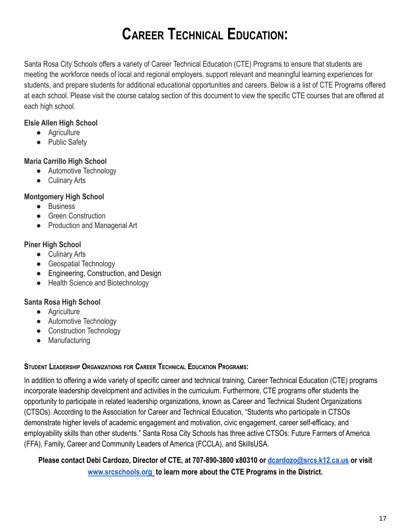## **CAREER TECHNICAL EDUCATION:**

Santa Rosa City Schools offers a variety of Career Technical Education (CTE) Programs to ensure that students are meeting the workforce needs of local and regional employers, support relevant and meaningful learning experiences for students, and prepare students for additional educational opportunities and careers. Below is a list of CTE Programs offered at each school. Please visit the course catalog section of this document to view the specific CTE courses that are offered at each high school.

#### **Elsie Allen High School**

- Agriculture
- Public Safety

#### **Maria Carrillo High School**

- Automotive Technology
- Culinary Arts

#### **Montgomery High School**

- Business
- **•** Green Construction
- Production and Managerial Art

#### **Piner High School**

- Culinary Arts
- Geospatial Technology
- Engineering, Construction, and Design
- Health Science and Biotechnology

#### **Santa Rosa High School**

- Agriculture
- Automotive Technology
- Construction Technology
- Manufacturing

#### **STUDENT LEADERSHIP ORGANIZATIONS FOR CAREER TECHNICAL EDUCATION PROGRAMS:**

In addition to offering a wide variety of specific career and technical training, Career Technical Education (CTE) programs incorporate leadership development and activities in the curriculum. Furthermore, CTE programs offer students the opportunity to participate in related leadership organizations, known as Career and Technical Student Organizations (CTSOs). According to the Association for Career and Technical Education, "Students who participate in CTSOs demonstrate higher levels of academic engagement and motivation, civic engagement, career self-efficacy, and employability skills than other students." Santa Rosa City Schools has three active CTSOs: Future Farmers of America (FFA), Family, Career and Community Leaders of America (FCCLA), and SkillsUSA.

#### **Please contact Debi Cardozo, Director of CTE, at 707-890-3800 x80310 or [dcardozo@srcs.k12.ca.us](mailto:dcardozo@srcs.k12.ca.us) or visit [www.srcschools.org](http://www.srcschools.org) to learn more about the CTE Programs in the District.**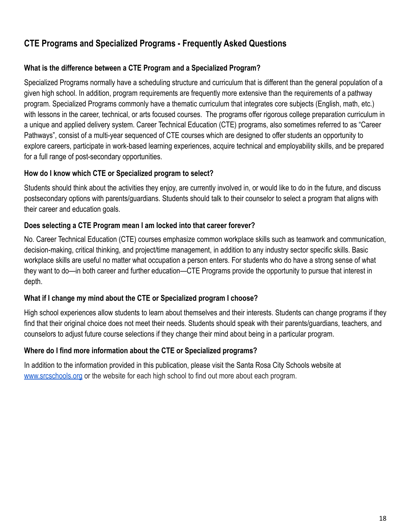## **CTE Programs and Specialized Programs - Frequently Asked Questions**

#### **What is the difference between a CTE Program and a Specialized Program?**

Specialized Programs normally have a scheduling structure and curriculum that is different than the general population of a given high school. In addition, program requirements are frequently more extensive than the requirements of a pathway program. Specialized Programs commonly have a thematic curriculum that integrates core subjects (English, math, etc.) with lessons in the career, technical, or arts focused courses. The programs offer rigorous college preparation curriculum in a unique and applied delivery system. Career Technical Education (CTE) programs, also sometimes referred to as "Career Pathways", consist of a multi-year sequenced of CTE courses which are designed to offer students an opportunity to explore careers, participate in work-based learning experiences, acquire technical and employability skills, and be prepared for a full range of post-secondary opportunities.

#### **How do I know which CTE or Specialized program to select?**

Students should think about the activities they enjoy, are currently involved in, or would like to do in the future, and discuss postsecondary options with parents/guardians. Students should talk to their counselor to select a program that aligns with their career and education goals.

#### **Does selecting a CTE Program mean I am locked into that career forever?**

No. Career Technical Education (CTE) courses emphasize common workplace skills such as teamwork and communication, decision-making, critical thinking, and project/time management, in addition to any industry sector specific skills. Basic workplace skills are useful no matter what occupation a person enters. For students who do have a strong sense of what they want to do—in both career and further education—CTE Programs provide the opportunity to pursue that interest in depth.

#### **What if I change my mind about the CTE or Specialized program I choose?**

High school experiences allow students to learn about themselves and their interests. Students can change programs if they find that their original choice does not meet their needs. Students should speak with their parents/guardians, teachers, and counselors to adjust future course selections if they change their mind about being in a particular program.

#### **Where do I find more information about the CTE or Specialized programs?**

In addition to the information provided in this publication, please visit the Santa Rosa City Schools website at [www.srcschools.org](http://www.srcschools.org) or the website for each high school to find out more about each program.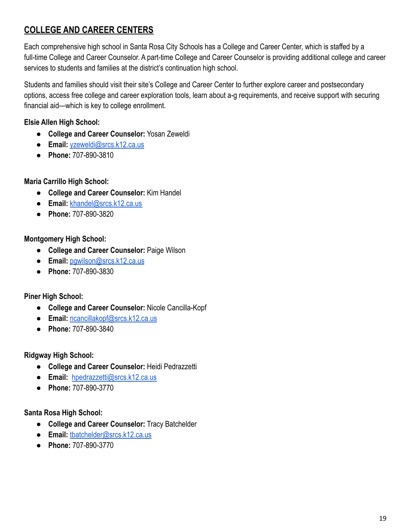## **COLLEGE AND CAREER CENTERS**

Each comprehensive high school in Santa Rosa City Schools has a College and Career Center, which is staffed by a full-time College and Career Counselor. A part-time College and Career Counselor is providing additional college and career services to students and families at the district's continuation high school.

Students and families should visit their site's College and Career Center to further explore career and postsecondary options, access free college and career exploration tools, learn about a-g requirements, and receive support with securing financial aid—which is key to college enrollment.

#### **Elsie Allen High School:**

- **College and Career Counselor:** Yosan Zeweldi
- **Email:** [yzeweldi@srcs.k12.ca.us](mailto:yzeweldi@srcs.k12.ca.us)
- **Phone:** 707-890-3810

#### **Maria Carrillo High School:**

- **College and Career Counselor:** Kim Handel
- **Email:** [khandel@srcs.k12.ca.us](mailto:khandel@srcs.k12.ca.us)
- **Phone:** 707-890-3820

#### **Montgomery High School:**

- **College and Career Counselor:** Paige Wilson
- **Email:** [pgwilson@srcs.k12.ca.us](mailto:pgwilson@srcs.k12.ca.us)
- **Phone:** 707-890-3830

#### **Piner High School:**

- **College and Career Counselor:** Nicole Cancilla-Kopf
- **Email:** [ncancillakopf@srcs.k12.ca.us](mailto:ncancillakopf@srcs.k12.ca.us)
- **Phone:** 707-890-3840

**Ridgway High School:**

- **College and Career Counselor:** Heidi Pedrazzetti
- **Email:** [hpedrazzetti@srcs.k12.ca.us](mailto:hpedrazzetti@srcs.k12.ca.us)
- **Phone:** 707-890-3770

#### **Santa Rosa High School:**

- **College and Career Counselor:** Tracy Batchelder
- **Email:** [tbatchelder@srcs.k12.ca.us](mailto:tbatchelder@srcs.k12.ca.us)
- **Phone:** 707-890-3770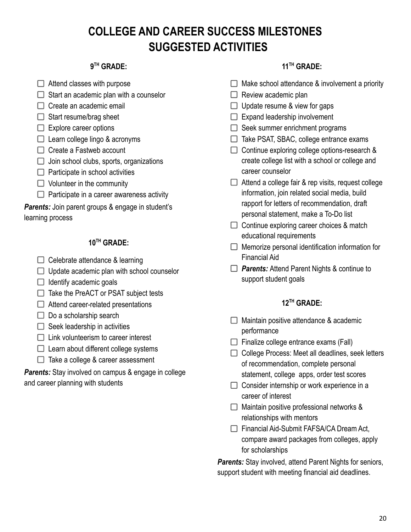## **COLLEGE AND CAREER SUCCESS MILESTONES SUGGESTED ACTIVITIES**

#### **9 TH GRADE:**

- $\Box$  Attend classes with purpose
- $\Box$  Start an academic plan with a counselor
- $\Box$  Create an academic email
- $\Box$  Start resume/brag sheet
- $\Box$  Explore career options
- $\Box$  Learn college lingo & acronyms
- $\Box$  Create a Fastweb account
- $\Box$  Join school clubs, sports, organizations
- $\Box$  Participate in school activities
- $\Box$  Volunteer in the community
- $\Box$  Participate in a career awareness activity

**Parents:** Join parent groups & engage in student's learning process

#### **10TH GRADE:**

- $\Box$  Celebrate attendance & learning
- $\Box$  Update academic plan with school counselor
- $\Box$  Identify academic goals
- $\Box$  Take the PreACT or PSAT subject tests
- $\Box$  Attend career-related presentations
- $\Box$  Do a scholarship search
- $\Box$  Seek leadership in activities
- $\Box$  Link volunteerism to career interest
- $\Box$  Learn about different college systems
- $\Box$  Take a college & career assessment

**Parents:** Stay involved on campus & engage in college and career planning with students

#### **11 TH GRADE:**

- $\Box$  Make school attendance & involvement a priority
- $\Box$  Review academic plan
- $\Box$  Update resume & view for gaps
- $\Box$  Expand leadership involvement
- $\Box$  Seek summer enrichment programs
- $\Box$  Take PSAT, SBAC, college entrance exams
- $\Box$  Continue exploring college options-research & create college list with a school or college and career counselor
- $\Box$  Attend a college fair & rep visits, request college information, join related social media, build rapport for letters of recommendation, draft personal statement, make a To-Do list
- $\Box$  Continue exploring career choices & match educational requirements
- $\Box$  Memorize personal identification information for Financial Aid
- *Parents:* Attend Parent Nights & continue to support student goals

#### **12TH GRADE:**

- $\Box$  Maintain positive attendance & academic performance
- $\Box$  Finalize college entrance exams (Fall)
- $\Box$  College Process: Meet all deadlines, seek letters of recommendation, complete personal statement, college apps, order test scores
- $\Box$  Consider internship or work experience in a career of interest
- $\Box$  Maintain positive professional networks & relationships with mentors
- Financial Aid-Submit FAFSA/CA Dream Act, compare award packages from colleges, apply for scholarships

*Parents:* Stay involved, attend Parent Nights for seniors, support student with meeting financial aid deadlines.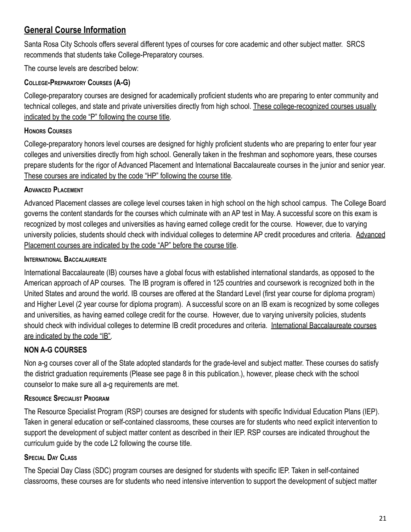## **General Course Information**

Santa Rosa City Schools offers several different types of courses for core academic and other subject matter. SRCS recommends that students take College-Preparatory courses.

The course levels are described below:

#### **COLLEGE-PREPARATORY COURSES (A-G)**

College-preparatory courses are designed for academically proficient students who are preparing to enter community and technical colleges, and state and private universities directly from high school. These college-recognized courses usually indicated by the code "P" following the course title.

#### **HONORS COURSES**

College-preparatory honors level courses are designed for highly proficient students who are preparing to enter four year colleges and universities directly from high school. Generally taken in the freshman and sophomore years, these courses prepare students for the rigor of Advanced Placement and International Baccalaureate courses in the junior and senior year. These courses are indicated by the code "HP" following the course title.

#### **ADVANCED PLACEMENT**

Advanced Placement classes are college level courses taken in high school on the high school campus. The College Board governs the content standards for the courses which culminate with an AP test in May. A successful score on this exam is recognized by most colleges and universities as having earned college credit for the course. However, due to varying university policies, students should check with individual colleges to determine AP credit procedures and criteria. Advanced Placement courses are indicated by the code "AP" before the course title.

#### **INTERNATIONAL BACCALAUREATE**

International Baccalaureate (IB) courses have a global focus with established international standards, as opposed to the American approach of AP courses. The IB program is offered in 125 countries and coursework is recognized both in the United States and around the world. IB courses are offered at the Standard Level (first year course for diploma program) and Higher Level (2 year course for diploma program). A successful score on an IB exam is recognized by some colleges and universities, as having earned college credit for the course. However, due to varying university policies, students should check with individual colleges to determine IB credit procedures and criteria. International Baccalaureate courses are indicated by the code "IB".

## **NON A-G COURSES**

Non a-g courses cover all of the State adopted standards for the grade-level and subject matter. These courses do satisfy the district graduation requirements (Please see page 8 in this publication.), however, please check with the school counselor to make sure all a-g requirements are met.

#### **RESOURCE SPECIALIST PROGRAM**

The Resource Specialist Program (RSP) courses are designed for students with specific Individual Education Plans (IEP). Taken in general education or self-contained classrooms, these courses are for students who need explicit intervention to support the development of subject matter content as described in their IEP. RSP courses are indicated throughout the curriculum guide by the code L2 following the course title.

#### **SPECIAL DAY CLASS**

The Special Day Class (SDC) program courses are designed for students with specific IEP. Taken in self-contained classrooms, these courses are for students who need intensive intervention to support the development of subject matter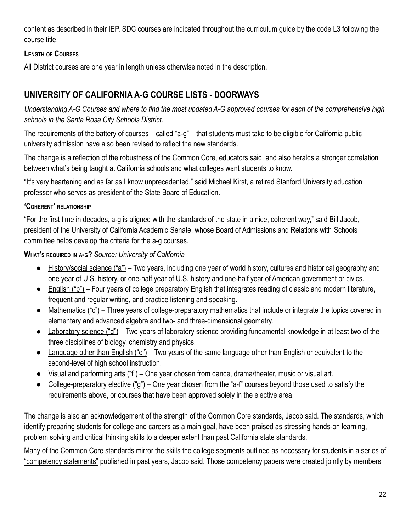content as described in their IEP. SDC courses are indicated throughout the curriculum guide by the code L3 following the course title.

#### **LENGTH OF COURSES**

All District courses are one year in length unless otherwise noted in the description.

## **UNIVERSITY OF CALIFORNIA A-G COURSE LISTS - DOORWAYS**

*Understanding A-G Courses and where to find the most updated A-G approved courses for each of the comprehensive high schools in the Santa Rosa City Schools District.*

The requirements of the battery of courses – called "a-g" – that students must take to be eligible for California public university admission have also been revised to reflect the new standards.

The change is a reflection of the robustness of the Common Core, educators said, and also heralds a stronger correlation between what's being taught at California schools and what colleges want students to know.

"It's very heartening and as far as I know unprecedented," said Michael Kirst, a retired Stanford University education professor who serves as president of the State Board of Education.

#### **'COHERENT' RELATIONSHIP**

"For the first time in decades, a-g is aligned with the standards of the state in a nice, coherent way," said Bill Jacob, president of the University of California Academic Senate, whose Board of Admissions and Relations with Schools committee helps develop the criteria for the a-g courses.

#### **WHAT'<sup>S</sup> REQUIRED IN <sup>A</sup>-G?** *Source: University of California*

- History/social science ("a") Two years, including one year of world history, cultures and historical geography and one year of U.S. history, or one-half year of U.S. history and one-half year of American government or civics.
- English ("b") Four years of college preparatory English that integrates reading of classic and modern literature, frequent and regular writing, and practice listening and speaking.
- Mathematics ("c") Three years of college-preparatory mathematics that include or integrate the topics covered in elementary and advanced algebra and two- and three-dimensional geometry.
- Laboratory science ("d") Two years of laboratory science providing fundamental knowledge in at least two of the three disciplines of biology, chemistry and physics.
- Language other than English ("e") Two years of the same language other than English or equivalent to the second-level of high school instruction.
- Visual and performing arts ("f") One year chosen from dance, drama/theater, music or visual art.
- College-preparatory elective ("g") One year chosen from the "a-f" courses beyond those used to satisfy the requirements above, or courses that have been approved solely in the elective area.

The change is also an acknowledgement of the strength of the Common Core standards, Jacob said. The standards, which identify preparing students for college and careers as a main goal, have been praised as stressing hands-on learning, problem solving and critical thinking skills to a deeper extent than past California state standards.

Many of the Common Core standards mirror the skills the college segments outlined as necessary for students in a series of "competency statements" published in past years, Jacob said. Those competency papers were created jointly by members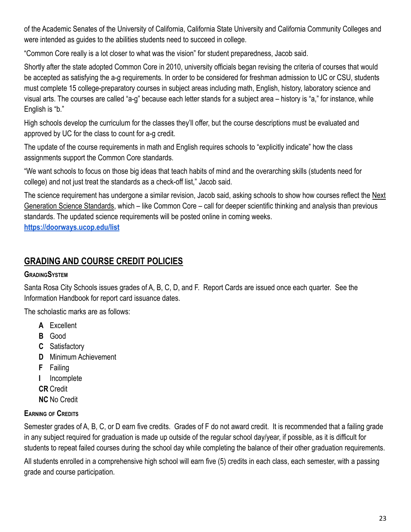of the Academic Senates of the University of California, California State University and California Community Colleges and were intended as guides to the abilities students need to succeed in college.

"Common Core really is a lot closer to what was the vision" for student preparedness, Jacob said.

Shortly after the state adopted Common Core in 2010, university officials began revising the criteria of courses that would be accepted as satisfying the a-g requirements. In order to be considered for freshman admission to UC or CSU, students must complete 15 college-preparatory courses in subject areas including math, English, history, laboratory science and visual arts. The courses are called "a-g" because each letter stands for a subject area – history is "a," for instance, while English is "b."

High schools develop the curriculum for the classes they'll offer, but the course descriptions must be evaluated and approved by UC for the class to count for a-g credit.

The update of the course requirements in math and English requires schools to "explicitly indicate" how the class assignments support the Common Core standards.

"We want schools to focus on those big ideas that teach habits of mind and the overarching skills (students need for college) and not just treat the standards as a check-off list," Jacob said.

The science requirement has undergone a similar revision, Jacob said, asking schools to show how courses reflect the Next Generation Science Standards, which – like Common Core – call for deeper scientific thinking and analysis than previous standards. The updated science requirements will be posted online in coming weeks.

**<https://doorways.ucop.edu/list>**

## **GRADING AND COURSE CREDIT POLICIES**

#### **GRADINGSYSTEM**

Santa Rosa City Schools issues grades of A, B, C, D, and F. Report Cards are issued once each quarter. See the Information Handbook for report card issuance dates.

The scholastic marks are as follows:

- **A** Excellent
- **B** Good
- **C** Satisfactory
- **D** Minimum Achievement
- **F** Failing
- **I** Incomplete
- **CR** Credit
- **NC** No Credit

#### **EARNING OF CREDITS**

Semester grades of A, B, C, or D earn five credits. Grades of F do not award credit. It is recommended that a failing grade in any subject required for graduation is made up outside of the regular school day/year, if possible, as it is difficult for students to repeat failed courses during the school day while completing the balance of their other graduation requirements.

All students enrolled in a comprehensive high school will earn five (5) credits in each class, each semester, with a passing grade and course participation.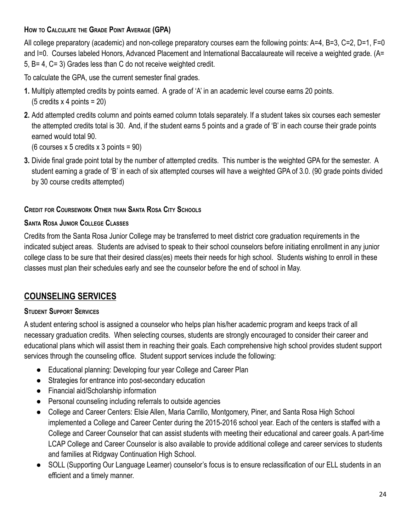#### **HOW TO CALCULATE THE GRADE POINT AVERAGE (GPA)**

All college preparatory (academic) and non-college preparatory courses earn the following points: A=4, B=3, C=2, D=1, F=0 and I=0. Courses labeled Honors, Advanced Placement and International Baccalaureate will receive a weighted grade. (A= 5, B= 4, C= 3) Grades less than C do not receive weighted credit.

To calculate the GPA, use the current semester final grades.

- **1.** Multiply attempted credits by points earned. A grade of 'A' in an academic level course earns 20 points. (5 credits x 4 points = 20)
- **2.** Add attempted credits column and points earned column totals separately. If a student takes six courses each semester the attempted credits total is 30. And, if the student earns 5 points and a grade of 'B' in each course their grade points earned would total 90.

(6 courses x 5 credits x 3 points = 90)

**3.** Divide final grade point total by the number of attempted credits. This number is the weighted GPA for the semester. A student earning a grade of 'B' in each of six attempted courses will have a weighted GPA of 3.0. (90 grade points divided by 30 course credits attempted)

#### **CREDIT FOR COURSEWORK OTHER THAN SANTA ROSA CITY SCHOOLS**

#### **SANTA ROSA JUNIOR COLLEGE CLASSES**

Credits from the Santa Rosa Junior College may be transferred to meet district core graduation requirements in the indicated subject areas. Students are advised to speak to their school counselors before initiating enrollment in any junior college class to be sure that their desired class(es) meets their needs for high school. Students wishing to enroll in these classes must plan their schedules early and see the counselor before the end of school in May.

## **COUNSELING SERVICES**

#### **STUDENT SUPPORT SERVICES**

A student entering school is assigned a counselor who helps plan his/her academic program and keeps track of all necessary graduation credits. When selecting courses, students are strongly encouraged to consider their career and educational plans which will assist them in reaching their goals. Each comprehensive high school provides student support services through the counseling office. Student support services include the following:

- Educational planning: Developing four year College and Career Plan
- Strategies for entrance into post-secondary education
- Financial aid/Scholarship information
- Personal counseling including referrals to outside agencies
- College and Career Centers: Elsie Allen, Maria Carrillo, Montgomery, Piner, and Santa Rosa High School implemented a College and Career Center during the 2015-2016 school year. Each of the centers is staffed with a College and Career Counselor that can assist students with meeting their educational and career goals. A part-time LCAP College and Career Counselor is also available to provide additional college and career services to students and families at Ridgway Continuation High School.
- SOLL (Supporting Our Language Learner) counselor's focus is to ensure reclassification of our ELL students in an efficient and a timely manner.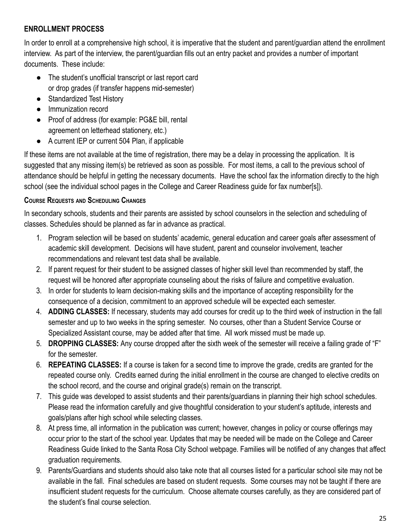#### **ENROLLMENT PROCESS**

In order to enroll at a comprehensive high school, it is imperative that the student and parent/guardian attend the enrollment interview. As part of the interview, the parent/guardian fills out an entry packet and provides a number of important documents. These include:

- The student's unofficial transcript or last report card or drop grades (if transfer happens mid-semester)
- Standardized Test History
- Immunization record
- Proof of address (for example: PG&E bill, rental agreement on letterhead stationery, etc.)
- A current IEP or current 504 Plan, if applicable

If these items are not available at the time of registration, there may be a delay in processing the application. It is suggested that any missing item(s) be retrieved as soon as possible. For most items, a call to the previous school of attendance should be helpful in getting the necessary documents. Have the school fax the information directly to the high school (see the individual school pages in the College and Career Readiness quide for fax number[s]).

#### **COURSE REQUESTS AND SCHEDULING CHANGES**

In secondary schools, students and their parents are assisted by school counselors in the selection and scheduling of classes. Schedules should be planned as far in advance as practical.

- 1. Program selection will be based on students' academic, general education and career goals after assessment of academic skill development. Decisions will have student, parent and counselor involvement, teacher recommendations and relevant test data shall be available.
- 2. If parent request for their student to be assigned classes of higher skill level than recommended by staff, the request will be honored after appropriate counseling about the risks of failure and competitive evaluation.
- 3. In order for students to learn decision-making skills and the importance of accepting responsibility for the consequence of a decision, commitment to an approved schedule will be expected each semester.
- 4. **ADDING CLASSES:** If necessary, students may add courses for credit up to the third week of instruction in the fall semester and up to two weeks in the spring semester. No courses, other than a Student Service Course or Specialized Assistant course, may be added after that time. All work missed must be made up.
- 5. **DROPPING CLASSES:** Any course dropped after the sixth week of the semester will receive a failing grade of "F" for the semester.
- 6. **REPEATING CLASSES:** If a course is taken for a second time to improve the grade, credits are granted for the repeated course only. Credits earned during the initial enrollment in the course are changed to elective credits on the school record, and the course and original grade(s) remain on the transcript.
- 7. This guide was developed to assist students and their parents/guardians in planning their high school schedules. Please read the information carefully and give thoughtful consideration to your student's aptitude, interests and goals/plans after high school while selecting classes.
- 8. At press time, all information in the publication was current; however, changes in policy or course offerings may occur prior to the start of the school year. Updates that may be needed will be made on the College and Career Readiness Guide linked to the Santa Rosa City School webpage. Families will be notified of any changes that affect graduation requirements.
- 9. Parents/Guardians and students should also take note that all courses listed for a particular school site may not be available in the fall. Final schedules are based on student requests. Some courses may not be taught if there are insufficient student requests for the curriculum. Choose alternate courses carefully, as they are considered part of the student's final course selection.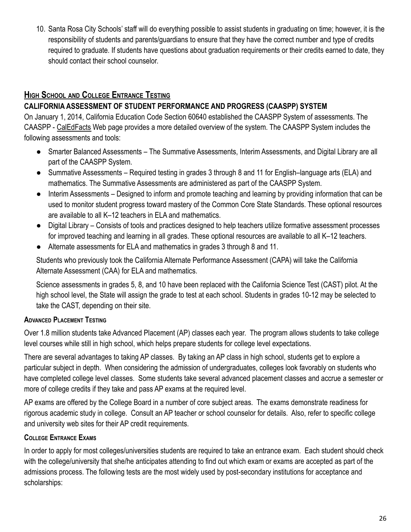10. Santa Rosa City Schools' staff will do everything possible to assist students in graduating on time; however, it is the responsibility of students and parents/guardians to ensure that they have the correct number and type of credits required to graduate. If students have questions about graduation requirements or their credits earned to date, they should contact their school counselor.

## **HIGH SCHOOL AND COLLEGE ENTRANCE TESTING**

#### **CALIFORNIA ASSESSMENT OF STUDENT PERFORMANCE AND PROGRESS (CAASPP) SYSTEM**

On January 1, 2014, California Education Code Section 60640 established the CAASPP System of assessments. The CAASPP - CalEdFacts Web page provides a more detailed overview of the system. The CAASPP System includes the following assessments and tools:

- Smarter Balanced Assessments The Summative Assessments, Interim Assessments, and Digital Library are all part of the CAASPP System.
- Summative Assessments Required testing in grades 3 through 8 and 11 for English–language arts (ELA) and mathematics. The Summative Assessments are administered as part of the CAASPP System.
- Interim Assessments Designed to inform and promote teaching and learning by providing information that can be used to monitor student progress toward mastery of the Common Core State Standards. These optional resources are available to all K–12 teachers in ELA and mathematics.
- Digital Library Consists of tools and practices designed to help teachers utilize formative assessment processes for improved teaching and learning in all grades. These optional resources are available to all K–12 teachers.
- Alternate assessments for ELA and mathematics in grades 3 through 8 and 11.

Students who previously took the California Alternate Performance Assessment (CAPA) will take the California Alternate Assessment (CAA) for ELA and mathematics.

Science assessments in grades 5, 8, and 10 have been replaced with the California Science Test (CAST) pilot. At the high school level, the State will assign the grade to test at each school. Students in grades 10-12 may be selected to take the CAST, depending on their site.

#### **ADVANCED PLACEMENT TESTING**

Over 1.8 million students take Advanced Placement (AP) classes each year. The program allows students to take college level courses while still in high school, which helps prepare students for college level expectations.

There are several advantages to taking AP classes. By taking an AP class in high school, students get to explore a particular subject in depth. When considering the admission of undergraduates, colleges look favorably on students who have completed college level classes. Some students take several advanced placement classes and accrue a semester or more of college credits if they take and pass AP exams at the required level.

AP exams are offered by the College Board in a number of core subject areas. The exams demonstrate readiness for rigorous academic study in college. Consult an AP teacher or school counselor for details. Also, refer to specific college and university web sites for their AP credit requirements.

## **COLLEGE ENTRANCE EXAMS**

In order to apply for most colleges/universities students are required to take an entrance exam. Each student should check with the college/university that she/he anticipates attending to find out which exam or exams are accepted as part of the admissions process. The following tests are the most widely used by post-secondary institutions for acceptance and scholarships: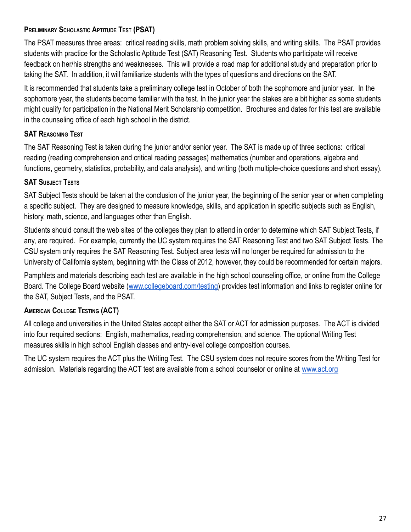#### **PRELIMINARY SCHOLASTIC APTITUDE TEST (PSAT)**

The PSAT measures three areas: critical reading skills, math problem solving skills, and writing skills. The PSAT provides students with practice for the Scholastic Aptitude Test (SAT) Reasoning Test. Students who participate will receive feedback on her/his strengths and weaknesses. This will provide a road map for additional study and preparation prior to taking the SAT. In addition, it will familiarize students with the types of questions and directions on the SAT.

It is recommended that students take a preliminary college test in October of both the sophomore and junior year. In the sophomore year, the students become familiar with the test. In the junior year the stakes are a bit higher as some students might qualify for participation in the National Merit Scholarship competition. Brochures and dates for this test are available in the counseling office of each high school in the district.

#### **SAT REASONING TEST**

The SAT Reasoning Test is taken during the junior and/or senior year. The SAT is made up of three sections: critical reading (reading comprehension and critical reading passages) mathematics (number and operations, algebra and functions, geometry, statistics, probability, and data analysis), and writing (both multiple-choice questions and short essay).

#### **SAT SUBJECT TESTS**

SAT Subject Tests should be taken at the conclusion of the junior year, the beginning of the senior year or when completing a specific subject. They are designed to measure knowledge, skills, and application in specific subjects such as English, history, math, science, and languages other than English.

Students should consult the web sites of the colleges they plan to attend in order to determine which SAT Subject Tests, if any, are required. For example, currently the UC system requires the SAT Reasoning Test and two SAT Subject Tests. The CSU system only requires the SAT Reasoning Test. Subject area tests will no longer be required for admission to the University of California system, beginning with the Class of 2012, however, they could be recommended for certain majors.

Pamphlets and materials describing each test are available in the high school counseling office, or online from the College Board. The College Board website ([www.collegeboard.com/testing\)](http://www.collegeboard.com/testing) provides test information and links to register online for the SAT, Subject Tests, and the PSAT.

#### **AMERICAN COLLEGE TESTING (ACT)**

All college and universities in the United States accept either the SAT or ACT for admission purposes. The ACT is divided into four required sections: English, mathematics, reading comprehension, and science. The optional Writing Test measures skills in high school English classes and entry-level college composition courses.

The UC system requires the ACT plus the Writing Test. The CSU system does not require scores from the Writing Test for admission. Materials regarding the ACT test are available from a school counselor or online at [www.act.org](http://www.act.org)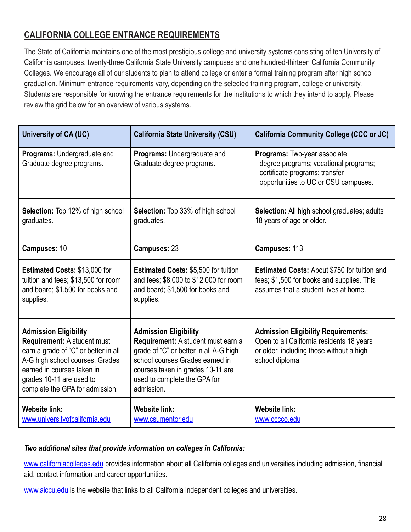## **CALIFORNIA COLLEGE ENTRANCE REQUIREMENTS**

The State of California maintains one of the most prestigious college and university systems consisting of ten University of California campuses, twenty-three California State University campuses and one hundred-thirteen California Community Colleges. We encourage all of our students to plan to attend college or enter a formal training program after high school graduation. Minimum entrance requirements vary, depending on the selected training program, college or university. Students are responsible for knowing the entrance requirements for the institutions to which they intend to apply. Please review the grid below for an overview of various systems.

| <b>University of CA (UC)</b>                                                                                                                                                                                                               | <b>California State University (CSU)</b>                                                                                                                                                                                           | <b>California Community College (CCC or JC)</b>                                                                                                        |
|--------------------------------------------------------------------------------------------------------------------------------------------------------------------------------------------------------------------------------------------|------------------------------------------------------------------------------------------------------------------------------------------------------------------------------------------------------------------------------------|--------------------------------------------------------------------------------------------------------------------------------------------------------|
| Programs: Undergraduate and<br>Graduate degree programs.                                                                                                                                                                                   | Programs: Undergraduate and<br>Graduate degree programs.                                                                                                                                                                           | Programs: Two-year associate<br>degree programs; vocational programs;<br>certificate programs; transfer<br>opportunities to UC or CSU campuses.        |
| <b>Selection:</b> Top 12% of high school<br>graduates.                                                                                                                                                                                     | <b>Selection:</b> Top 33% of high school<br>graduates.                                                                                                                                                                             | <b>Selection:</b> All high school graduates; adults<br>18 years of age or older.                                                                       |
| Campuses: 10                                                                                                                                                                                                                               | Campuses: 23                                                                                                                                                                                                                       | Campuses: 113                                                                                                                                          |
| <b>Estimated Costs: \$13,000 for</b><br>tuition and fees; \$13,500 for room<br>and board; \$1,500 for books and<br>supplies.                                                                                                               | <b>Estimated Costs: \$5,500 for tuition</b><br>and fees; \$8,000 to \$12,000 for room<br>and board; \$1,500 for books and<br>supplies.                                                                                             | <b>Estimated Costs: About \$750 for tuition and</b><br>fees; \$1,500 for books and supplies. This<br>assumes that a student lives at home.             |
| <b>Admission Eligibility</b><br><b>Requirement: A student must</b><br>earn a grade of "C" or better in all<br>A-G high school courses. Grades<br>earned in courses taken in<br>grades 10-11 are used to<br>complete the GPA for admission. | <b>Admission Eligibility</b><br>Requirement: A student must earn a<br>grade of "C" or better in all A-G high<br>school courses Grades earned in<br>courses taken in grades 10-11 are<br>used to complete the GPA for<br>admission. | <b>Admission Eligibility Requirements:</b><br>Open to all California residents 18 years<br>or older, including those without a high<br>school diploma. |
| <b>Website link:</b><br>www.universityofcalifornia.edu                                                                                                                                                                                     | <b>Website link:</b><br>www.csumentor.edu                                                                                                                                                                                          | <b>Website link:</b><br>www.cccco.edu                                                                                                                  |

#### *Two additional sites that provide information on colleges in California:*

[www.californiacolleges.edu](http://www.californiacolleges.edu/) provides information about all California colleges and universities including admission, financial aid, contact information and career opportunities.

[www.aiccu.edu](http://www.aiccu.edu/) is the website that links to all California independent colleges and universities.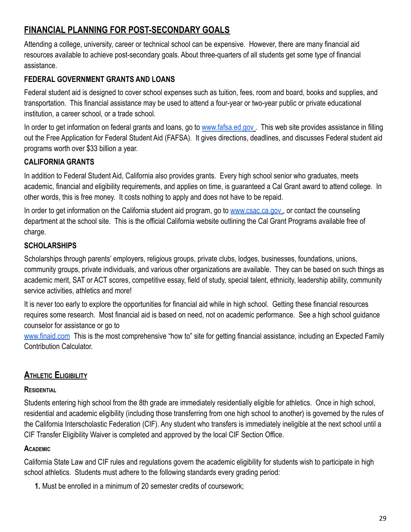## **FINANCIAL PLANNING FOR POST-SECONDARY GOALS**

Attending a college, university, career or technical school can be expensive. However, there are many financial aid resources available to achieve post-secondary goals. About three-quarters of all students get some type of financial assistance.

#### **FEDERAL GOVERNMENT GRANTS AND LOANS**

Federal student aid is designed to cover school expenses such as tuition, fees, room and board, books and supplies, and transportation. This financial assistance may be used to attend a four-year or two-year public or private educational institution, a career school, or a trade school.

In order to get information on federal grants and loans, go to [www.fafsa.ed.gov](http://www.fafsa.ed.gov). This web site provides assistance in filling out the Free Application for Federal Student Aid (FAFSA). It gives directions, deadlines, and discusses Federal student aid programs worth over \$33 billion a year.

#### **CALIFORNIA GRANTS**

In addition to Federal Student Aid, California also provides grants. Every high school senior who graduates, meets academic, financial and eligibility requirements, and applies on time, is guaranteed a Cal Grant award to attend college. In other words, this is free money. It costs nothing to apply and does not have to be repaid.

In order to get information on the California student aid program, go to [www.csac.ca.gov](http://www.csac.ca.gov), or contact the counseling department at the school site. This is the official California website outlining the Cal Grant Programs available free of charge.

#### **SCHOLARSHIPS**

Scholarships through parents' employers, religious groups, private clubs, lodges, businesses, foundations, unions, community groups, private individuals, and various other organizations are available. They can be based on such things as academic merit, SAT or ACT scores, competitive essay, field of study, special talent, ethnicity, leadership ability, community service activities, athletics and more!

It is never too early to explore the opportunities for financial aid while in high school. Getting these financial resources requires some research. Most financial aid is based on need, not on academic performance. See a high school guidance counselor for assistance or go to

[www.finaid.com](http://www.finaid.com) This is the most comprehensive "how to" site for getting financial assistance, including an Expected Family Contribution Calculator.

## **ATHLETIC ELIGIBILITY**

#### **RESIDENTIAL**

Students entering high school from the 8th grade are immediately residentially eligible for athletics. Once in high school, residential and academic eligibility (including those transferring from one high school to another) is governed by the rules of the California Interscholastic Federation (CIF). Any student who transfers is immediately ineligible at the next school until a CIF Transfer Eligibility Waiver is completed and approved by the local CIF Section Office.

#### **ACADEMIC**

California State Law and CIF rules and regulations govern the academic eligibility for students wish to participate in high school athletics. Students must adhere to the following standards every grading period:

**1.** Must be enrolled in a minimum of 20 semester credits of coursework;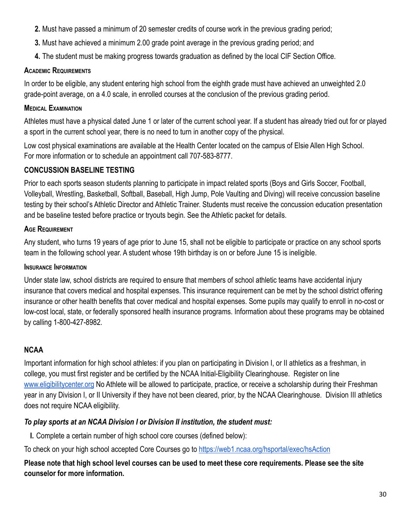- **2.** Must have passed a minimum of 20 semester credits of course work in the previous grading period;
- **3.** Must have achieved a minimum 2.00 grade point average in the previous grading period; and
- **4.** The student must be making progress towards graduation as defined by the local CIF Section Office.

#### **ACADEMIC REQUIREMENTS**

In order to be eligible, any student entering high school from the eighth grade must have achieved an unweighted 2.0 grade-point average, on a 4.0 scale, in enrolled courses at the conclusion of the previous grading period.

#### **MEDICAL EXAMINATION**

Athletes must have a physical dated June 1 or later of the current school year. If a student has already tried out for or played a sport in the current school year, there is no need to turn in another copy of the physical.

Low cost physical examinations are available at the Health Center located on the campus of Elsie Allen High School. For more information or to schedule an appointment call 707-583-8777.

#### **CONCUSSION BASELINE TESTING**

Prior to each sports season students planning to participate in impact related sports (Boys and Girls Soccer, Football, Volleyball, Wrestling, Basketball, Softball, Baseball, High Jump, Pole Vaulting and Diving) will receive concussion baseline testing by their school's Athletic Director and Athletic Trainer. Students must receive the concussion education presentation and be baseline tested before practice or tryouts begin. See the Athletic packet for details.

#### **AGE REQUIREMENT**

Any student, who turns 19 years of age prior to June 15, shall not be eligible to participate or practice on any school sports team in the following school year. A student whose 19th birthday is on or before June 15 is ineligible.

#### **INSURANCE INFORMATION**

Under state law, school districts are required to ensure that members of school athletic teams have accidental injury insurance that covers medical and hospital expenses. This insurance requirement can be met by the school district offering insurance or other health benefits that cover medical and hospital expenses. Some pupils may qualify to enroll in no-cost or low-cost local, state, or federally sponsored health insurance programs. Information about these programs may be obtained by calling 1-800-427-8982.

#### **NCAA**

Important information for high school athletes: if you plan on participating in Division I, or II athletics as a freshman, in college, you must first register and be certified by the NCAA Initial-Eligibility Clearinghouse. Register on line [www.eligibilitycenter.org](http://www.eligibilitycenter.org) No Athlete will be allowed to participate, practice, or receive a scholarship during their Freshman year in any Division I, or II University if they have not been cleared, prior, by the NCAA Clearinghouse. Division III athletics does not require NCAA eligibility.

#### *To play sports at an NCAA Division I or Division II institution, the student must:*

**I.** Complete a certain number of high school core courses (defined below):

To check on your high school accepted Core Courses go to <https://web1.ncaa.org/hsportal/exec/hsAction>

**Please note that high school level courses can be used to meet these core requirements. Please see the site counselor for more information.**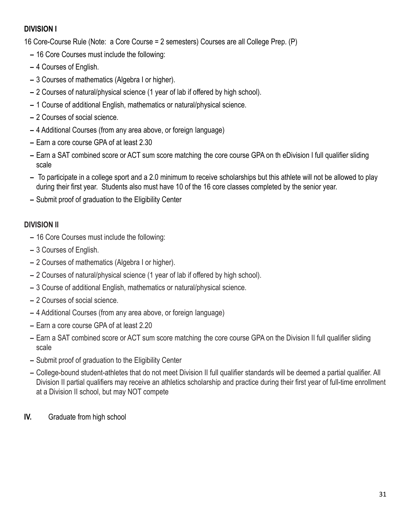#### **DIVISION I**

16 Core-Course Rule (Note: a Core Course = 2 semesters) Courses are all College Prep. (P)

- **–** 16 Core Courses must include the following:
- **–** 4 Courses of English.
- **–** 3 Courses of mathematics (Algebra I or higher).
- **–** 2 Courses of natural/physical science (1 year of lab if offered by high school).
- **–** 1 Course of additional English, mathematics or natural/physical science.
- **–** 2 Courses of social science.
- **–** 4 Additional Courses (from any area above, or foreign language)
- **–** Earn a core course GPA of at least 2.30
- **–** Earn a SAT combined score or ACT sum score matching the core course GPA on th eDivision I full qualifier sliding scale
- **–** To participate in a college sport and a 2.0 minimum to receive scholarships but this athlete will not be allowed to play during their first year. Students also must have 10 of the 16 core classes completed by the senior year.
- **–** Submit proof of graduation to the Eligibility Center

#### **DIVISION II**

- **–** 16 Core Courses must include the following:
- **–** 3 Courses of English.
- **–** 2 Courses of mathematics (Algebra I or higher).
- **–** 2 Courses of natural/physical science (1 year of lab if offered by high school).
- **–** 3 Course of additional English, mathematics or natural/physical science.
- **–** 2 Courses of social science.
- **–** 4 Additional Courses (from any area above, or foreign language)
- **–** Earn a core course GPA of at least 2.20
- **–** Earn a SAT combined score or ACT sum score matching the core course GPA on the Division II full qualifier sliding scale
- **–** Submit proof of graduation to the Eligibility Center
- **–** College-bound student-athletes that do not meet Division II full qualifier standards will be deemed a partial qualifier. All Division II partial qualifiers may receive an athletics scholarship and practice during their first year of full-time enrollment at a Division II school, but may NOT compete
- **IV.** Graduate from high school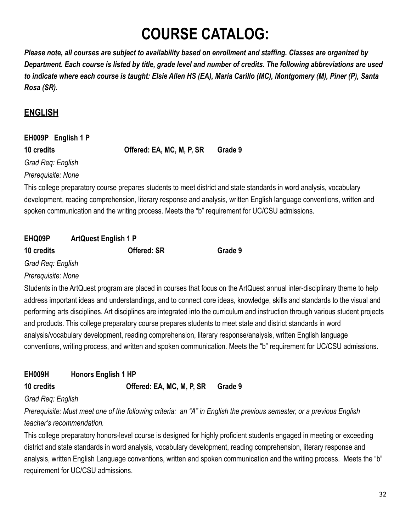## **COURSE CATALOG:**

*Please note, all courses are subject to availability based on enrollment and staffing. Classes are organized by Department. Each course is listed by title, grade level and number of credits. The following abbreviations are used to indicate where each course is taught: Elsie Allen HS (EA), Maria Carillo (MC), Montgomery (M), Piner (P), Santa Rosa (SR).*

## **ENGLISH**

## **EH009P English 1 P**

**10 credits Offered: EA, MC, M, P, SR Grade 9**

*Grad Req: English Prerequisite: None*

This college preparatory course prepares students to meet district and state standards in word analysis, vocabulary development, reading comprehension, literary response and analysis, written English language conventions, written and spoken communication and the writing process. Meets the "b" requirement for UC/CSU admissions.

| EHQ09P            | <b>ArtQuest English 1 P</b> |         |
|-------------------|-----------------------------|---------|
| 10 credits        | <b>Offered: SR</b>          | Grade 9 |
| Grad Req: English |                             |         |

## *Prerequisite: None*

Students in the ArtQuest program are placed in courses that focus on the ArtQuest annual inter-disciplinary theme to help address important ideas and understandings, and to connect core ideas, knowledge, skills and standards to the visual and performing arts disciplines. Art disciplines are integrated into the curriculum and instruction through various student projects and products. This college preparatory course prepares students to meet state and district standards in word analysis/vocabulary development, reading comprehension, literary response/analysis, written English language conventions, writing process, and written and spoken communication. Meets the "b" requirement for UC/CSU admissions.

| EH009H     | <b>Honors English 1 HP</b> |         |
|------------|----------------------------|---------|
| 10 credits | Offered: EA, MC, M, P, SR  | Grade 9 |

*Grad Req: English*

*Prerequisite: Must meet one of the following criteria: an "A" in English the previous semester, or a previous English teacher's recommendation.*

This college preparatory honors-level course is designed for highly proficient students engaged in meeting or exceeding district and state standards in word analysis, vocabulary development, reading comprehension, literary response and analysis, written English Language conventions, written and spoken communication and the writing process. Meets the "b" requirement for UC/CSU admissions.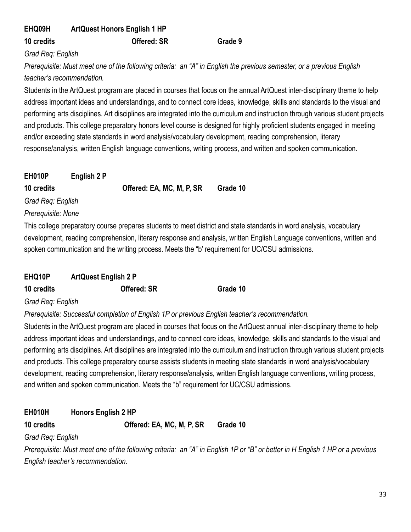| EHQ09H     | <b>ArtQuest Honors English 1 HP</b> |         |
|------------|-------------------------------------|---------|
| 10 credits | <b>Offered: SR</b>                  | Grade 9 |

*Grad Req: English*

*Prerequisite: Must meet one of the following criteria: an "A" in English the previous semester, or a previous English teacher's recommendation.*

Students in the ArtQuest program are placed in courses that focus on the annual ArtQuest inter-disciplinary theme to help address important ideas and understandings, and to connect core ideas, knowledge, skills and standards to the visual and performing arts disciplines. Art disciplines are integrated into the curriculum and instruction through various student projects and products. This college preparatory honors level course is designed for highly proficient students engaged in meeting and/or exceeding state standards in word analysis/vocabulary development, reading comprehension, literary response/analysis, written English language conventions, writing process, and written and spoken communication.

| EH010P             | English 2 P |                                                                                 |          |
|--------------------|-------------|---------------------------------------------------------------------------------|----------|
| 10 credits         |             | Offered: EA, MC, M, P, SR                                                       | Grade 10 |
| Grad Req: English  |             |                                                                                 |          |
| Prerequisite: None |             |                                                                                 |          |
|                    |             | . This college preparatory course prepares students to meet district and state. |          |

This college preparatory course prepares students to meet district and state standards in word analysis, vocabulary development, reading comprehension, literary response and analysis, written English Language conventions, written and spoken communication and the writing process. Meets the "b' requirement for UC/CSU admissions.

| EHQ10P     | <b>ArtQuest English 2 P</b> |          |
|------------|-----------------------------|----------|
| 10 credits | <b>Offered: SR</b>          | Grade 10 |

#### *Grad Req: English*

*Prerequisite: Successful completion of English 1P or previous English teacher's recommendation.*

Students in the ArtQuest program are placed in courses that focus on the ArtQuest annual inter-disciplinary theme to help address important ideas and understandings, and to connect core ideas, knowledge, skills and standards to the visual and performing arts disciplines. Art disciplines are integrated into the curriculum and instruction through various student projects and products. This college preparatory course assists students in meeting state standards in word analysis/vocabulary development, reading comprehension, literary response/analysis, written English language conventions, writing process, and written and spoken communication. Meets the "b" requirement for UC/CSU admissions.

#### **EH010H Honors English 2 HP**

#### **10 credits Offered: EA, MC, M, P, SR Grade 10**

#### *Grad Req: English*

*Prerequisite: Must meet one of the following criteria: an "A" in English 1P or "B" or better in H English 1 HP or a previous English teacher's recommendation.*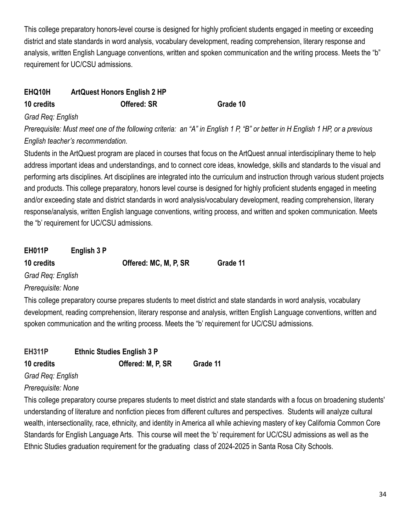This college preparatory honors-level course is designed for highly proficient students engaged in meeting or exceeding district and state standards in word analysis, vocabulary development, reading comprehension, literary response and analysis, written English Language conventions, written and spoken communication and the writing process. Meets the "b" requirement for UC/CSU admissions.

## **EHQ10H ArtQuest Honors English 2 HP**

**10 credits Offered: SR Grade 10**

#### *Grad Req: English*

*Prerequisite: Must meet one of the following criteria: an "A" in English 1 P, "B" or better in H English 1 HP, or a previous English teacher's recommendation.*

Students in the ArtQuest program are placed in courses that focus on the ArtQuest annual interdisciplinary theme to help address important ideas and understandings, and to connect core ideas, knowledge, skills and standards to the visual and performing arts disciplines. Art disciplines are integrated into the curriculum and instruction through various student projects and products. This college preparatory, honors level course is designed for highly proficient students engaged in meeting and/or exceeding state and district standards in word analysis/vocabulary development, reading comprehension, literary response/analysis, written English language conventions, writing process, and written and spoken communication. Meets the "b' requirement for UC/CSU admissions.

## **EH011P English 3 P**

**10 credits Offered: MC, M, P, SR Grade 11**

*Grad Req: English*

*Prerequisite: None*

This college preparatory course prepares students to meet district and state standards in word analysis, vocabulary development, reading comprehension, literary response and analysis, written English Language conventions, written and spoken communication and the writing process. Meets the "b' requirement for UC/CSU admissions.

#### **EH311P Ethnic Studies English 3 P 10 credits Offered: M, P, SR Grade 11**

*Grad Req: English*

*Prerequisite: None*

This college preparatory course prepares students to meet district and state standards with a focus on broadening students' understanding of literature and nonfiction pieces from different cultures and perspectives. Students will analyze cultural wealth, intersectionality, race, ethnicity, and identity in America all while achieving mastery of key California Common Core Standards for English Language Arts. This course will meet the 'b' requirement for UC/CSU admissions as well as the Ethnic Studies graduation requirement for the graduating class of 2024-2025 in Santa Rosa City Schools.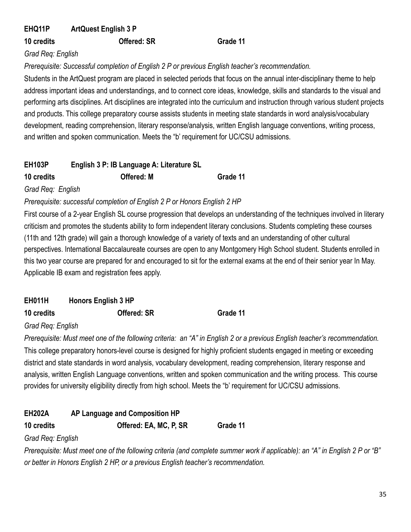#### **EHQ11P ArtQuest English 3 P**

**10 credits Offered: SR Grade 11**

#### *Grad Req: English*

*Prerequisite: Successful completion of English 2 P or previous English teacher's recommendation.*

Students in the ArtQuest program are placed in selected periods that focus on the annual inter-disciplinary theme to help address important ideas and understandings, and to connect core ideas, knowledge, skills and standards to the visual and performing arts disciplines. Art disciplines are integrated into the curriculum and instruction through various student projects and products. This college preparatory course assists students in meeting state standards in word analysis/vocabulary development, reading comprehension, literary response/analysis, written English language conventions, writing process, and written and spoken communication. Meets the "b' requirement for UC/CSU admissions.

| EH103P     | English 3 P: IB Language A: Literature SL |          |
|------------|-------------------------------------------|----------|
| 10 credits | <b>Offered: M</b>                         | Grade 11 |

*Grad Req: English*

*Prerequisite: successful completion of English 2 P or Honors English 2 HP*

First course of a 2-year English SL course progression that develops an understanding of the techniques involved in literary criticism and promotes the students ability to form independent literary conclusions. Students completing these courses (11th and 12th grade) will gain a thorough knowledge of a variety of texts and an understanding of other cultural perspectives. International Baccalaureate courses are open to any Montgomery High School student. Students enrolled in this two year course are prepared for and encouraged to sit for the external exams at the end of their senior year In May. Applicable IB exam and registration fees apply.

**EH011H Honors English 3 HP**

**10 credits Offered: SR Grade 11**

*Grad Req: English*

*Prerequisite: Must meet one of the following criteria: an "A" in English 2 or a previous English teacher's recommendation.* This college preparatory honors-level course is designed for highly proficient students engaged in meeting or exceeding district and state standards in word analysis, vocabulary development, reading comprehension, literary response and analysis, written English Language conventions, written and spoken communication and the writing process. This course provides for university eligibility directly from high school. Meets the "b' requirement for UC/CSU admissions.

| <b>EH202A</b> | AP Language and Composition HP |          |
|---------------|--------------------------------|----------|
| 10 credits    | Offered: EA, MC, P, SR         | Grade 11 |

#### *Grad Req: English*

*Prerequisite: Must meet one of the following criteria (and complete summer work if applicable): an "A" in English 2 P or "B" or better in Honors English 2 HP, or a previous English teacher's recommendation.*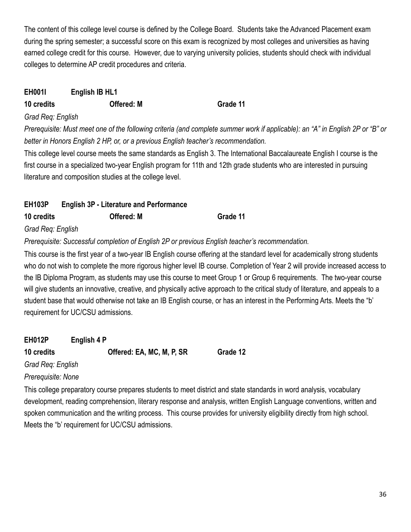The content of this college level course is defined by the College Board. Students take the Advanced Placement exam during the spring semester; a successful score on this exam is recognized by most colleges and universities as having earned college credit for this course. However, due to varying university policies, students should check with individual colleges to determine AP credit procedures and criteria.

#### **EH001I English IB HL1**

#### **10 credits Offered: M Grade 11**

*Grad Req: English*

*Prerequisite: Must meet one of the following criteria (and complete summer work if applicable): an "A" in English 2P or "B" or better in Honors English 2 HP, or, or a previous English teacher's recommendation.*

This college level course meets the same standards as English 3. The International Baccalaureate English I course is the first course in a specialized two-year English program for 11th and 12th grade students who are interested in pursuing literature and composition studies at the college level.

## **EH103P English 3P - Literature and Performance 10 credits Offered: M Grade 11** *Grad Req: English*

*Prerequisite: Successful completion of English 2P or previous English teacher's recommendation.*

This course is the first year of a two-year IB English course offering at the standard level for academically strong students who do not wish to complete the more rigorous higher level IB course. Completion of Year 2 will provide increased access to the IB Diploma Program, as students may use this course to meet Group 1 or Group 6 requirements. The two-year course will give students an innovative, creative, and physically active approach to the critical study of literature, and appeals to a student base that would otherwise not take an IB English course, or has an interest in the Performing Arts. Meets the "b' requirement for UC/CSU admissions.

**EH012P English 4 P 10 credits Offered: EA, MC, M, P, SR Grade 12** *Grad Req: English*

*Prerequisite: None*

This college preparatory course prepares students to meet district and state standards in word analysis, vocabulary development, reading comprehension, literary response and analysis, written English Language conventions, written and spoken communication and the writing process. This course provides for university eligibility directly from high school. Meets the "b' requirement for UC/CSU admissions.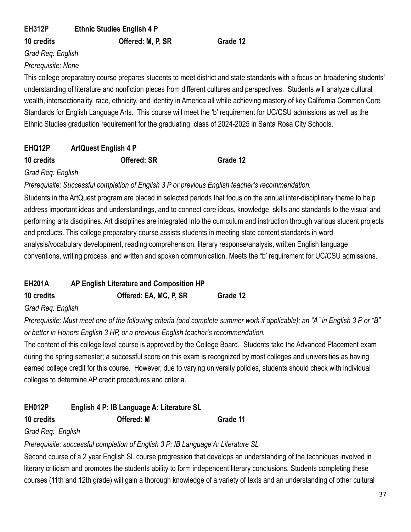**EH312P Ethnic Studies English 4 P**

**10 credits Offered: M, P, SR Grade 12**

*Grad Req: English Prerequisite: None*

This college preparatory course prepares students to meet district and state standards with a focus on broadening students' understanding of literature and nonfiction pieces from different cultures and perspectives. Students will analyze cultural wealth, intersectionality, race, ethnicity, and identity in America all while achieving mastery of key California Common Core Standards for English Language Arts. This course will meet the 'b' requirement for UC/CSU admissions as well as the Ethnic Studies graduation requirement for the graduating class of 2024-2025 in Santa Rosa City Schools.

# **EHQ12P ArtQuest English 4 P**

# **10 credits Offered: SR Grade 12**

## *Grad Req: English*

*Prerequisite: Successful completion of English 3 P or previous English teacher's recommendation.*

Students in the ArtQuest program are placed in selected periods that focus on the annual inter-disciplinary theme to help address important ideas and understandings, and to connect core ideas, knowledge, skills and standards to the visual and performing arts disciplines. Art disciplines are integrated into the curriculum and instruction through various student projects and products. This college preparatory course assists students in meeting state content standards in word analysis/vocabulary development, reading comprehension, literary response/analysis, written English language conventions, writing process, and written and spoken communication. Meets the "b' requirement for UC/CSU admissions.

| <b>EH201A</b> | AP English Literature and Composition HP |          |
|---------------|------------------------------------------|----------|
| 10 credits    | Offered: EA, MC, P, SR                   | Grade 12 |

## *Grad Req: English*

*Prerequisite: Must meet one of the following criteria (and complete summer work if applicable): an "A" in English 3 P or "B" or better in Honors English 3 HP, or a previous English teacher's recommendation.*

The content of this college level course is approved by the College Board. Students take the Advanced Placement exam during the spring semester; a successful score on this exam is recognized by most colleges and universities as having earned college credit for this course. However, due to varying university policies, students should check with individual colleges to determine AP credit procedures and criteria.

| <b>EH012P</b> | English 4 P: IB Language A: Literature SL |          |
|---------------|-------------------------------------------|----------|
| 10 credits    | <b>Offered: M</b>                         | Grade 11 |

## *Grad Req: English*

*Prerequisite: successful completion of English 3 P: IB Language A: Literature SL*

Second course of a 2 year English SL course progression that develops an understanding of the techniques involved in literary criticism and promotes the students ability to form independent literary conclusions. Students completing these courses (11th and 12th grade) will gain a thorough knowledge of a variety of texts and an understanding of other cultural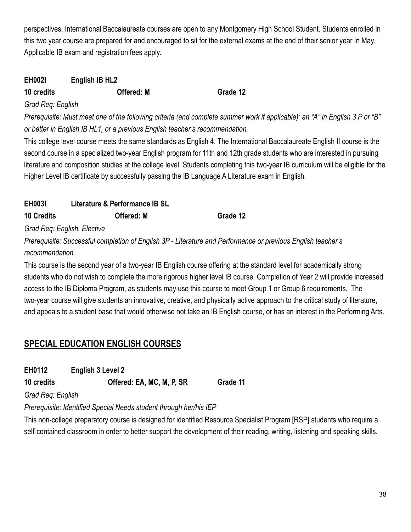perspectives. International Baccalaureate courses are open to any Montgomery High School Student. Students enrolled in this two year course are prepared for and encouraged to sit for the external exams at the end of their senior year In May. Applicable IB exam and registration fees apply.

## **EH002I English IB HL2 10 credits Offered: M Grade 12**

# *Grad Req: English*

*Prerequisite: Must meet one of the following criteria (and complete summer work if applicable): an "A" in English 3 P or "B" or better in English IB HL1, or a previous English teacher's recommendation.*

This college level course meets the same standards as English 4. The International Baccalaureate English II course is the second course in a specialized two-year English program for 11th and 12th grade students who are interested in pursuing literature and composition studies at the college level. Students completing this two-year IB curriculum will be eligible for the Higher Level IB certificate by successfully passing the IB Language A Literature exam in English.

## **EH003I Literature & Performance IB SL 10 Credits Offered: M Grade 12**

*Grad Req: English, Elective*

*Prerequisite: Successful completion of English 3P - Literature and Performance or previous English teacher's recommendation.*

This course is the second year of a two-year IB English course offering at the standard level for academically strong students who do not wish to complete the more rigorous higher level IB course. Completion of Year 2 will provide increased access to the IB Diploma Program, as students may use this course to meet Group 1 or Group 6 requirements. The two-year course will give students an innovative, creative, and physically active approach to the critical study of literature, and appeals to a student base that would otherwise not take an IB English course, or has an interest in the Performing Arts.

# **SPECIAL EDUCATION ENGLISH COURSES**

| EH0112 | English 3 Level 2 |
|--------|-------------------|
|        |                   |

**10 credits Offered: EA, MC, M, P, SR Grade 11**

*Grad Req: English*

*Prerequisite: Identified Special Needs student through her/his IEP*

This non-college preparatory course is designed for identified Resource Specialist Program [RSP] students who require a self-contained classroom in order to better support the development of their reading, writing, listening and speaking skills.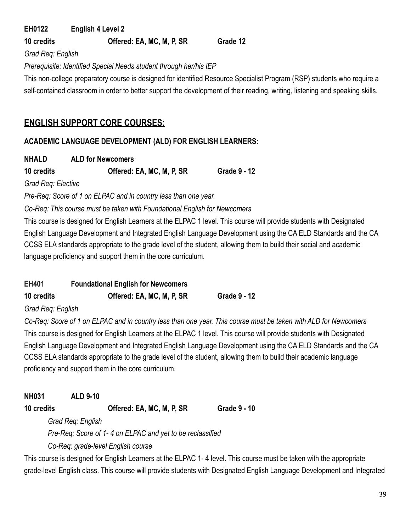### **EH0122 English 4 Level 2 10 credits Offered: EA, MC, M, P, SR Grade 12**

*Grad Req: English*

### *Prerequisite: Identified Special Needs student through her/his IEP*

This non-college preparatory course is designed for identified Resource Specialist Program (RSP) students who require a self-contained classroom in order to better support the development of their reading, writing, listening and speaking skills.

# **ENGLISH SUPPORT CORE COURSES:**

# **ACADEMIC LANGUAGE DEVELOPMENT (ALD) FOR ENGLISH LEARNERS:**

**NHALD ALD for Newcomers**

**10 credits Offered: EA, MC, M, P, SR Grade 9 - 12**

*Grad Req: Elective*

*Pre-Req: Score of 1 on ELPAC and in country less than one year.*

*Co-Req: This course must be taken with Foundational English for Newcomers*

This course is designed for English Learners at the ELPAC 1 level. This course will provide students with Designated English Language Development and Integrated English Language Development using the CA ELD Standards and the CA CCSS ELA standards appropriate to the grade level of the student, allowing them to build their social and academic language proficiency and support them in the core curriculum.

| <b>EH401</b>      | <b>Foundational English for Newcomers</b> |                     |
|-------------------|-------------------------------------------|---------------------|
| 10 credits        | Offered: EA, MC, M, P, SR                 | <b>Grade 9 - 12</b> |
| Grad Req: English |                                           |                     |

*Co-Req: Score of 1 on ELPAC and in country less than one year. This course must be taken with ALD for Newcomers* This course is designed for English Learners at the ELPAC 1 level. This course will provide students with Designated English Language Development and Integrated English Language Development using the CA ELD Standards and the CA CCSS ELA standards appropriate to the grade level of the student, allowing them to build their academic language proficiency and support them in the core curriculum.

**NH031 ALD 9-10**

**10 credits Offered: EA, MC, M, P, SR Grade 9 - 10**

*Grad Req: English*

*Pre-Req: Score of 1- 4 on ELPAC and yet to be reclassified*

*Co-Req: grade-level English course*

This course is designed for English Learners at the ELPAC 1- 4 level. This course must be taken with the appropriate grade-level English class. This course will provide students with Designated English Language Development and Integrated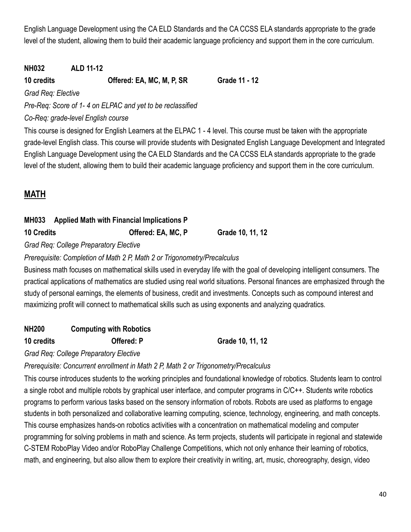English Language Development using the CA ELD Standards and the CA CCSS ELA standards appropriate to the grade level of the student, allowing them to build their academic language proficiency and support them in the core curriculum.

# **NH032 ALD 11-12**

**10 credits Offered: EA, MC, M, P, SR Grade 11 - 12**

*Grad Req: Elective*

*Pre-Req: Score of 1- 4 on ELPAC and yet to be reclassified*

*Co-Req: grade-level English course*

This course is designed for English Learners at the ELPAC 1 - 4 level. This course must be taken with the appropriate grade-level English class. This course will provide students with Designated English Language Development and Integrated English Language Development using the CA ELD Standards and the CA CCSS ELA standards appropriate to the grade level of the student, allowing them to build their academic language proficiency and support them in the core curriculum.

# **MATH**

# **MH033 Applied Math with Financial Implications P 10 Credits Offered: EA, MC, P Grade 10, 11, 12**

*Grad Req: College Preparatory Elective*

# *Prerequisite: Completion of Math 2 P, Math 2 or Trigonometry/Precalculus*

Business math focuses on mathematical skills used in everyday life with the goal of developing intelligent consumers. The practical applications of mathematics are studied using real world situations. Personal finances are emphasized through the study of personal earnings, the elements of business, credit and investments. Concepts such as compound interest and maximizing profit will connect to mathematical skills such as using exponents and analyzing quadratics*.*

# **NH200 Computing with Robotics**

**10 credits Offered: P Grade 10, 11, 12**

*Grad Req: College Preparatory Elective*

*Prerequisite: Concurrent enrollment in Math 2 P, Math 2 or Trigonometry/Precalculus*

This course introduces students to the working principles and foundational knowledge of robotics. Students learn to control a single robot and multiple robots by graphical user interface, and computer programs in C/C++. Students write robotics programs to perform various tasks based on the sensory information of robots. Robots are used as platforms to engage students in both personalized and collaborative learning computing, science, technology, engineering, and math concepts. This course emphasizes hands-on robotics activities with a concentration on mathematical modeling and computer programming for solving problems in math and science. As term projects, students will participate in regional and statewide C-STEM RoboPlay Video and/or RoboPlay Challenge Competitions, which not only enhance their learning of robotics, math, and engineering, but also allow them to explore their creativity in writing, art, music, choreography, design, video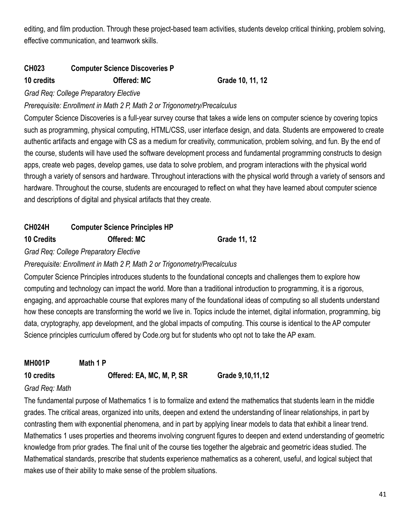editing, and film production. Through these project-based team activities, students develop critical thinking, problem solving, effective communication, and teamwork skills.

## **CH023 Computer Science Discoveries P**

**10 credits Offered: MC Grade 10, 11, 12**

*Grad Req: College Preparatory Elective*

*Prerequisite: Enrollment in Math 2 P, Math 2 or Trigonometry/Precalculus*

Computer Science Discoveries is a full-year survey course that takes a wide lens on computer science by covering topics such as programming, physical computing, HTML/CSS, user interface design, and data. Students are empowered to create authentic artifacts and engage with CS as a medium for creativity, communication, problem solving, and fun. By the end of the course, students will have used the software development process and fundamental programming constructs to design apps, create web pages, develop games, use data to solve problem, and program interactions with the physical world through a variety of sensors and hardware. Throughout interactions with the physical world through a variety of sensors and hardware. Throughout the course, students are encouraged to reflect on what they have learned about computer science and descriptions of digital and physical artifacts that they create.

# **CH024H Computer Science Principles HP 10 Credits Offered: MC Grade 11, 12**

*Grad Req: College Preparatory Elective*

## *Prerequisite: Enrollment in Math 2 P, Math 2 or Trigonometry/Precalculus*

Computer Science Principles introduces students to the foundational concepts and challenges them to explore how computing and technology can impact the world. More than a traditional introduction to programming, it is a rigorous, engaging, and approachable course that explores many of the foundational ideas of computing so all students understand how these concepts are transforming the world we live in. Topics include the internet, digital information, programming, big data, cryptography, app development, and the global impacts of computing. This course is identical to the AP computer Science principles curriculum offered by Code.org but for students who opt not to take the AP exam.

**MH001P Math 1 P 10 credits Offered: EA, MC, M, P, SR Grade 9,10,11,12**

## *Grad Req: Math*

The fundamental purpose of Mathematics 1 is to formalize and extend the mathematics that students learn in the middle grades. The critical areas, organized into units, deepen and extend the understanding of linear relationships, in part by contrasting them with exponential phenomena, and in part by applying linear models to data that exhibit a linear trend. Mathematics 1 uses properties and theorems involving congruent figures to deepen and extend understanding of geometric knowledge from prior grades. The final unit of the course ties together the algebraic and geometric ideas studied. The Mathematical standards, prescribe that students experience mathematics as a coherent, useful, and logical subject that makes use of their ability to make sense of the problem situations.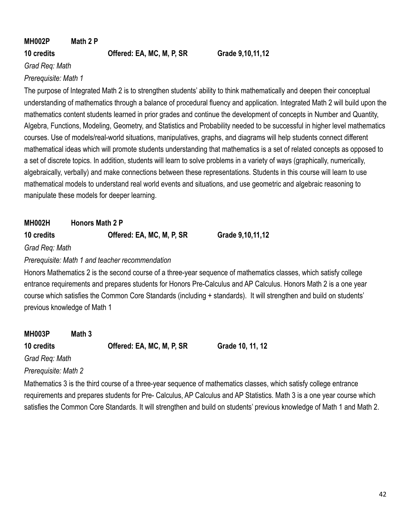# **MH002P Math 2 P**

**10 credits Offered: EA, MC, M, P, SR Grade 9,10,11,12**

*Grad Req: Math*

### *Prerequisite: Math 1*

The purpose of Integrated Math 2 is to strengthen students' ability to think mathematically and deepen their conceptual understanding of mathematics through a balance of procedural fluency and application. Integrated Math 2 will build upon the mathematics content students learned in prior grades and continue the development of concepts in Number and Quantity, Algebra, Functions, Modeling, Geometry, and Statistics and Probability needed to be successful in higher level mathematics courses. Use of models/real-world situations, manipulatives, graphs, and diagrams will help students connect different mathematical ideas which will promote students understanding that mathematics is a set of related concepts as opposed to a set of discrete topics. In addition, students will learn to solve problems in a variety of ways (graphically, numerically, algebraically, verbally) and make connections between these representations. Students in this course will learn to use mathematical models to understand real world events and situations, and use geometric and algebraic reasoning to manipulate these models for deeper learning.

**MH002H Honors Math 2 P**

**10 credits Offered: EA, MC, M, P, SR Grade 9,10,11,12**

*Grad Req: Math*

*Prerequisite: Math 1 and teacher recommendation*

Honors Mathematics 2 is the second course of a three-year sequence of mathematics classes, which satisfy college entrance requirements and prepares students for Honors Pre-Calculus and AP Calculus. Honors Math 2 is a one year course which satisfies the Common Core Standards (including + standards). It will strengthen and build on students' previous knowledge of Math 1

| <b>MH003P</b>  | Math 3 |                           |                  |
|----------------|--------|---------------------------|------------------|
| 10 credits     |        | Offered: EA, MC, M, P, SR | Grade 10, 11, 12 |
| Grad Req: Math |        |                           |                  |

*Prerequisite: Math 2*

Mathematics 3 is the third course of a three-year sequence of mathematics classes, which satisfy college entrance requirements and prepares students for Pre- Calculus, AP Calculus and AP Statistics. Math 3 is a one year course which satisfies the Common Core Standards. It will strengthen and build on students' previous knowledge of Math 1 and Math 2.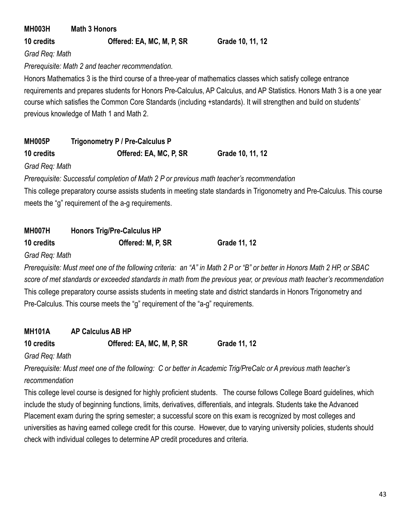| <b>MH003H</b>  | <b>Math 3 Honors</b>                             |                                                                                                                         |
|----------------|--------------------------------------------------|-------------------------------------------------------------------------------------------------------------------------|
| 10 credits     | Offered: EA, MC, M, P, SR                        | Grade 10, 11, 12                                                                                                        |
| Grad Reg: Math |                                                  |                                                                                                                         |
|                | Prerequisite: Math 2 and teacher recommendation. |                                                                                                                         |
|                |                                                  | Honors Mathematics 3 is the third course of a three-year of mathematics classes which satisfy college entrance          |
|                |                                                  | requirements and prepares students for Honors Pre-Calculus, AP Calculus, and AP Statistics. Honors Math 3 is a one year |
|                |                                                  | course which satisfies the Common Core Standards (including +standards). It will strengthen and build on students'      |

previous knowledge of Math 1 and Math 2.

| <b>MH005P</b> | Trigonometry P / Pre-Calculus P |                  |
|---------------|---------------------------------|------------------|
| 10 credits    | Offered: EA, MC, P, SR          | Grade 10, 11, 12 |

*Grad Req: Math*

*Prerequisite: Successful completion of Math 2 P or previous math teacher's recommendation*

This college preparatory course assists students in meeting state standards in Trigonometry and Pre-Calculus. This course meets the "g" requirement of the a-g requirements.

| <b>MH007H</b> | <b>Honors Trig/Pre-Calculus HP</b> |                 |
|---------------|------------------------------------|-----------------|
| $AD = 111$    | ALLJ. M. B. AB                     | <b>A</b> .,,,,, |

**10 credits Offered: M, P, SR Grade 11, 12**

*Grad Req: Math*

*Prerequisite: Must meet one of the following criteria: an "A" in Math 2 P or "B" or better in Honors Math 2 HP, or SBAC score of met standards or exceeded standards in math from the previous year, or previous math teacher's recommendation* This college preparatory course assists students in meeting state and district standards in Honors Trigonometry and Pre-Calculus. This course meets the "g" requirement of the "a-g" requirements.

# **MH101A AP Calculus AB HP**

**10 credits Offered: EA, MC, M, P, SR Grade 11, 12**

*Grad Req: Math*

*Prerequisite: Must meet one of the following: C or better in Academic Trig/PreCalc or A previous math teacher's recommendation*

This college level course is designed for highly proficient students. The course follows College Board guidelines, which include the study of beginning functions, limits, derivatives, differentials, and integrals. Students take the Advanced Placement exam during the spring semester; a successful score on this exam is recognized by most colleges and universities as having earned college credit for this course. However, due to varying university policies, students should check with individual colleges to determine AP credit procedures and criteria.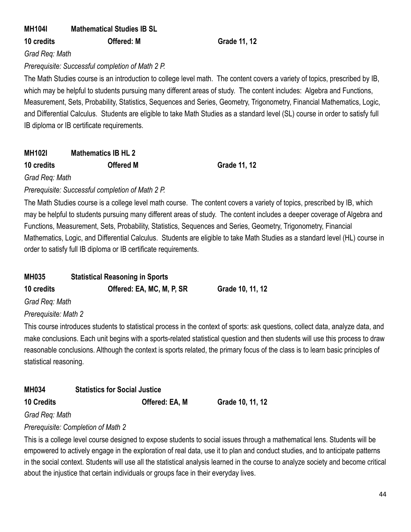# **MH104I Mathematical Studies IB SL**

**10 credits Offered: M Grade 11, 12**

*Grad Req: Math*

## *Prerequisite: Successful completion of Math 2 P.*

The Math Studies course is an introduction to college level math. The content covers a variety of topics, prescribed by IB, which may be helpful to students pursuing many different areas of study. The content includes: Algebra and Functions, Measurement, Sets, Probability, Statistics, Sequences and Series, Geometry, Trigonometry, Financial Mathematics, Logic, and Differential Calculus. Students are eligible to take Math Studies as a standard level (SL) course in order to satisfy full IB diploma or IB certificate requirements.

# **MH102I Mathematics IB HL 2**

**10 credits Offered M Grade 11, 12**

*Grad Req: Math*

# *Prerequisite: Successful completion of Math 2 P.*

The Math Studies course is a college level math course. The content covers a variety of topics, prescribed by IB, which may be helpful to students pursuing many different areas of study. The content includes a deeper coverage of Algebra and Functions, Measurement, Sets, Probability, Statistics, Sequences and Series, Geometry, Trigonometry, Financial Mathematics, Logic, and Differential Calculus. Students are eligible to take Math Studies as a standard level (HL) course in order to satisfy full IB diploma or IB certificate requirements.

| <b>MH035</b>   | <b>Statistical Reasoning in Sports</b> |                  |  |
|----------------|----------------------------------------|------------------|--|
| 10 credits     | Offered: EA, MC, M, P, SR              | Grade 10, 11, 12 |  |
| Grad Req: Math |                                        |                  |  |

*Prerequisite: Math 2*

This course introduces students to statistical process in the context of sports: ask questions, collect data, analyze data, and make conclusions. Each unit begins with a sports-related statistical question and then students will use this process to draw reasonable conclusions. Although the context is sports related, the primary focus of the class is to learn basic principles of statistical reasoning.

# **MH034 Statistics for Social Justice**

**10 Credits Offered: EA, M Grade 10, 11, 12**

*Grad Req: Math*

# *Prerequisite: Completion of Math 2*

This is a college level course designed to expose students to social issues through a mathematical lens. Students will be empowered to actively engage in the exploration of real data, use it to plan and conduct studies, and to anticipate patterns in the social context. Students will use all the statistical analysis learned in the course to analyze society and become critical about the injustice that certain individuals or groups face in their everyday lives.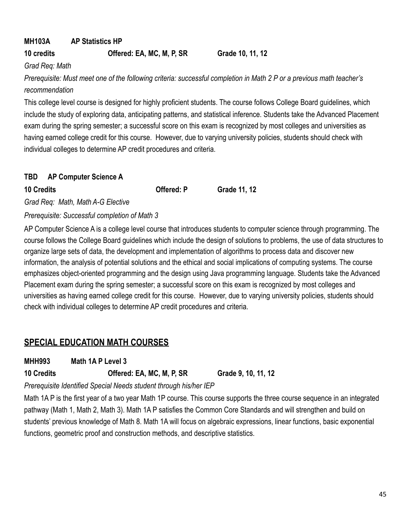# **MH103A AP Statistics HP**

## **10 credits Offered: EA, MC, M, P, SR Grade 10, 11, 12**

*Grad Req: Math*

*Prerequisite: Must meet one of the following criteria: successful completion in Math 2 P or a previous math teacher's recommendation*

This college level course is designed for highly proficient students. The course follows College Board guidelines, which include the study of exploring data, anticipating patterns, and statistical inference. Students take the Advanced Placement exam during the spring semester; a successful score on this exam is recognized by most colleges and universities as having earned college credit for this course. However, due to varying university policies, students should check with individual colleges to determine AP credit procedures and criteria.

## **TBD AP Computer Science A**

**10 Credits Offered: P Grade 11, 12**

*Grad Req: Math, Math A-G Elective*

*Prerequisite: Successful completion of Math 3*

AP Computer Science A is a college level course that introduces students to computer science through programming. The course follows the College Board guidelines which include the design of solutions to problems, the use of data structures to organize large sets of data, the development and implementation of algorithms to process data and discover new information, the analysis of potential solutions and the ethical and social implications of computing systems. The course emphasizes object-oriented programming and the design using Java programming language. Students take the Advanced Placement exam during the spring semester; a successful score on this exam is recognized by most colleges and universities as having earned college credit for this course. However, due to varying university policies, students should check with individual colleges to determine AP credit procedures and criteria.

# **SPECIAL EDUCATION MATH COURSES**

**MHH993 Math 1A P Level 3**

**10 Credits Offered: EA, MC, M, P, SR Grade 9, 10, 11, 12**

*Prerequisite Identified Special Needs student through his/her IEP*

Math 1A P is the first year of a two year Math 1P course. This course supports the three course sequence in an integrated pathway (Math 1, Math 2, Math 3). Math 1A P satisfies the Common Core Standards and will strengthen and build on students' previous knowledge of Math 8. Math 1A will focus on algebraic expressions, linear functions, basic exponential functions, geometric proof and construction methods, and descriptive statistics.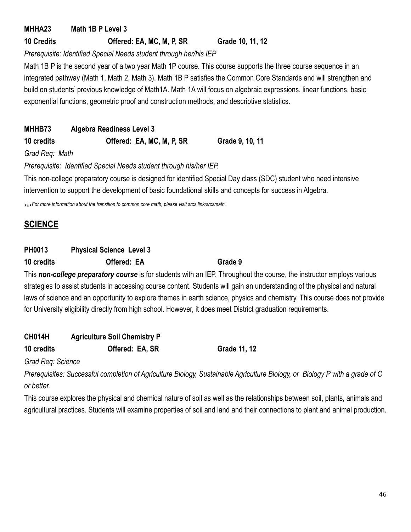# **MHHA23 Math 1B P Level 3**

# **10 Credits Offered: EA, MC, M, P, SR Grade 10, 11, 12**

*Prerequisite: Identified Special Needs student through her/his IEP*

Math 1B P is the second year of a two year Math 1P course. This course supports the three course sequence in an integrated pathway (Math 1, Math 2, Math 3). Math 1B P satisfies the Common Core Standards and will strengthen and build on students' previous knowledge of Math1A. Math 1A will focus on algebraic expressions, linear functions, basic exponential functions, geometric proof and construction methods, and descriptive statistics.

# **MHHB73 Algebra Readiness Level 3**

**10 credits Offered: EA, MC, M, P, SR Grade 9, 10, 11**

*Grad Req: Math*

*Prerequisite: Identified Special Needs student through his/her IEP.*

This non-college preparatory course is designed for identified Special Day class (SDC) student who need intensive intervention to support the development of basic foundational skills and concepts for success in Algebra.

\*\*\**For more information about the transition to common core math, please visit srcs.link/srcsmath.*

# **SCIENCE**

# **PH0013 Physical Science Level 3**

**10 credits Offered: EA Grade 9**

This *non-college preparatory course* is for students with an IEP. Throughout the course, the instructor employs various strategies to assist students in accessing course content. Students will gain an understanding of the physical and natural laws of science and an opportunity to explore themes in earth science, physics and chemistry. This course does not provide for University eligibility directly from high school. However, it does meet District graduation requirements.

# **CH014H Agriculture Soil Chemistry P 10 credits Offered: EA, SR Grade 11, 12**

*Grad Req: Science*

*Prerequisites: Successful completion of Agriculture Biology, Sustainable Agriculture Biology, or Biology P with a grade of C or better.*

This course explores the physical and chemical nature of soil as well as the relationships between soil, plants, animals and agricultural practices. Students will examine properties of soil and land and their connections to plant and animal production.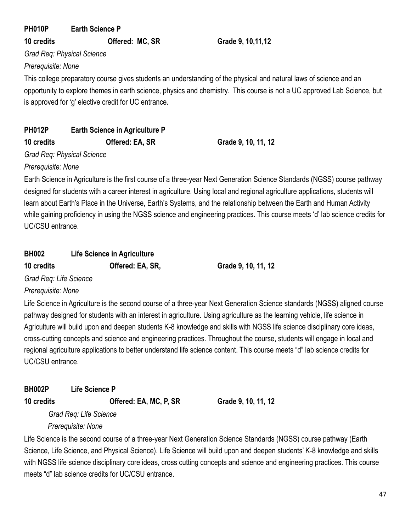**PH010P Earth Science P**

**10 credits Offered: MC, SR Grade 9, 10,11,12**

*Grad Req: Physical Science*

*Prerequisite: None*

This college preparatory course gives students an understanding of the physical and natural laws of science and an opportunity to explore themes in earth science, physics and chemistry. This course is not a UC approved Lab Science, but is approved for 'g' elective credit for UC entrance.

# **PH012P Earth Science in Agriculture P 10 credits Offered: EA, SR Grade 9, 10, 11, 12**

*Grad Req: Physical Science*

*Prerequisite: None*

Earth Science in Agriculture is the first course of a three-year Next Generation Science Standards (NGSS) course pathway designed for students with a career interest in agriculture. Using local and regional agriculture applications, students will learn about Earth's Place in the Universe, Earth's Systems, and the relationship between the Earth and Human Activity while gaining proficiency in using the NGSS science and engineering practices. This course meets 'd' lab science credits for UC/CSU entrance.

| <b>BH002</b> | Life Science in Agriculture |
|--------------|-----------------------------|
|--------------|-----------------------------|

**10 credits Offered: EA, SR, Grade 9, 10, 11, 12**

*Grad Req: Life Science*

*Prerequisite: None*

Life Science in Agriculture is the second course of a three-year Next Generation Science standards (NGSS) aligned course pathway designed for students with an interest in agriculture. Using agriculture as the learning vehicle, life science in Agriculture will build upon and deepen students K-8 knowledge and skills with NGSS life science disciplinary core ideas, cross-cutting concepts and science and engineering practices. Throughout the course, students will engage in local and regional agriculture applications to better understand life science content. This course meets "d" lab science credits for UC/CSU entrance.

**BH002P Life Science P**

**10 credits Offered: EA, MC, P, SR Grade 9, 10, 11, 12**

*Grad Req: Life Science*

*Prerequisite: None*

Life Science is the second course of a three-year Next Generation Science Standards (NGSS) course pathway (Earth Science, Life Science, and Physical Science). Life Science will build upon and deepen students' K-8 knowledge and skills with NGSS life science disciplinary core ideas, cross cutting concepts and science and engineering practices. This course meets "d" lab science credits for UC/CSU entrance.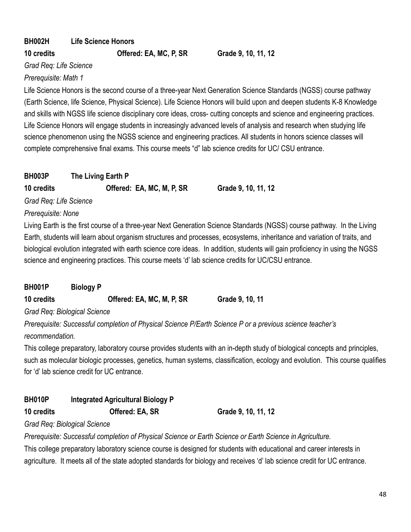# **BH002H Life Science Honors**

**10 credits Offered: EA, MC, P, SR Grade 9, 10, 11, 12**

*Grad Req: Life Science*

### *Prerequisite: Math 1*

Life Science Honors is the second course of a three-year Next Generation Science Standards (NGSS) course pathway (Earth Science, life Science, Physical Science). Life Science Honors will build upon and deepen students K-8 Knowledge and skills with NGSS life science disciplinary core ideas, cross- cutting concepts and science and engineering practices. Life Science Honors will engage students in increasingly advanced levels of analysis and research when studying life science phenomenon using the NGSS science and engineering practices. All students in honors science classes will complete comprehensive final exams. This course meets "d" lab science credits for UC/ CSU entrance.

| <b>BH003P</b>          | The Living Earth P        |                     |
|------------------------|---------------------------|---------------------|
| 10 credits             | Offered: EA, MC, M, P, SR | Grade 9, 10, 11, 12 |
| Grad Reg: Life Science |                           |                     |

### *Prerequisite: None*

Living Earth is the first course of a three-year Next Generation Science Standards (NGSS) course pathway. In the Living Earth, students will learn about organism structures and processes, ecosystems, inheritance and variation of traits, and biological evolution integrated with earth science core ideas. In addition, students will gain proficiency in using the NGSS science and engineering practices. This course meets 'd' lab science credits for UC/CSU entrance.

| <b>BH001P</b>                | <b>Biology P</b> |                           |                 |
|------------------------------|------------------|---------------------------|-----------------|
| 10 credits                   |                  | Offered: EA, MC, M, P, SR | Grade 9, 10, 11 |
| Grad Req: Biological Science |                  |                           |                 |

*Prerequisite: Successful completion of Physical Science P/Earth Science P or a previous science teacher's recommendation.*

This college preparatory, laboratory course provides students with an in-depth study of biological concepts and principles, such as molecular biologic processes, genetics, human systems, classification, ecology and evolution. This course qualifies for 'd' lab science credit for UC entrance.

# **BH010P Integrated Agricultural Biology P**

**10 credits Offered: EA, SR Grade 9, 10, 11, 12**

## *Grad Req: Biological Science*

*Prerequisite: Successful completion of Physical Science or Earth Science or Earth Science in Agriculture.*

This college preparatory laboratory science course is designed for students with educational and career interests in agriculture. It meets all of the state adopted standards for biology and receives 'd' lab science credit for UC entrance.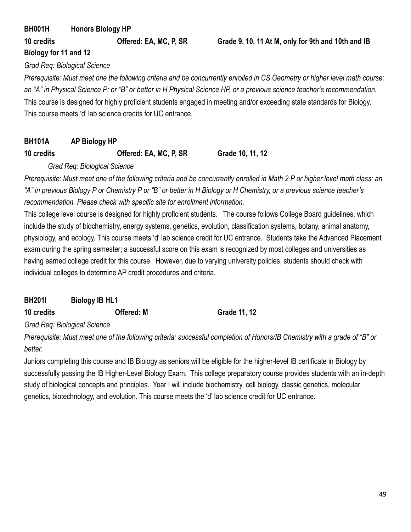# **BH001H Honors Biology HP 10 credits Offered: EA, MC, P, SR Grade 9, 10, 11 At M, only for 9th and 10th and IB Biology for 11 and 12**

*Grad Req: Biological Science*

*Prerequisite: Must meet one the following criteria and be concurrently enrolled in CS Geometry or higher level math course: an "A" in Physical Science P; or "B" or better in H Physical Science HP, or a previous science teacher's recommendation.* This course is designed for highly proficient students engaged in meeting and/or exceeding state standards for Biology. This course meets 'd' lab science credits for UC entrance.

# **BH101A AP Biology HP**

# **10 credits Offered: EA, MC, P, SR Grade 10, 11, 12**

## *Grad Req: Biological Science*

*Prerequisite: Must meet one of the following criteria and be concurrently enrolled in Math 2 P or higher level math class: an "A" in previous Biology P or Chemistry P or "B" or better in H Biology or H Chemistry, or a previous science teacher's recommendation. Please check with specific site for enrollment information.*

This college level course is designed for highly proficient students. The course follows College Board guidelines, which include the study of biochemistry, energy systems, genetics, evolution, classification systems, botany, animal anatomy, physiology, and ecology. This course meets 'd' lab science credit for UC entrance. Students take the Advanced Placement exam during the spring semester; a successful score on this exam is recognized by most colleges and universities as having earned college credit for this course. However, due to varying university policies, students should check with individual colleges to determine AP credit procedures and criteria.

**BH201I Biology IB HL1**

**10 credits Offered: M Grade 11, 12**

*Grad Req: Biological Science*

*Prerequisite: Must meet one of the following criteria: successful completion of Honors/IB Chemistry with a grade of "B" or better.*

Juniors completing this course and IB Biology as seniors will be eligible for the higher-level IB certificate in Biology by successfully passing the IB Higher-Level Biology Exam. This college preparatory course provides students with an in-depth study of biological concepts and principles. Year I will include biochemistry, cell biology, classic genetics, molecular genetics, biotechnology, and evolution. This course meets the 'd' lab science credit for UC entrance.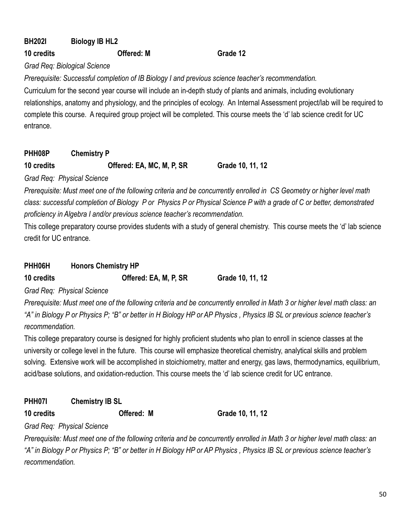# **BH202I Biology IB HL2**

### **10 credits Offered: M Grade 12**

*Grad Req: Biological Science*

*Prerequisite: Successful completion of IB Biology I and previous science teacher's recommendation.*

Curriculum for the second year course will include an in-depth study of plants and animals, including evolutionary relationships, anatomy and physiology, and the principles of ecology. An Internal Assessment project/lab will be required to complete this course. A required group project will be completed. This course meets the 'd' lab science credit for UC entrance.

**PHH08P Chemistry P**

**10 credits Offered: EA, MC, M, P, SR Grade 10, 11, 12**

*Grad Req: Physical Science*

*Prerequisite: Must meet one of the following criteria and be concurrently enrolled in CS Geometry or higher level math class: successful completion of Biology P or Physics P or Physical Science P with a grade of C or better, demonstrated proficiency in Algebra I and/or previous science teacher's recommendation.*

This college preparatory course provides students with a study of general chemistry. This course meets the 'd' lab science credit for UC entrance.

# **PHH06H Honors Chemistry HP**

**10 credits Offered: EA, M, P, SR Grade 10, 11, 12**

*Grad Req: Physical Science*

*Prerequisite: Must meet one of the following criteria and be concurrently enrolled in Math 3 or higher level math class: an "A" in Biology P or Physics P; "B" or better in H Biology HP or AP Physics , Physics IB SL or previous science teacher's recommendation.*

This college preparatory course is designed for highly proficient students who plan to enroll in science classes at the university or college level in the future. This course will emphasize theoretical chemistry, analytical skills and problem solving. Extensive work will be accomplished in stoichiometry, matter and energy, gas laws, thermodynamics, equilibrium, acid/base solutions, and oxidation-reduction. This course meets the 'd' lab science credit for UC entrance.

# **PHH07I Chemistry IB SL**

**10 credits Offered: M Grade 10, 11, 12**

*Grad Req: Physical Science*

*Prerequisite: Must meet one of the following criteria and be concurrently enrolled in Math 3 or higher level math class: an "A" in Biology P or Physics P; "B" or better in H Biology HP or AP Physics , Physics IB SL or previous science teacher's recommendation.*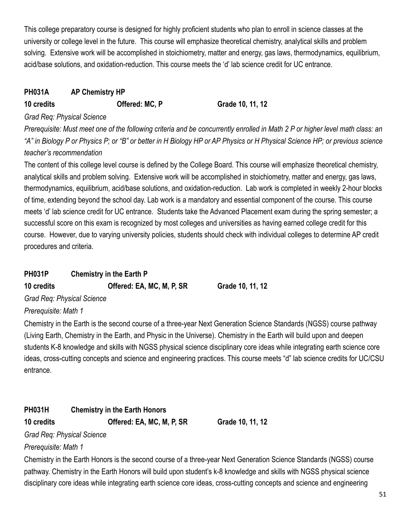This college preparatory course is designed for highly proficient students who plan to enroll in science classes at the university or college level in the future. This course will emphasize theoretical chemistry, analytical skills and problem solving. Extensive work will be accomplished in stoichiometry, matter and energy, gas laws, thermodynamics, equilibrium, acid/base solutions, and oxidation-reduction. This course meets the 'd' lab science credit for UC entrance.

## **PH031A AP Chemistry HP**

**10 credits Offered: MC, P Grade 10, 11, 12**

### *Grad Req: Physical Science*

*Prerequisite: Must meet one of the following criteria and be concurrently enrolled in Math 2 P or higher level math class: an "A" in Biology P or Physics P; or "B" or better in H Biology HP or AP Physics or H Physical Science HP; or previous science teacher's recommendation*

The content of this college level course is defined by the College Board. This course will emphasize theoretical chemistry, analytical skills and problem solving. Extensive work will be accomplished in stoichiometry, matter and energy, gas laws, thermodynamics, equilibrium, acid/base solutions, and oxidation-reduction. Lab work is completed in weekly 2-hour blocks of time, extending beyond the school day. Lab work is a mandatory and essential component of the course. This course meets 'd' lab science credit for UC entrance. Students take the Advanced Placement exam during the spring semester; a successful score on this exam is recognized by most colleges and universities as having earned college credit for this course. However, due to varying university policies, students should check with individual colleges to determine AP credit procedures and criteria.

# **PH031P Chemistry in the Earth P**

**10 credits Offered: EA, MC, M, P, SR Grade 10, 11, 12**

*Grad Req: Physical Science*

## *Prerequisite: Math 1*

Chemistry in the Earth is the second course of a three-year Next Generation Science Standards (NGSS) course pathway (Living Earth, Chemistry in the Earth, and Physic in the Universe). Chemistry in the Earth will build upon and deepen students K-8 knowledge and skills with NGSS physical science disciplinary core ideas while integrating earth science core ideas, cross-cutting concepts and science and engineering practices. This course meets "d" lab science credits for UC/CSU entrance.

# **PH031H Chemistry in the Earth Honors**

**10 credits Offered: EA, MC, M, P, SR Grade 10, 11, 12**

*Grad Req: Physical Science*

*Prerequisite: Math 1*

Chemistry in the Earth Honors is the second course of a three-year Next Generation Science Standards (NGSS) course pathway. Chemistry in the Earth Honors will build upon student's k-8 knowledge and skills with NGSS physical science disciplinary core ideas while integrating earth science core ideas, cross-cutting concepts and science and engineering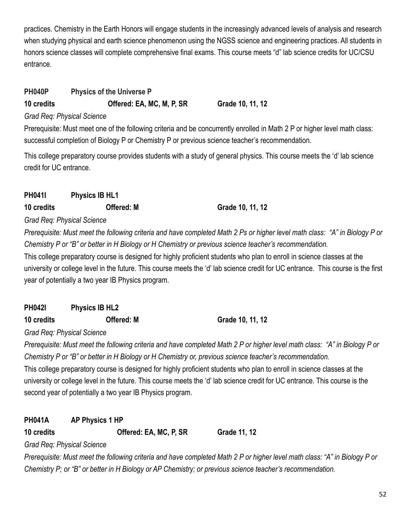practices. Chemistry in the Earth Honors will engage students in the increasingly advanced levels of analysis and research when studying physical and earth science phenomenon using the NGSS science and engineering practices. All students in honors science classes will complete comprehensive final exams. This course meets "d" lab science credits for UC/CSU entrance.

# **PH040P Physics of the Universe P**

**10 credits Offered: EA, MC, M, P, SR Grade 10, 11, 12**

# *Grad Req: Physical Science*

Prerequisite: Must meet one of the following criteria and be concurrently enrolled in Math 2 P or higher level math class: successful completion of Biology P or Chemistry P or previous science teacher's recommendation.

This college preparatory course provides students with a study of general physics. This course meets the 'd' lab science credit for UC entrance.

# **PH041I Physics IB HL1 10 credits Offered: M Grade 10, 11, 12**

*Grad Req: Physical Science*

*Prerequisite: Must meet the following criteria and have completed Math 2 Ps or higher level math class: "A" in Biology P or Chemistry P or "B" or better in H Biology or H Chemistry or previous science teacher's recommendation.*

This college preparatory course is designed for highly proficient students who plan to enroll in science classes at the university or college level in the future. This course meets the 'd' lab science credit for UC entrance. This course is the first year of potentially a two year IB Physics program.

| <b>PH042I</b> | <b>Physics IB HL2</b> |
|---------------|-----------------------|
|               |                       |

**10 credits Offered: M Grade 10, 11, 12**

*Grad Req: Physical Science*

*Prerequisite: Must meet the following criteria and have completed Math 2 P or higher level math class: "A" in Biology P or Chemistry P or "B" or better in H Biology or H Chemistry or, previous science teacher's recommendation.*

This college preparatory course is designed for highly proficient students who plan to enroll in science classes at the university or college level in the future. This course meets the 'd' lab science credit for UC entrance. This course is the second year of potentially a two year IB Physics program.

# **PH041A AP Physics 1 HP**

**10 credits Offered: EA, MC, P, SR Grade 11, 12**

*Grad Req: Physical Science*

*Prerequisite: Must meet the following criteria and have completed Math 2 P or higher level math class: "A" in Biology P or Chemistry P; or "B" or better in H Biology or AP Chemistry; or previous science teacher's recommendation.*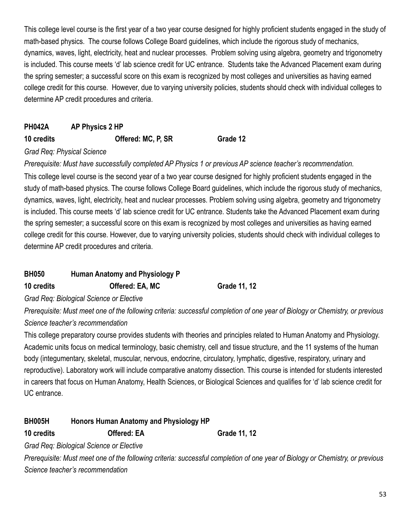This college level course is the first year of a two year course designed for highly proficient students engaged in the study of math-based physics. The course follows College Board guidelines, which include the rigorous study of mechanics, dynamics, waves, light, electricity, heat and nuclear processes. Problem solving using algebra, geometry and trigonometry is included. This course meets 'd' lab science credit for UC entrance. Students take the Advanced Placement exam during the spring semester; a successful score on this exam is recognized by most colleges and universities as having earned college credit for this course. However, due to varying university policies, students should check with individual colleges to determine AP credit procedures and criteria.

# **PH042A AP Physics 2 HP 10 credits Offered: MC, P, SR Grade 12**

### *Grad Req: Physical Science*

*Prerequisite: Must have successfully completed AP Physics 1 or previous AP science teacher's recommendation.*

This college level course is the second year of a two year course designed for highly proficient students engaged in the study of math-based physics. The course follows College Board guidelines, which include the rigorous study of mechanics, dynamics, waves, light, electricity, heat and nuclear processes. Problem solving using algebra, geometry and trigonometry is included. This course meets 'd' lab science credit for UC entrance. Students take the Advanced Placement exam during the spring semester; a successful score on this exam is recognized by most colleges and universities as having earned college credit for this course. However, due to varying university policies, students should check with individual colleges to determine AP credit procedures and criteria.

| <b>BH050</b> | Human Anatomy and Physiology P |              |
|--------------|--------------------------------|--------------|
| 10 credits   | Offered: EA, MC                | Grade 11, 12 |

*Grad Req: Biological Science or Elective*

*Prerequisite: Must meet one of the following criteria: successful completion of one year of Biology or Chemistry, or previous Science teacher's recommendation*

This college preparatory course provides students with theories and principles related to Human Anatomy and Physiology. Academic units focus on medical terminology, basic chemistry, cell and tissue structure, and the 11 systems of the human body (integumentary, skeletal, muscular, nervous, endocrine, circulatory, lymphatic, digestive, respiratory, urinary and reproductive). Laboratory work will include comparative anatomy dissection. This course is intended for students interested in careers that focus on Human Anatomy, Health Sciences, or Biological Sciences and qualifies for 'd' lab science credit for UC entrance.

## **BH005H Honors Human Anatomy and Physiology HP**

**10 credits Offered: EA Grade 11, 12**

*Grad Req: Biological Science or Elective*

*Prerequisite: Must meet one of the following criteria: successful completion of one year of Biology or Chemistry, or previous Science teacher's recommendation*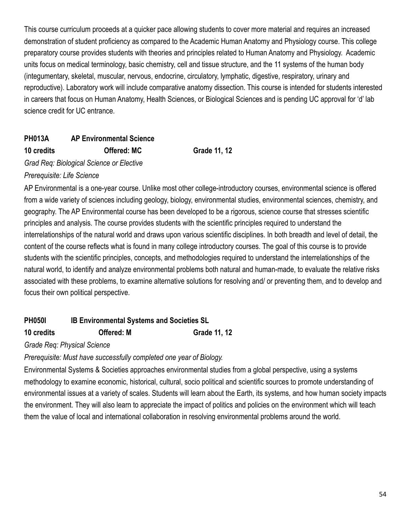This course curriculum proceeds at a quicker pace allowing students to cover more material and requires an increased demonstration of student proficiency as compared to the Academic Human Anatomy and Physiology course. This college preparatory course provides students with theories and principles related to Human Anatomy and Physiology. Academic units focus on medical terminology, basic chemistry, cell and tissue structure, and the 11 systems of the human body (integumentary, skeletal, muscular, nervous, endocrine, circulatory, lymphatic, digestive, respiratory, urinary and reproductive). Laboratory work will include comparative anatomy dissection. This course is intended for students interested in careers that focus on Human Anatomy, Health Sciences, or Biological Sciences and is pending UC approval for 'd' lab science credit for UC entrance.

# **PH013A AP Environmental Science 10 credits Offered: MC Grade 11, 12**

*Grad Req: Biological Science or Elective*

### *Prerequisite: Life Science*

AP Environmental is a one-year course. Unlike most other college-introductory courses, environmental science is offered from a wide variety of sciences including geology, biology, environmental studies, environmental sciences, chemistry, and geography. The AP Environmental course has been developed to be a rigorous, science course that stresses scientific principles and analysis. The course provides students with the scientific principles required to understand the interrelationships of the natural world and draws upon various scientific disciplines. In both breadth and level of detail, the content of the course reflects what is found in many college introductory courses. The goal of this course is to provide students with the scientific principles, concepts, and methodologies required to understand the interrelationships of the natural world, to identify and analyze environmental problems both natural and human-made, to evaluate the relative risks associated with these problems, to examine alternative solutions for resolving and/ or preventing them, and to develop and focus their own political perspective.

# **PH050I IB Environmental Systems and Societies SL**

## **10 credits Offered: M Grade 11, 12**

*Grade Req: Physical Science*

## *Prerequisite: Must have successfully completed one year of Biology.*

Environmental Systems & Societies approaches environmental studies from a global perspective, using a systems methodology to examine economic, historical, cultural, socio political and scientific sources to promote understanding of environmental issues at a variety of scales. Students will learn about the Earth, its systems, and how human society impacts the environment. They will also learn to appreciate the impact of politics and policies on the environment which will teach them the value of local and international collaboration in resolving environmental problems around the world.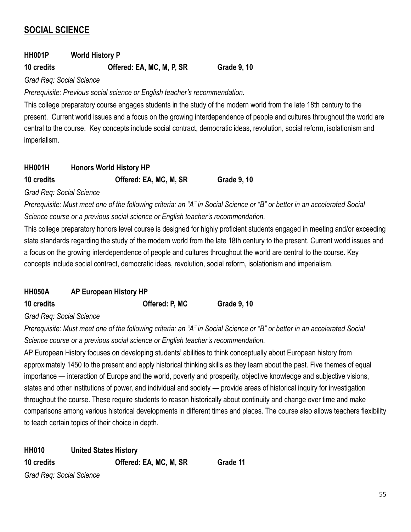# **SOCIAL SCIENCE**

# **HH001P World History P**

### **10 credits Offered: EA, MC, M, P, SR Grade 9, 10**

*Grad Req: Social Science*

*Prerequisite: Previous social science or English teacher's recommendation.*

This college preparatory course engages students in the study of the modern world from the late 18th century to the present. Current world issues and a focus on the growing interdependence of people and cultures throughout the world are central to the course. Key concepts include social contract, democratic ideas, revolution, social reform, isolationism and imperialism.

| <b>HH001H</b> | <b>Honors World History HP</b> |                    |
|---------------|--------------------------------|--------------------|
| 10 credits    | Offered: EA, MC, M, SR         | <b>Grade 9, 10</b> |

*Grad Req: Social Science*

*Prerequisite: Must meet one of the following criteria: an "A" in Social Science or "B" or better in an accelerated Social Science course or a previous social science or English teacher's recommendation.*

This college preparatory honors level course is designed for highly proficient students engaged in meeting and/or exceeding state standards regarding the study of the modern world from the late 18th century to the present. Current world issues and a focus on the growing interdependence of people and cultures throughout the world are central to the course. Key concepts include social contract, democratic ideas, revolution, social reform, isolationism and imperialism.

| <b>HH050A</b> | <b>AP European History HP</b> |
|---------------|-------------------------------|
|               |                               |

**10 credits Offered: P, MC Grade 9, 10**

*Grad Req: Social Science*

*Prerequisite: Must meet one of the following criteria: an "A" in Social Science or "B" or better in an accelerated Social Science course or a previous social science or English teacher's recommendation.*

AP European History focuses on developing students' abilities to think conceptually about European history from approximately 1450 to the present and apply historical thinking skills as they learn about the past. Five themes of equal importance — interaction of Europe and the world, poverty and prosperity, objective knowledge and subjective visions, states and other institutions of power, and individual and society — provide areas of historical inquiry for investigation throughout the course. These require students to reason historically about continuity and change over time and make comparisons among various historical developments in different times and places. The course also allows teachers flexibility to teach certain topics of their choice in depth.

**HH010 United States History 10 credits Offered: EA, MC, M, SR Grade 11** *Grad Req: Social Science*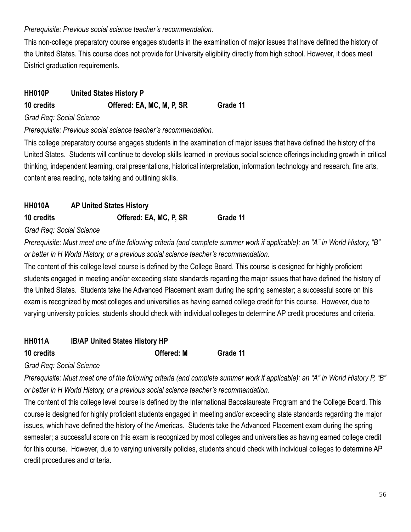### *Prerequisite: Previous social science teacher's recommendation.*

This non-college preparatory course engages students in the examination of major issues that have defined the history of the United States. This course does not provide for University eligibility directly from high school. However, it does meet District graduation requirements.

# **HH010P United States History P**

**10 credits Offered: EA, MC, M, P, SR Grade 11**

*Grad Req: Social Science*

*Prerequisite: Previous social science teacher's recommendation.*

This college preparatory course engages students in the examination of major issues that have defined the history of the United States. Students will continue to develop skills learned in previous social science offerings including growth in critical thinking, independent learning, oral presentations, historical interpretation, information technology and research, fine arts, content area reading, note taking and outlining skills.

# **HH010A AP United States History 10 credits Offered: EA, MC, P, SR Grade 11**

*Grad Req: Social Science*

*Prerequisite: Must meet one of the following criteria (and complete summer work if applicable): an "A" in World History, "B" or better in H World History, or a previous social science teacher's recommendation.*

The content of this college level course is defined by the College Board. This course is designed for highly proficient students engaged in meeting and/or exceeding state standards regarding the major issues that have defined the history of the United States. Students take the Advanced Placement exam during the spring semester; a successful score on this exam is recognized by most colleges and universities as having earned college credit for this course. However, due to varying university policies, students should check with individual colleges to determine AP credit procedures and criteria.

# **HH011A IB/AP United States History HP**

**10 credits Offered: M Grade 11**

*Grad Req: Social Science*

*Prerequisite: Must meet one of the following criteria (and complete summer work if applicable): an "A" in World History P, "B" or better in H World History, or a previous social science teacher's recommendation.*

The content of this college level course is defined by the International Baccalaureate Program and the College Board. This course is designed for highly proficient students engaged in meeting and/or exceeding state standards regarding the major issues, which have defined the history of the Americas. Students take the Advanced Placement exam during the spring semester; a successful score on this exam is recognized by most colleges and universities as having earned college credit for this course. However, due to varying university policies, students should check with individual colleges to determine AP credit procedures and criteria.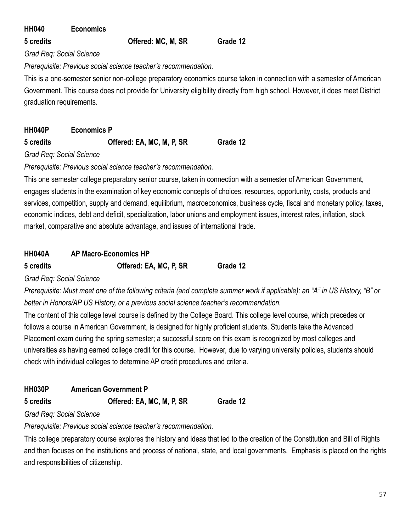| <b>HH040</b> | <b>Economics</b> |
|--------------|------------------|
|--------------|------------------|

**5 credits Offered: MC, M, SR Grade 12**

*Grad Req: Social Science*

*Prerequisite: Previous social science teacher's recommendation.*

This is a one-semester senior non-college preparatory economics course taken in connection with a semester of American Government. This course does not provide for University eligibility directly from high school. However, it does meet District graduation requirements.

| <b>HH040P</b> | <b>Economics P</b>        |          |
|---------------|---------------------------|----------|
| 5 credits     | Offered: EA, MC, M, P, SR | Grade 12 |

*Grad Req: Social Science*

*Prerequisite: Previous social science teacher's recommendation.*

This one semester college preparatory senior course, taken in connection with a semester of American Government, engages students in the examination of key economic concepts of choices, resources, opportunity, costs, products and services, competition, supply and demand, equilibrium, macroeconomics, business cycle, fiscal and monetary policy, taxes, economic indices, debt and deficit, specialization, labor unions and employment issues, interest rates, inflation, stock market, comparative and absolute advantage, and issues of international trade.

# **HH040A AP Macro-Economics HP**

**5 credits Offered: EA, MC, P, SR Grade 12**

*Grad Req: Social Science*

*Prerequisite: Must meet one of the following criteria (and complete summer work if applicable): an "A" in US History, "B" or better in Honors/AP US History, or a previous social science teacher's recommendation.*

The content of this college level course is defined by the College Board. This college level course, which precedes or follows a course in American Government, is designed for highly proficient students. Students take the Advanced Placement exam during the spring semester; a successful score on this exam is recognized by most colleges and universities as having earned college credit for this course. However, due to varying university policies, students should check with individual colleges to determine AP credit procedures and criteria.

**HH030P American Government P**

**5 credits Offered: EA, MC, M, P, SR Grade 12**

*Grad Req: Social Science*

*Prerequisite: Previous social science teacher's recommendation.*

This college preparatory course explores the history and ideas that led to the creation of the Constitution and Bill of Rights and then focuses on the institutions and process of national, state, and local governments. Emphasis is placed on the rights and responsibilities of citizenship.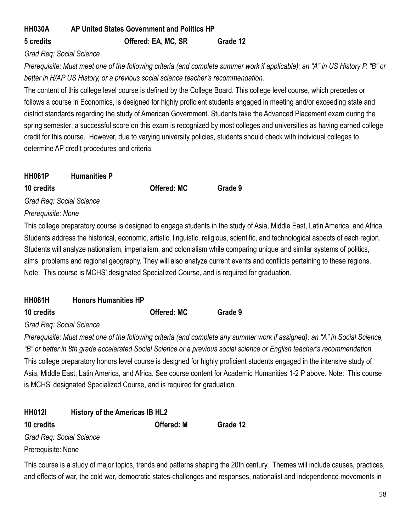# **HH030A AP United States Government and Politics HP 5 credits Offered: EA, MC, SR Grade 12**

*Grad Req: Social Science*

*Prerequisite: Must meet one of the following criteria (and complete summer work if applicable): an "A" in US History P, "B" or better in H/AP US History, or a previous social science teacher's recommendation.*

The content of this college level course is defined by the College Board. This college level course, which precedes or follows a course in Economics, is designed for highly proficient students engaged in meeting and/or exceeding state and district standards regarding the study of American Government. Students take the Advanced Placement exam during the spring semester; a successful score on this exam is recognized by most colleges and universities as having earned college credit for this course. However, due to varying university policies, students should check with individual colleges to determine AP credit procedures and criteria.

| <b>HH061P</b>      | <b>Humanities P</b>      |                                                                               |         |
|--------------------|--------------------------|-------------------------------------------------------------------------------|---------|
| 10 credits         |                          | <b>Offered: MC</b>                                                            | Grade 9 |
|                    | Grad Reg: Social Science |                                                                               |         |
| Prerequisite: None |                          |                                                                               |         |
|                    |                          | This college preparatory course is designed to engage students in the study   |         |
|                    |                          | Ctudente eddress the bioterical cooperate ertistic linquistic religious coice |         |

y of Asia, Middle East, Latin America, and Africa. Students address the historical, economic, artistic, linguistic, religious, scientific, and technological aspects of each region. Students will analyze nationalism, imperialism, and colonialism while comparing unique and similar systems of politics, aims, problems and regional geography. They will also analyze current events and conflicts pertaining to these regions. Note: This course is MCHS' designated Specialized Course, and is required for graduation.

| <b>HH061H</b> | <b>Honors Humanities HP</b> |                    |         |
|---------------|-----------------------------|--------------------|---------|
| 10 credits    |                             | <b>Offered: MC</b> | Grade 9 |

## *Grad Req: Social Science*

*Prerequisite: Must meet one of the following criteria (and complete any summer work if assigned): an "A" in Social Science, "B" or better in 8th grade accelerated Social Science or a previous social science or English teacher's recommendation.* This college preparatory honors level course is designed for highly proficient students engaged in the intensive study of Asia, Middle East, Latin America, and Africa. See course content for Academic Humanities 1-2 P above. Note: This course is MCHS' designated Specialized Course, and is required for graduation.

| <b>HH012I</b>            | History of the Americas IB HL2 |                   |          |
|--------------------------|--------------------------------|-------------------|----------|
| 10 credits               |                                | <b>Offered: M</b> | Grade 12 |
| Grad Req: Social Science |                                |                   |          |
| Prerequisite: None       |                                |                   |          |

This course is a study of major topics, trends and patterns shaping the 20th century. Themes will include causes, practices, and effects of war, the cold war, democratic states-challenges and responses, nationalist and independence movements in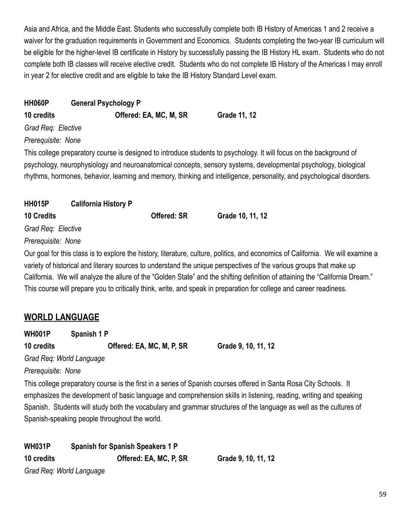Asia and Africa, and the Middle East. Students who successfully complete both IB History of Americas 1 and 2 receive a waiver for the graduation requirements in Government and Economics. Students completing the two-year IB curriculum will be eligible for the higher-level IB certificate in History by successfully passing the IB History HL exam. Students who do not complete both IB classes will receive elective credit. Students who do not complete IB History of the Americas I may enroll in year 2 for elective credit and are eligible to take the IB History Standard Level exam.

| <b>HH060P</b>      | <b>General Psychology P</b> |                        |                                                                                                                                                                                                                                                                                                                                                                  |
|--------------------|-----------------------------|------------------------|------------------------------------------------------------------------------------------------------------------------------------------------------------------------------------------------------------------------------------------------------------------------------------------------------------------------------------------------------------------|
| 10 credits         |                             | Offered: EA, MC, M, SR | Grade 11, 12                                                                                                                                                                                                                                                                                                                                                     |
| Grad Req: Elective |                             |                        |                                                                                                                                                                                                                                                                                                                                                                  |
| Prerequisite: None |                             |                        |                                                                                                                                                                                                                                                                                                                                                                  |
| <b>HH015P</b>      | <b>California History P</b> |                        | This college preparatory course is designed to introduce students to psychology. It will focus on the background of<br>psychology, neurophysiology and neuroanatomical concepts, sensory systems, developmental psychology, biological<br>rhythms, hormones, behavior, learning and memory, thinking and intelligence, personality, and psychological disorders. |
| <b>10 Credits</b>  |                             | <b>Offered: SR</b>     | Grade 10, 11, 12                                                                                                                                                                                                                                                                                                                                                 |
| Grad Req: Elective |                             |                        |                                                                                                                                                                                                                                                                                                                                                                  |
| Prerequisite: None |                             |                        |                                                                                                                                                                                                                                                                                                                                                                  |
|                    |                             |                        | Our goal for this class is to explore the history literature, culture, politics, and economics of California. We will examine                                                                                                                                                                                                                                    |

Our goal for this class is to explore the history, literature, culture, politics, and economics of California. We will examine a variety of historical and literary sources to understand the unique perspectives of the various groups that make up California. We will analyze the allure of the "Golden State" and the shifting definition of attaining the "California Dream." This course will prepare you to critically think, write, and speak in preparation for college and career readiness.

# **WORLD LANGUAGE**

**WH001P Spanish 1 P**

**10 credits Offered: EA, MC, M, P, SR Grade 9, 10, 11, 12**

*Grad Req: World Language*

*Prerequisite: None*

This college preparatory course is the first in a series of Spanish courses offered in Santa Rosa City Schools. It emphasizes the development of basic language and comprehension skills in listening, reading, writing and speaking Spanish. Students will study both the vocabulary and grammar structures of the language as well as the cultures of Spanish-speaking people throughout the world.

**WH031P Spanish for Spanish Speakers 1 P 10 credits Offered: EA, MC, P, SR Grade 9, 10, 11, 12**

*Grad Req: World Language*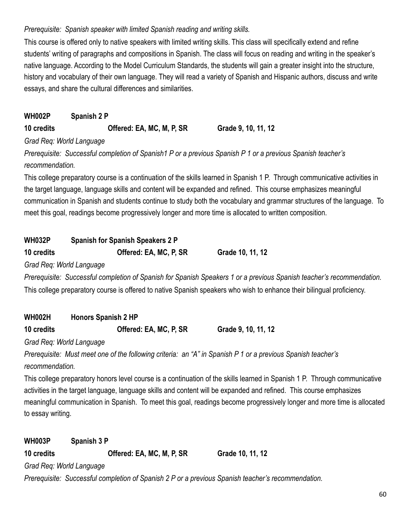## *Prerequisite: Spanish speaker with limited Spanish reading and writing skills.*

This course is offered only to native speakers with limited writing skills. This class will specifically extend and refine students' writing of paragraphs and compositions in Spanish. The class will focus on reading and writing in the speaker's native language. According to the Model Curriculum Standards, the students will gain a greater insight into the structure, history and vocabulary of their own language. They will read a variety of Spanish and Hispanic authors, discuss and write essays, and share the cultural differences and similarities.

**WH002P Spanish 2 P 10 credits Offered: EA, MC, M, P, SR Grade 9, 10, 11, 12**

*Grad Req: World Language*

*Prerequisite: Successful completion of Spanish1 P or a previous Spanish P 1 or a previous Spanish teacher's recommendation.*

This college preparatory course is a continuation of the skills learned in Spanish 1 P. Through communicative activities in the target language, language skills and content will be expanded and refined. This course emphasizes meaningful communication in Spanish and students continue to study both the vocabulary and grammar structures of the language. To meet this goal, readings become progressively longer and more time is allocated to written composition.

| <b>WH032P</b> | <b>Spanish for Spanish Speakers 2 P</b> |                                                                                                                        |
|---------------|-----------------------------------------|------------------------------------------------------------------------------------------------------------------------|
| 10 credits    | Offered: EA, MC, P, SR                  | Grade 10, 11, 12                                                                                                       |
|               | Grad Reg: World Language                |                                                                                                                        |
|               |                                         | Prerequisite: Successful completion of Spanish for Spanish Speakers 1 or a previous Spanish teacher's recommendation.  |
|               |                                         | This college preparatory course is offered to native Spanish speakers who wish to enhance their bilingual proficiency. |

| <b>WH002H</b> | <b>Honors Spanish 2 HP</b> |  |
|---------------|----------------------------|--|
|               |                            |  |

**10 credits Offered: EA, MC, P, SR Grade 9, 10, 11, 12**

*Grad Req: World Language*

*Prerequisite: Must meet one of the following criteria: an "A" in Spanish P 1 or a previous Spanish teacher's recommendation.*

This college preparatory honors level course is a continuation of the skills learned in Spanish 1 P. Through communicative activities in the target language, language skills and content will be expanded and refined. This course emphasizes meaningful communication in Spanish. To meet this goal, readings become progressively longer and more time is allocated to essay writing.

**WH003P Spanish 3 P 10 credits Offered: EA, MC, M, P, SR Grade 10, 11, 12** *Grad Req: World Language*

*Prerequisite: Successful completion of Spanish 2 P or a previous Spanish teacher's recommendation.*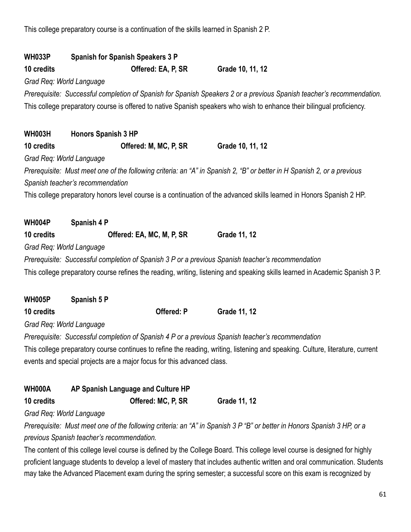This college preparatory course is a continuation of the skills learned in Spanish 2 P.

| <b>WH033P</b>            | <b>Spanish for Spanish Speakers 3 P</b>                                                                                                                     |                                                                                                                                |
|--------------------------|-------------------------------------------------------------------------------------------------------------------------------------------------------------|--------------------------------------------------------------------------------------------------------------------------------|
| 10 credits               | Offered: EA, P, SR                                                                                                                                          | Grade 10, 11, 12                                                                                                               |
| Grad Req: World Language |                                                                                                                                                             |                                                                                                                                |
|                          |                                                                                                                                                             | Prerequisite: Successful completion of Spanish for Spanish Speakers 2 or a previous Spanish teacher's recommendation.          |
|                          |                                                                                                                                                             | This college preparatory course is offered to native Spanish speakers who wish to enhance their bilingual proficiency.         |
| <b>WH003H</b>            | <b>Honors Spanish 3 HP</b>                                                                                                                                  |                                                                                                                                |
| 10 credits               | Offered: M, MC, P, SR                                                                                                                                       | Grade 10, 11, 12                                                                                                               |
| Grad Req: World Language |                                                                                                                                                             |                                                                                                                                |
|                          | Prerequisite: Must meet one of the following criteria: an "A" in Spanish 2, "B" or better in H Spanish 2, or a previous<br>Spanish teacher's recommendation |                                                                                                                                |
|                          |                                                                                                                                                             | This college preparatory honors level course is a continuation of the advanced skills learned in Honors Spanish 2 HP.          |
| <b>WH004P</b>            | Spanish 4 P                                                                                                                                                 |                                                                                                                                |
| 10 credits               | Offered: EA, MC, M, P, SR                                                                                                                                   | Grade 11, 12                                                                                                                   |
| Grad Req: World Language |                                                                                                                                                             |                                                                                                                                |
|                          | Prerequisite: Successful completion of Spanish 3 P or a previous Spanish teacher's recommendation                                                           |                                                                                                                                |
|                          |                                                                                                                                                             | This college preparatory course refines the reading, writing, listening and speaking skills learned in Academic Spanish 3 P.   |
| <b>WH005P</b>            | Spanish 5 P                                                                                                                                                 |                                                                                                                                |
| 10 credits               | Offered: P                                                                                                                                                  | Grade 11, 12                                                                                                                   |
| Grad Req: World Language |                                                                                                                                                             |                                                                                                                                |
|                          | Prerequisite: Successful completion of Spanish 4 P or a previous Spanish teacher's recommendation                                                           |                                                                                                                                |
|                          |                                                                                                                                                             | This college preparatory course continues to refine the reading, writing, listening and speaking. Culture, literature, current |
|                          | events and special projects are a major focus for this advanced class.                                                                                      |                                                                                                                                |
| <b>WH000A</b>            | AP Spanish Language and Culture HP                                                                                                                          |                                                                                                                                |
| 10 credits               | Offered: MC, P, SR                                                                                                                                          | <b>Grade 11, 12</b>                                                                                                            |
| Grad Req: World Language |                                                                                                                                                             |                                                                                                                                |
|                          | previous Spanish teacher's recommendation.                                                                                                                  | Prerequisite: Must meet one of the following criteria: an "A" in Spanish 3 P "B" or better in Honors Spanish 3 HP, or a        |
|                          |                                                                                                                                                             | The content of this college level course is defined by the College Board. This college level course is designed for highly     |
|                          |                                                                                                                                                             | proficient language students to develop a level of mastery that includes authentic written and oral communication. Students    |
|                          |                                                                                                                                                             | may take the Advanced Placement exam during the spring semester; a successful score on this exam is recognized by              |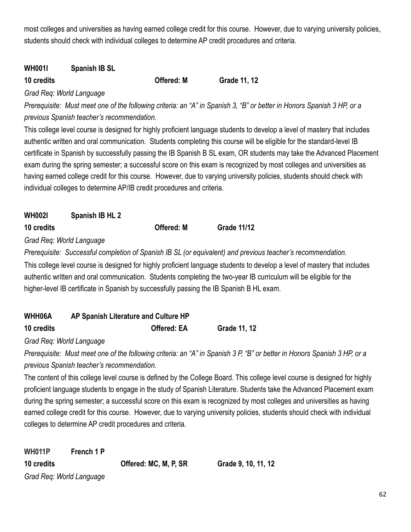most colleges and universities as having earned college credit for this course. However, due to varying university policies, students should check with individual colleges to determine AP credit procedures and criteria.

# **WH001I Spanish IB SL**

**10 credits Offered: M Grade 11, 12**

*Grad Req: World Language*

*Prerequisite: Must meet one of the following criteria: an "A" in Spanish 3, "B" or better in Honors Spanish 3 HP, or a previous Spanish teacher's recommendation.*

This college level course is designed for highly proficient language students to develop a level of mastery that includes authentic written and oral communication. Students completing this course will be eligible for the standard-level IB certificate in Spanish by successfully passing the IB Spanish B SL exam, OR students may take the Advanced Placement exam during the spring semester; a successful score on this exam is recognized by most colleges and universities as having earned college credit for this course. However, due to varying university policies, students should check with individual colleges to determine AP/IB credit procedures and criteria.

| WH002I     | Spanish IB HL 2 |                   |                    |
|------------|-----------------|-------------------|--------------------|
| 10 credits |                 | <b>Offered: M</b> | <b>Grade 11/12</b> |

*Grad Req: World Language*

*Prerequisite: Successful completion of Spanish IB SL (or equivalent) and previous teacher's recommendation.* This college level course is designed for highly proficient language students to develop a level of mastery that includes authentic written and oral communication. Students completing the two-year IB curriculum will be eligible for the higher-level IB certificate in Spanish by successfully passing the IB Spanish B HL exam.

| WHH06A     | AP Spanish Literature and Culture HP |                     |
|------------|--------------------------------------|---------------------|
| 10 credits | <b>Offered: EA</b>                   | <b>Grade 11, 12</b> |

*Grad Req: World Language*

*Prerequisite: Must meet one of the following criteria: an "A" in Spanish 3 P, "B" or better in Honors Spanish 3 HP, or a previous Spanish teacher's recommendation.*

The content of this college level course is defined by the College Board. This college level course is designed for highly proficient language students to engage in the study of Spanish Literature. Students take the Advanced Placement exam during the spring semester; a successful score on this exam is recognized by most colleges and universities as having earned college credit for this course. However, due to varying university policies, students should check with individual colleges to determine AP credit procedures and criteria.

**10 credits Offered: MC, M, P, SR Grade 9, 10, 11, 12**

| <b>WH011P</b>            | French 1 P |                       |  |
|--------------------------|------------|-----------------------|--|
| 10 credits               |            | Offered: MC, M, P, SR |  |
| Grad Req: World Language |            |                       |  |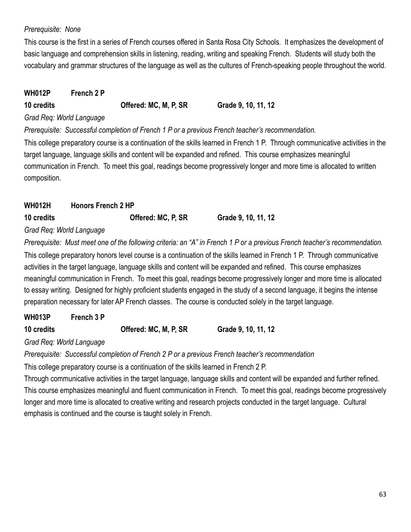## *Prerequisite: None*

This course is the first in a series of French courses offered in Santa Rosa City Schools. It emphasizes the development of basic language and comprehension skills in listening, reading, writing and speaking French. Students will study both the vocabulary and grammar structures of the language as well as the cultures of French-speaking people throughout the world.

## **WH012P French 2 P**

# **10 credits Offered: MC, M, P, SR Grade 9, 10, 11, 12**

### *Grad Req: World Language*

### *Prerequisite: Successful completion of French 1 P or a previous French teacher's recommendation.*

This college preparatory course is a continuation of the skills learned in French 1 P. Through communicative activities in the target language, language skills and content will be expanded and refined. This course emphasizes meaningful communication in French. To meet this goal, readings become progressively longer and more time is allocated to written composition.

# **WH012H Honors French 2 HP 10 credits Offered: MC, P, SR Grade 9, 10, 11, 12**

## *Grad Req: World Language*

*Prerequisite: Must meet one of the following criteria: an "A" in French 1 P or a previous French teacher's recommendation.* This college preparatory honors level course is a continuation of the skills learned in French 1 P. Through communicative activities in the target language, language skills and content will be expanded and refined. This course emphasizes meaningful communication in French. To meet this goal, readings become progressively longer and more time is allocated to essay writing. Designed for highly proficient students engaged in the study of a second language, it begins the intense preparation necessary for later AP French classes. The course is conducted solely in the target language.

# **WH013P French 3 P**

| 10 credits | Offered: MC, M, P, SR | Grade 9, 10, 11, 12 |
|------------|-----------------------|---------------------|
|            |                       |                     |

## *Grad Req: World Language*

*Prerequisite: Successful completion of French 2 P or a previous French teacher's recommendation*

This college preparatory course is a continuation of the skills learned in French 2 P.

Through communicative activities in the target language, language skills and content will be expanded and further refined. This course emphasizes meaningful and fluent communication in French. To meet this goal, readings become progressively longer and more time is allocated to creative writing and research projects conducted in the target language. Cultural emphasis is continued and the course is taught solely in French.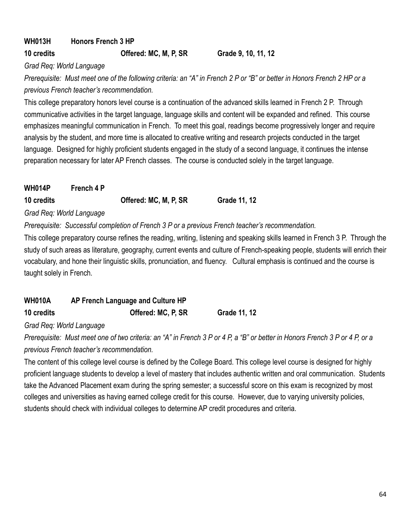# **WH013H Honors French 3 HP**

**10 credits Offered: MC, M, P, SR Grade 9, 10, 11, 12**

*Grad Req: World Language*

*Prerequisite: Must meet one of the following criteria: an "A" in French 2 P or "B" or better in Honors French 2 HP or a previous French teacher's recommendation.*

This college preparatory honors level course is a continuation of the advanced skills learned in French 2 P. Through communicative activities in the target language, language skills and content will be expanded and refined. This course emphasizes meaningful communication in French. To meet this goal, readings become progressively longer and require analysis by the student, and more time is allocated to creative writing and research projects conducted in the target language. Designed for highly proficient students engaged in the study of a second language, it continues the intense preparation necessary for later AP French classes. The course is conducted solely in the target language.

| <b>WH014P</b>            | French 4 P |                       |              |
|--------------------------|------------|-----------------------|--------------|
| 10 credits               |            | Offered: MC, M, P, SR | Grade 11, 12 |
| Grad Req: World Language |            |                       |              |

*Prerequisite: Successful completion of French 3 P or a previous French teacher's recommendation.*

This college preparatory course refines the reading, writing, listening and speaking skills learned in French 3 P. Through the study of such areas as literature, geography, current events and culture of French-speaking people, students will enrich their vocabulary, and hone their linguistic skills, pronunciation, and fluency. Cultural emphasis is continued and the course is taught solely in French.

| <b>WH010A</b> | AP French Language and Culture HP |              |
|---------------|-----------------------------------|--------------|
| 10 credits    | Offered: MC, P, SR                | Grade 11, 12 |

## *Grad Req: World Language*

*Prerequisite: Must meet one of two criteria: an "A" in French 3 P or 4 P, a "B" or better in Honors French 3 P or 4 P, or a previous French teacher's recommendation.*

The content of this college level course is defined by the College Board. This college level course is designed for highly proficient language students to develop a level of mastery that includes authentic written and oral communication. Students take the Advanced Placement exam during the spring semester; a successful score on this exam is recognized by most colleges and universities as having earned college credit for this course. However, due to varying university policies, students should check with individual colleges to determine AP credit procedures and criteria.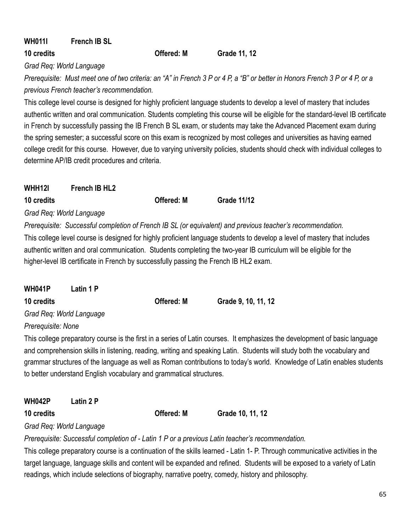# **WH011I French IB SL**

**10 credits Offered: M Grade 11, 12**

*Grad Req: World Language*

*Prerequisite: Must meet one of two criteria: an "A" in French 3 P or 4 P, a "B" or better in Honors French 3 P or 4 P, or a previous French teacher's recommendation.*

This college level course is designed for highly proficient language students to develop a level of mastery that includes authentic written and oral communication. Students completing this course will be eligible for the standard-level IB certificate in French by successfully passing the IB French B SL exam, or students may take the Advanced Placement exam during the spring semester; a successful score on this exam is recognized by most colleges and universities as having earned college credit for this course. However, due to varying university policies, students should check with individual colleges to determine AP/IB credit procedures and criteria.

| <b>WHH12I</b> | French IB HL <sub>2</sub> |
|---------------|---------------------------|
|               |                           |

**10 credits Offered: M Grade 11/12**

*Grad Req: World Language*

*Prerequisite: Successful completion of French IB SL (or equivalent) and previous teacher's recommendation.*

This college level course is designed for highly proficient language students to develop a level of mastery that includes authentic written and oral communication. Students completing the two-year IB curriculum will be eligible for the higher-level IB certificate in French by successfully passing the French IB HL2 exam.

| <b>WH041P</b><br>Latin 1 P |                   |                     |
|----------------------------|-------------------|---------------------|
| 10 credits                 | <b>Offered: M</b> | Grade 9, 10, 11, 12 |
| Grad Req: World Language   |                   |                     |
| Prerequisite: None         |                   |                     |

This college preparatory course is the first in a series of Latin courses. It emphasizes the development of basic language and comprehension skills in listening, reading, writing and speaking Latin. Students will study both the vocabulary and grammar structures of the language as well as Roman contributions to today's world. Knowledge of Latin enables students to better understand English vocabulary and grammatical structures.

**WH042P Latin 2 P**

**10 credits Offered: M Grade 10, 11, 12**

*Grad Req: World Language*

*Prerequisite: Successful completion of - Latin 1 P or a previous Latin teacher's recommendation.*

This college preparatory course is a continuation of the skills learned - Latin 1- P. Through communicative activities in the target language, language skills and content will be expanded and refined. Students will be exposed to a variety of Latin readings, which include selections of biography, narrative poetry, comedy, history and philosophy.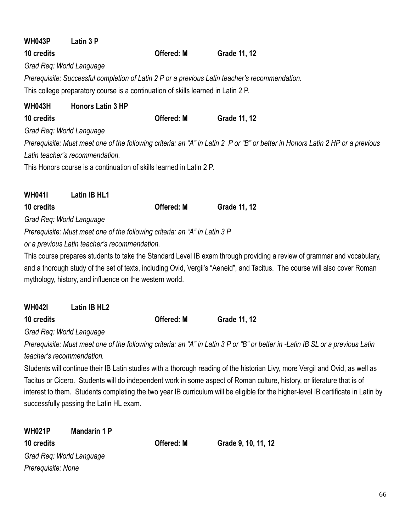| Latin 3 P<br><b>WH043P</b>                                                                     |            |                                                                                                                                 |
|------------------------------------------------------------------------------------------------|------------|---------------------------------------------------------------------------------------------------------------------------------|
| 10 credits                                                                                     | Offered: M | <b>Grade 11, 12</b>                                                                                                             |
| Grad Req: World Language                                                                       |            |                                                                                                                                 |
| Prerequisite: Successful completion of Latin 2 P or a previous Latin teacher's recommendation. |            |                                                                                                                                 |
| This college preparatory course is a continuation of skills learned in Latin 2 P.              |            |                                                                                                                                 |
| <b>Honors Latin 3 HP</b><br><b>WH043H</b>                                                      |            |                                                                                                                                 |
| 10 credits                                                                                     | Offered: M | Grade 11, 12                                                                                                                    |
| Grad Req: World Language                                                                       |            |                                                                                                                                 |
|                                                                                                |            | Prerequisite: Must meet one of the following criteria: an "A" in Latin 2 P or "B" or better in Honors Latin 2 HP or a previous  |
| Latin teacher's recommendation.                                                                |            |                                                                                                                                 |
| This Honors course is a continuation of skills learned in Latin 2 P.                           |            |                                                                                                                                 |
| <b>WH041I</b><br>Latin IB HL1                                                                  |            |                                                                                                                                 |
| 10 credits                                                                                     | Offered: M | Grade 11, 12                                                                                                                    |
| Grad Req: World Language                                                                       |            |                                                                                                                                 |
| Prerequisite: Must meet one of the following criteria: an "A" in Latin 3 P                     |            |                                                                                                                                 |
| or a previous Latin teacher's recommendation.                                                  |            |                                                                                                                                 |
|                                                                                                |            | This course prepares students to take the Standard Level IB exam through providing a review of grammar and vocabulary,          |
|                                                                                                |            | and a thorough study of the set of texts, including Ovid, Vergil's "Aeneid", and Tacitus. The course will also cover Roman      |
| mythology, history, and influence on the western world.                                        |            |                                                                                                                                 |
|                                                                                                |            |                                                                                                                                 |
| Latin IB HL2<br><b>WH0421</b>                                                                  |            |                                                                                                                                 |
| 10 credits                                                                                     | Offered: M | Grade 11, 12                                                                                                                    |
| Grad Req: World Language                                                                       |            |                                                                                                                                 |
|                                                                                                |            | Prerequisite: Must meet one of the following criteria: an "A" in Latin 3 P or "B" or better in -Latin IB SL or a previous Latin |
| teacher's recommendation.                                                                      |            |                                                                                                                                 |
|                                                                                                |            | Students will continue their IB Latin studies with a thorough reading of the historian Livy, more Vergil and Ovid, as well as   |
|                                                                                                |            | Tacitus or Cicero. Students will do independent work in some aspect of Roman culture, history, or literature that is of         |

interest to them. Students completing the two year IB curriculum will be eligible for the higher-level IB certificate in Latin by successfully passing the Latin HL exam.

| <b>WH021P</b>      | Mandarin 1 P             |                   |                     |
|--------------------|--------------------------|-------------------|---------------------|
| 10 credits         |                          | <b>Offered: M</b> | Grade 9, 10, 11, 12 |
|                    | Grad Reg: World Language |                   |                     |
| Prerequisite: None |                          |                   |                     |
|                    |                          |                   |                     |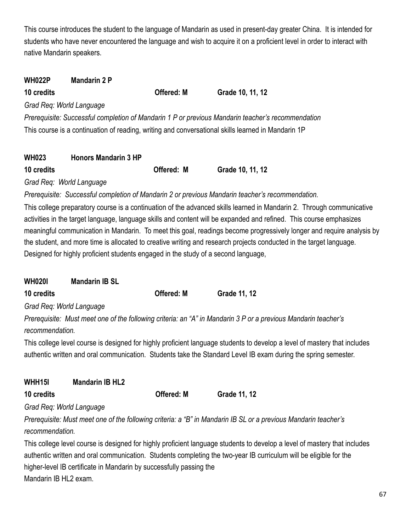This course introduces the student to the language of Mandarin as used in present-day greater China. It is intended for students who have never encountered the language and wish to acquire it on a proficient level in order to interact with native Mandarin speakers.

| <b>WH022P</b> | <b>Mandarin 2 P</b>         |                   |                                                                                                    |  |
|---------------|-----------------------------|-------------------|----------------------------------------------------------------------------------------------------|--|
| 10 credits    |                             | <b>Offered: M</b> | Grade 10, 11, 12                                                                                   |  |
|               | Grad Req: World Language    |                   |                                                                                                    |  |
|               |                             |                   | Prerequisite: Successful completion of Mandarin 1 P or previous Mandarin teacher's recommendation  |  |
|               |                             |                   | This course is a continuation of reading, writing and conversational skills learned in Mandarin 1P |  |
| <b>WH023</b>  | <b>Honors Mandarin 3 HP</b> |                   |                                                                                                    |  |

| Grade 10, 11, 12<br>Offered: M<br>10 credits |  |
|----------------------------------------------|--|

*Grad Req: World Language*

*Prerequisite: Successful completion of Mandarin 2 or previous Mandarin teacher's recommendation.*

This college preparatory course is a continuation of the advanced skills learned in Mandarin 2. Through communicative activities in the target language, language skills and content will be expanded and refined. This course emphasizes meaningful communication in Mandarin. To meet this goal, readings become progressively longer and require analysis by the student, and more time is allocated to creative writing and research projects conducted in the target language. Designed for highly proficient students engaged in the study of a second language,

| <b>WH0201</b> | <b>Mandarin IB SL</b> |                   |                     |
|---------------|-----------------------|-------------------|---------------------|
| 10 credits    |                       | <b>Offered: M</b> | <b>Grade 11, 12</b> |

*Grad Req: World Language*

*Prerequisite: Must meet one of the following criteria: an "A" in Mandarin 3 P or a previous Mandarin teacher's recommendation.*

This college level course is designed for highly proficient language students to develop a level of mastery that includes authentic written and oral communication. Students take the Standard Level IB exam during the spring semester.

| WHH15I                   | <b>Mandarin IB HL2</b> |                   |              |
|--------------------------|------------------------|-------------------|--------------|
| 10 credits               |                        | <b>Offered: M</b> | Grade 11, 12 |
| Grad Reg: World Language |                        |                   |              |

*Prerequisite: Must meet one of the following criteria: a "B" in Mandarin IB SL or a previous Mandarin teacher's recommendation.*

This college level course is designed for highly proficient language students to develop a level of mastery that includes authentic written and oral communication. Students completing the two-year IB curriculum will be eligible for the higher-level IB certificate in Mandarin by successfully passing the Mandarin IB HL2 exam.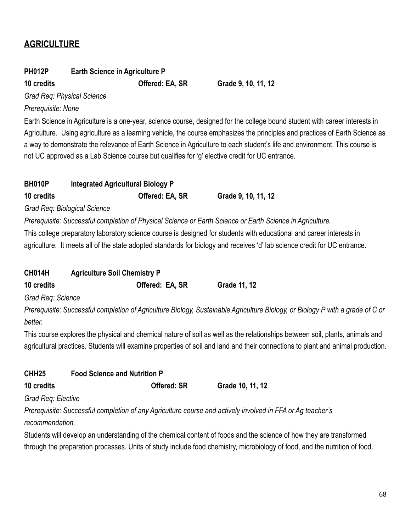# **AGRICULTURE**

## **PH012P Earth Science in Agriculture P**

**10 credits Offered: EA, SR Grade 9, 10, 11, 12**

*Grad Req: Physical Science*

*Prerequisite: None*

Earth Science in Agriculture is a one-year, science course, designed for the college bound student with career interests in Agriculture. Using agriculture as a learning vehicle, the course emphasizes the principles and practices of Earth Science as a way to demonstrate the relevance of Earth Science in Agriculture to each student's life and environment. This course is not UC approved as a Lab Science course but qualifies for 'g' elective credit for UC entrance.

| <b>BH010P</b><br>10 credits | <b>Integrated Agricultural Biology P</b><br>Offered: EA, SR | Grade 9, 10, 11, 12                                                                                                                                                                                                                               |
|-----------------------------|-------------------------------------------------------------|---------------------------------------------------------------------------------------------------------------------------------------------------------------------------------------------------------------------------------------------------|
|                             | Grad Req: Biological Science                                |                                                                                                                                                                                                                                                   |
|                             |                                                             | Prerequisite: Successful completion of Physical Science or Earth Science or Earth Science in Agriculture.                                                                                                                                         |
|                             |                                                             | This college preparatory laboratory science course is designed for students with educational and career interests in<br>agriculture. It meets all of the state adopted standards for biology and receives 'd' lab science credit for UC entrance. |
| <b>CH014H</b>               | <b>Agriculture Soil Chemistry P</b>                         |                                                                                                                                                                                                                                                   |
| 10 credits                  | Offered: EA, SR                                             | Grade 11, 12                                                                                                                                                                                                                                      |
| Grad Req: Science           |                                                             |                                                                                                                                                                                                                                                   |
| better.                     |                                                             | Prerequisite: Successful completion of Agriculture Biology, Sustainable Agriculture Biology, or Biology P with a grade of C or                                                                                                                    |
|                             |                                                             | This course explores the physical and chemical nature of soil as well as the relationships between soil, plants, animals and                                                                                                                      |
|                             |                                                             | agricultural practices. Students will examine properties of soil and land and their connections to plant and animal production.                                                                                                                   |
| CHH <sub>25</sub>           | <b>Food Science and Nutrition P</b>                         |                                                                                                                                                                                                                                                   |
| 10 credits                  | <b>Offered: SR</b>                                          | Grade 10, 11, 12                                                                                                                                                                                                                                  |
| Grad Req: Elective          |                                                             |                                                                                                                                                                                                                                                   |
| recommendation.             |                                                             | Prerequisite: Successful completion of any Agriculture course and actively involved in FFA or Ag teacher's                                                                                                                                        |
|                             |                                                             | Students will develop an understanding of the chemical content of foods and the science of how they are transformed                                                                                                                               |
|                             |                                                             | through the preparation processes. Units of study include food chemistry, microbiology of food, and the nutrition of food.                                                                                                                        |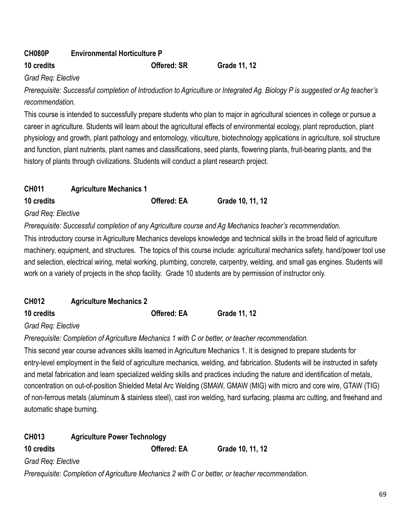# **CH080P Environmental Horticulture P**

### **10 credits Offered: SR Grade 11, 12**

### *Grad Req: Elective*

*Prerequisite: Successful completion of Introduction to Agriculture or Integrated Ag. Biology P is suggested or Ag teacher's recommendation.*

This course is intended to successfully prepare students who plan to major in agricultural sciences in college or pursue a career in agriculture. Students will learn about the agricultural effects of environmental ecology, plant reproduction, plant physiology and growth, plant pathology and entomology, viticulture, biotechnology applications in agriculture, soil structure and function, plant nutrients, plant names and classifications, seed plants, flowering plants, fruit-bearing plants, and the history of plants through civilizations. Students will conduct a plant research project.

| <b>CH011</b> | <b>Agriculture Mechanics 1</b> |                    |                  |  |
|--------------|--------------------------------|--------------------|------------------|--|
| 10 credits   |                                | <b>Offered: EA</b> | Grade 10, 11, 12 |  |

### *Grad Req: Elective*

*Prerequisite: Successful completion of any Agriculture course and Ag Mechanics teacher's recommendation.*

This introductory course in Agriculture Mechanics develops knowledge and technical skills in the broad field of agriculture machinery, equipment, and structures. The topics of this course include: agricultural mechanics safety, hand/power tool use and selection, electrical wiring, metal working, plumbing, concrete, carpentry, welding, and small gas engines. Students will work on a variety of projects in the shop facility. Grade 10 students are by permission of instructor only.

| <b>CH012</b> | <b>Agriculture Mechanics 2</b> |                     |
|--------------|--------------------------------|---------------------|
| 10 credits   | <b>Offered: EA</b>             | <b>Grade 11, 12</b> |

### *Grad Req: Elective*

*Prerequisite: Completion of Agriculture Mechanics 1 with C or better, or teacher recommendation.*

This second year course advances skills learned in Agriculture Mechanics 1. It is designed to prepare students for entry-level employment in the field of agriculture mechanics, welding, and fabrication. Students will be instructed in safety and metal fabrication and learn specialized welding skills and practices including the nature and identification of metals, concentration on out-of-position Shielded Metal Arc Welding (SMAW, GMAW (MIG) with micro and core wire, GTAW (TIG) of non-ferrous metals (aluminum & stainless steel), cast iron welding, hard surfacing, plasma arc cutting, and freehand and automatic shape burning.

| <b>CH013</b>       | <b>Agriculture Power Technology</b> |                    |                                                                                                  |  |
|--------------------|-------------------------------------|--------------------|--------------------------------------------------------------------------------------------------|--|
| 10 credits         |                                     | <b>Offered: EA</b> | Grade 10, 11, 12                                                                                 |  |
| Grad Reg: Elective |                                     |                    |                                                                                                  |  |
|                    |                                     |                    | Prerequisite: Completion of Agriculture Mechanics 2 with C or better, or teacher recommendation. |  |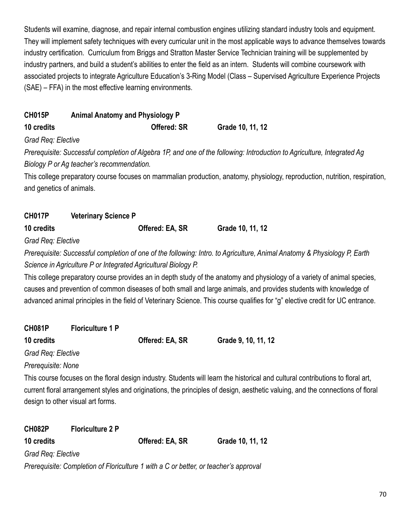Students will examine, diagnose, and repair internal combustion engines utilizing standard industry tools and equipment. They will implement safety techniques with every curricular unit in the most applicable ways to advance themselves towards industry certification. Curriculum from Briggs and Stratton Master Service Technician training will be supplemented by industry partners, and build a student's abilities to enter the field as an intern. Students will combine coursework with associated projects to integrate Agriculture Education's 3-Ring Model (Class – Supervised Agriculture Experience Projects (SAE) – FFA) in the most effective learning environments.

| <b>CH015P</b>            | <b>Animal Anatomy and Physiology P</b>                         |                    |                                                                                                                                                                                                                                                                   |
|--------------------------|----------------------------------------------------------------|--------------------|-------------------------------------------------------------------------------------------------------------------------------------------------------------------------------------------------------------------------------------------------------------------|
| 10 credits               |                                                                | <b>Offered: SR</b> | Grade 10, 11, 12                                                                                                                                                                                                                                                  |
| Grad Req: Elective       |                                                                |                    |                                                                                                                                                                                                                                                                   |
|                          |                                                                |                    | Prerequisite: Successful completion of Algebra 1P, and one of the following: Introduction to Agriculture, Integrated Ag                                                                                                                                           |
|                          | Biology P or Ag teacher's recommendation.                      |                    |                                                                                                                                                                                                                                                                   |
|                          |                                                                |                    | This college preparatory course focuses on mammalian production, anatomy, physiology, reproduction, nutrition, respiration,                                                                                                                                       |
| and genetics of animals. |                                                                |                    |                                                                                                                                                                                                                                                                   |
| <b>CH017P</b>            | <b>Veterinary Science P</b>                                    |                    |                                                                                                                                                                                                                                                                   |
| 10 credits               |                                                                | Offered: EA, SR    | Grade 10, 11, 12                                                                                                                                                                                                                                                  |
| Grad Req: Elective       |                                                                |                    |                                                                                                                                                                                                                                                                   |
|                          |                                                                |                    | Prerequisite: Successful completion of one of the following: Intro. to Agriculture, Animal Anatomy & Physiology P, Earth                                                                                                                                          |
|                          | Science in Agriculture P or Integrated Agricultural Biology P. |                    |                                                                                                                                                                                                                                                                   |
|                          |                                                                |                    | This college preparatory course provides an in depth study of the anatomy and physiology of a variety of animal species,                                                                                                                                          |
|                          |                                                                |                    | causes and prevention of common diseases of both small and large animals, and provides students with knowledge of                                                                                                                                                 |
|                          |                                                                |                    | advanced animal principles in the field of Veterinary Science. This course qualifies for "g" elective credit for UC entrance.                                                                                                                                     |
| <b>CH081P</b>            | <b>Floriculture 1 P</b>                                        |                    |                                                                                                                                                                                                                                                                   |
| 10 credits               |                                                                | Offered: EA, SR    | Grade 9, 10, 11, 12                                                                                                                                                                                                                                               |
| Grad Req: Elective       |                                                                |                    |                                                                                                                                                                                                                                                                   |
| Prerequisite: None       |                                                                |                    |                                                                                                                                                                                                                                                                   |
|                          | design to other visual art forms.                              |                    | This course focuses on the floral design industry. Students will learn the historical and cultural contributions to floral art,<br>current floral arrangement styles and originations, the principles of design, aesthetic valuing, and the connections of floral |

| <b>CH082P</b>      | <b>Floriculture 2 P</b>                                                              |                 |                  |  |  |  |
|--------------------|--------------------------------------------------------------------------------------|-----------------|------------------|--|--|--|
| 10 credits         |                                                                                      | Offered: EA, SR | Grade 10, 11, 12 |  |  |  |
| Grad Reg: Elective |                                                                                      |                 |                  |  |  |  |
|                    | Prerequisite: Completion of Floriculture 1 with a C or better, or teacher's approval |                 |                  |  |  |  |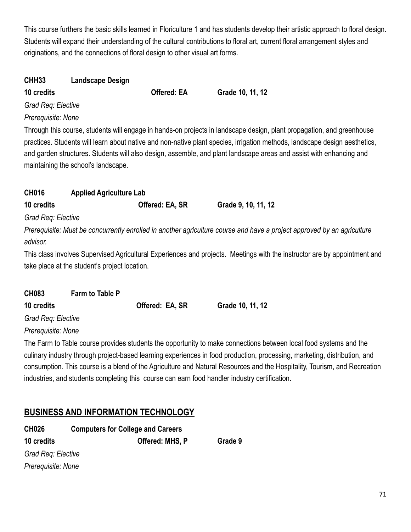This course furthers the basic skills learned in Floriculture 1 and has students develop their artistic approach to floral design. Students will expand their understanding of the cultural contributions to floral art, current floral arrangement styles and originations, and the connections of floral design to other visual art forms.

**10, 11, 12** 

| CHH33              | <b>Landscape Design</b> |                    |       |
|--------------------|-------------------------|--------------------|-------|
| 10 credits         |                         | <b>Offered: EA</b> | Grade |
| Grad Reg: Elective |                         |                    |       |

### *Prerequisite: None*

Through this course, students will engage in hands-on projects in landscape design, plant propagation, and greenhouse practices. Students will learn about native and non-native plant species, irrigation methods, landscape design aesthetics, and garden structures. Students will also design, assemble, and plant landscape areas and assist with enhancing and maintaining the school's landscape.

# **CH016 Applied Agriculture Lab**

**10 credits Offered: EA, SR Grade 9, 10, 11, 12**

*Grad Req: Elective*

*Prerequisite: Must be concurrently enrolled in another agriculture course and have a project approved by an agriculture advisor.*

This class involves Supervised Agricultural Experiences and projects. Meetings with the instructor are by appointment and take place at the student's project location.

| <b>CH083</b>       | <b>Farm to Table P</b> |                 |                  |
|--------------------|------------------------|-----------------|------------------|
| 10 credits         |                        | Offered: EA, SR | Grade 10, 11, 12 |
| Grad Req: Elective |                        |                 |                  |
| Prerequisite: None |                        |                 |                  |

The Farm to Table course provides students the opportunity to make connections between local food systems and the culinary industry through project-based learning experiences in food production, processing, marketing, distribution, and consumption. This course is a blend of the Agriculture and Natural Resources and the Hospitality, Tourism, and Recreation industries, and students completing this course can earn food handler industry certification.

# **BUSINESS AND INFORMATION TECHNOLOGY**

| <b>CH026</b>       | <b>Computers for College and Careers</b> |  |  |  |
|--------------------|------------------------------------------|--|--|--|
| 10 credits         | Offered: MHS, P<br>Grade 9               |  |  |  |
| Grad Req: Elective |                                          |  |  |  |
| Prerequisite: None |                                          |  |  |  |
|                    |                                          |  |  |  |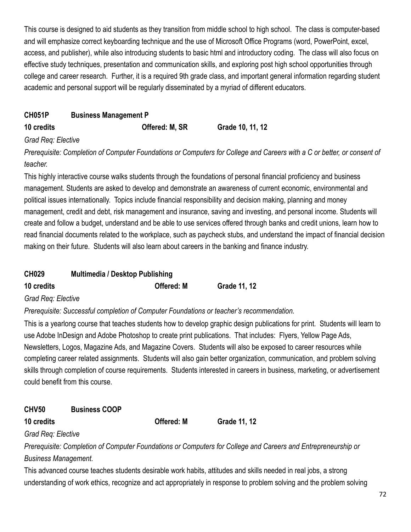This course is designed to aid students as they transition from middle school to high school. The class is computer-based and will emphasize correct keyboarding technique and the use of Microsoft Office Programs (word, PowerPoint, excel, access, and publisher), while also introducing students to basic html and introductory coding. The class will also focus on effective study techniques, presentation and communication skills, and exploring post high school opportunities through college and career research. Further, it is a required 9th grade class, and important general information regarding student academic and personal support will be regularly disseminated by a myriad of different educators.

# **CH051P Business Management P**

**10 credits Offered: M, SR Grade 10, 11, 12**

## *Grad Req: Elective*

*Prerequisite: Completion of Computer Foundations or Computers for College and Careers with a C or better, or consent of teacher.*

This highly interactive course walks students through the foundations of personal financial proficiency and business management. Students are asked to develop and demonstrate an awareness of current economic, environmental and political issues internationally. Topics include financial responsibility and decision making, planning and money management, credit and debt, risk management and insurance, saving and investing, and personal income. Students will create and follow a budget, understand and be able to use services offered through banks and credit unions, learn how to read financial documents related to the workplace, such as paycheck stubs, and understand the impact of financial decision making on their future. Students will also learn about careers in the banking and finance industry.

| <b>CH029</b> | <b>Multimedia / Desktop Publishing</b> |                     |
|--------------|----------------------------------------|---------------------|
| 10 credits   | <b>Offered: M</b>                      | <b>Grade 11, 12</b> |

### *Grad Req: Elective*

*Prerequisite: Successful completion of Computer Foundations or teacher's recommendation.*

This is a yearlong course that teaches students how to develop graphic design publications for print. Students will learn to use Adobe InDesign and Adobe Photoshop to create print publications. That includes: Flyers, Yellow Page Ads, Newsletters, Logos, Magazine Ads, and Magazine Covers. Students will also be exposed to career resources while completing career related assignments. Students will also gain better organization, communication, and problem solving skills through completion of course requirements. Students interested in careers in business, marketing, or advertisement could benefit from this course.

# **CHV50 Business COOP**

**10 credits Offered: M Grade 11, 12**

*Grad Req: Elective*

*Prerequisite: Completion of Computer Foundations or Computers for College and Careers and Entrepreneurship or Business Management.*

This advanced course teaches students desirable work habits, attitudes and skills needed in real jobs, a strong understanding of work ethics, recognize and act appropriately in response to problem solving and the problem solving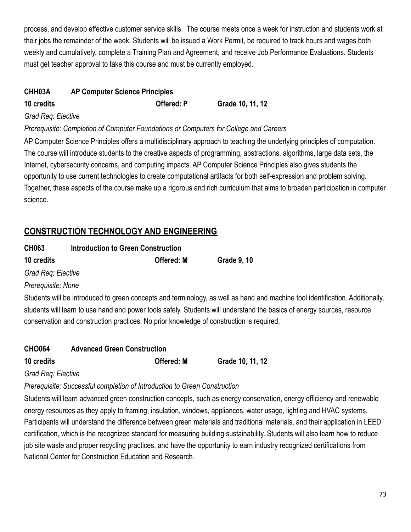process, and develop effective customer service skills. The course meets once a week for instruction and students work at their jobs the remainder of the week. Students will be issued a Work Permit, be required to track hours and wages both weekly and cumulatively, complete a Training Plan and Agreement, and receive Job Performance Evaluations. Students must get teacher approval to take this course and must be currently employed.

## **CHH03A AP Computer Science Principles**

**10 credits Offered: P Grade 10, 11, 12**

#### *Grad Req: Elective*

#### *Prerequisite: Completion of Computer Foundations or Computers for College and Careers*

AP Computer Science Principles offers a multidisciplinary approach to teaching the underlying principles of computation. The course will introduce students to the creative aspects of programming, abstractions, algorithms, large data sets, the Internet, cybersecurity concerns, and computing impacts. AP Computer Science Principles also gives students the opportunity to use current technologies to create computational artifacts for both self-expression and problem solving. Together, these aspects of the course make up a rigorous and rich curriculum that aims to broaden participation in computer science.

## **CONSTRUCTION TECHNOLOGY AND ENGINEERING**

| <b>CH063</b>       | <b>Introduction to Green Construction</b> |                   |                    |
|--------------------|-------------------------------------------|-------------------|--------------------|
| 10 credits         |                                           | <b>Offered: M</b> | <b>Grade 9, 10</b> |
| Grad Req: Elective |                                           |                   |                    |

*Prerequisite: None*

Students will be introduced to green concepts and terminology, as well as hand and machine tool identification. Additionally, students will learn to use hand and power tools safely. Students will understand the basics of energy sources, resource conservation and construction practices. No prior knowledge of construction is required.

## **CHO064 Advanced Green Construction 10 credits Offered: M Grade 10, 11, 12**

#### *Grad Req: Elective*

### *Prerequisite: Successful completion of Introduction to Green Construction*

Students will learn advanced green construction concepts, such as energy conservation, energy efficiency and renewable energy resources as they apply to framing, insulation, windows, appliances, water usage, lighting and HVAC systems. Participants will understand the difference between green materials and traditional materials, and their application in LEED certification, which is the recognized standard for measuring building sustainability. Students will also learn how to reduce job site waste and proper recycling practices, and have the opportunity to earn industry recognized certifications from National Center for Construction Education and Research.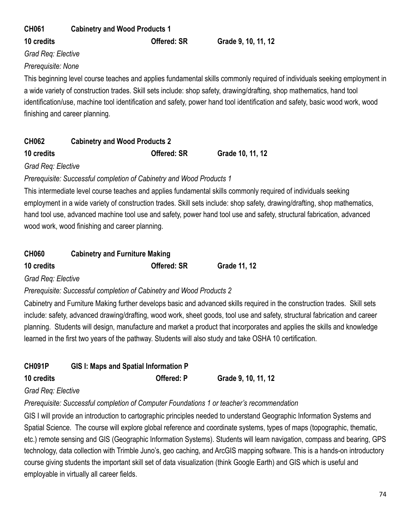| <b>CH061</b>       | <b>Cabinetry and Wood Products 1</b> |                                                                                                                              |
|--------------------|--------------------------------------|------------------------------------------------------------------------------------------------------------------------------|
| 10 credits         | <b>Offered: SR</b>                   | Grade 9, 10, 11, 12                                                                                                          |
| Grad Req: Elective |                                      |                                                                                                                              |
| Prerequisite: None |                                      |                                                                                                                              |
|                    |                                      | This beginning level course teaches and applies fundamental skills commonly required of individuals seeking employment in    |
|                    |                                      | a wide variety of construction trades. Skill sets include: shop safety, drawing/drafting, shop mathematics, hand tool        |
|                    |                                      | identification/use, machine tool identification and safety, power hand tool identification and safety, basic wood work, wood |
|                    | finishing and career planning.       |                                                                                                                              |

| <b>CH062</b> | <b>Cabinetry and Wood Products 2</b> |
|--------------|--------------------------------------|
|--------------|--------------------------------------|

**10 credits Offered: SR Grade 10, 11, 12**

*Grad Req: Elective*

*Prerequisite: Successful completion of Cabinetry and Wood Products 1*

This intermediate level course teaches and applies fundamental skills commonly required of individuals seeking employment in a wide variety of construction trades. Skill sets include: shop safety, drawing/drafting, shop mathematics, hand tool use, advanced machine tool use and safety, power hand tool use and safety, structural fabrication, advanced wood work, wood finishing and career planning.

| <b>CH060</b> | <b>Cabinetry and Furniture Making</b> |              |  |
|--------------|---------------------------------------|--------------|--|
| 10 credits   | <b>Offered: SR</b>                    | Grade 11, 12 |  |

*Grad Req: Elective*

*Prerequisite: Successful completion of Cabinetry and Wood Products 2*

Cabinetry and Furniture Making further develops basic and advanced skills required in the construction trades. Skill sets include: safety, advanced drawing/drafting, wood work, sheet goods, tool use and safety, structural fabrication and career planning. Students will design, manufacture and market a product that incorporates and applies the skills and knowledge learned in the first two years of the pathway. Students will also study and take OSHA 10 certification.

| <b>CH091P</b> | <b>GIS I: Maps and Spatial Information P</b> |                     |
|---------------|----------------------------------------------|---------------------|
| 10 credits    | <b>Offered: P</b>                            | Grade 9, 10, 11, 12 |

## *Grad Req: Elective*

*Prerequisite: Successful completion of Computer Foundations 1 or teacher's recommendation*

GIS I will provide an introduction to cartographic principles needed to understand Geographic Information Systems and Spatial Science. The course will explore global reference and coordinate systems, types of maps (topographic, thematic, etc.) remote sensing and GIS (Geographic Information Systems). Students will learn navigation, compass and bearing, GPS technology, data collection with Trimble Juno's, geo caching, and ArcGIS mapping software. This is a hands-on introductory course giving students the important skill set of data visualization (think Google Earth) and GIS which is useful and employable in virtually all career fields.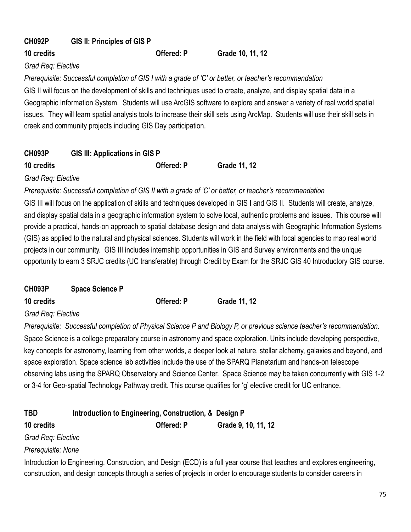## **CH092P GIS II: Principles of GIS P**

### **10 credits Offered: P Grade 10, 11, 12**

#### *Grad Req: Elective*

*Prerequisite: Successful completion of GIS I with a grade of 'C' or better, or teacher's recommendation*

GIS II will focus on the development of skills and techniques used to create, analyze, and display spatial data in a Geographic Information System. Students will use ArcGIS software to explore and answer a variety of real world spatial issues. They will learn spatial analysis tools to increase their skill sets using ArcMap. Students will use their skill sets in creek and community projects including GIS Day participation.

## **CH093P GIS III: Applications in GIS P 10 credits Offered: P Grade 11, 12**

*Grad Req: Elective*

*Prerequisite: Successful completion of GIS II with a grade of 'C' or better, or teacher's recommendation*

GIS III will focus on the application of skills and techniques developed in GIS I and GIS II. Students will create, analyze, and display spatial data in a geographic information system to solve local, authentic problems and issues. This course will provide a practical, hands-on approach to spatial database design and data analysis with Geographic Information Systems (GIS) as applied to the natural and physical sciences. Students will work in the field with local agencies to map real world projects in our community. GIS III includes internship opportunities in GIS and Survey environments and the unique opportunity to earn 3 SRJC credits (UC transferable) through Credit by Exam for the SRJC GIS 40 Introductory GIS course.

| <b>Space Science P</b> |                   |                     |
|------------------------|-------------------|---------------------|
|                        | <b>Offered: P</b> | <b>Grade 11, 12</b> |
|                        |                   |                     |

*Grad Req: Elective*

*Prerequisite: Successful completion of Physical Science P and Biology P, or previous science teacher's recommendation.* Space Science is a college preparatory course in astronomy and space exploration. Units include developing perspective, key concepts for astronomy, learning from other worlds, a deeper look at nature, stellar alchemy, galaxies and beyond, and space exploration. Space science lab activities include the use of the SPARQ Planetarium and hands-on telescope observing labs using the SPARQ Observatory and Science Center. Space Science may be taken concurrently with GIS 1-2 or 3-4 for Geo-spatial Technology Pathway credit. This course qualifies for 'g' elective credit for UC entrance.

| <b>TBD</b>         | Introduction to Engineering, Construction, & Design P |                                                                                                                                                                                                                                                  |
|--------------------|-------------------------------------------------------|--------------------------------------------------------------------------------------------------------------------------------------------------------------------------------------------------------------------------------------------------|
| 10 credits         | Offered: P                                            | Grade 9, 10, 11, 12                                                                                                                                                                                                                              |
| Grad Reg: Elective |                                                       |                                                                                                                                                                                                                                                  |
| Prerequisite: None |                                                       |                                                                                                                                                                                                                                                  |
|                    |                                                       | Introduction to Engineering, Construction, and Design (ECD) is a full year course that teaches and explores engineering,<br>construction, and design concepts through a series of projects in order to encourage students to consider careers in |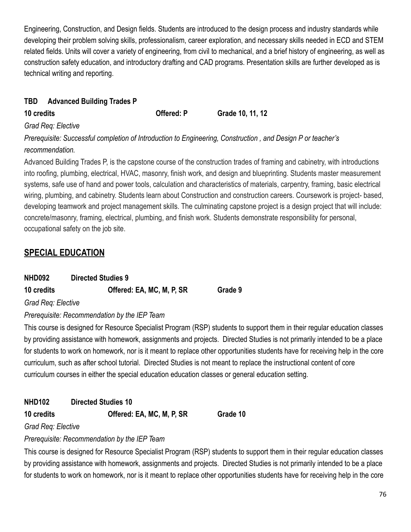Engineering, Construction, and Design fields. Students are introduced to the design process and industry standards while developing their problem solving skills, professionalism, career exploration, and necessary skills needed in ECD and STEM related fields. Units will cover a variety of engineering, from civil to mechanical, and a brief history of engineering, as well as construction safety education, and introductory drafting and CAD programs. Presentation skills are further developed as is technical writing and reporting.

## **TBD Advanced Building Trades P**

**10 credits Offered: P Grade 10, 11, 12**

## *Grad Req: Elective*

*Prerequisite: Successful completion of Introduction to Engineering, Construction , and Design P or teacher's recommendation.*

Advanced Building Trades P, is the capstone course of the construction trades of framing and cabinetry, with introductions into roofing, plumbing, electrical, HVAC, masonry, finish work, and design and blueprinting. Students master measurement systems, safe use of hand and power tools, calculation and characteristics of materials, carpentry, framing, basic electrical wiring, plumbing, and cabinetry. Students learn about Construction and construction careers. Coursework is project- based, developing teamwork and project management skills. The culminating capstone project is a design project that will include: concrete/masonry, framing, electrical, plumbing, and finish work. Students demonstrate responsibility for personal, occupational safety on the job site.

## **SPECIAL EDUCATION**

**10 credits Offered: EA, MC, M, P, SR Grade 9**

*Grad Req: Elective*

*Prerequisite: Recommendation by the IEP Team*

This course is designed for Resource Specialist Program (RSP) students to support them in their regular education classes by providing assistance with homework, assignments and projects. Directed Studies is not primarily intended to be a place for students to work on homework, nor is it meant to replace other opportunities students have for receiving help in the core curriculum, such as after school tutorial. Directed Studies is not meant to replace the instructional content of core curriculum courses in either the special education education classes or general education setting.

**NHD102 Directed Studies 10**

**10 credits Offered: EA, MC, M, P, SR Grade 10**

## *Grad Req: Elective*

## *Prerequisite: Recommendation by the IEP Team*

This course is designed for Resource Specialist Program (RSP) students to support them in their regular education classes by providing assistance with homework, assignments and projects. Directed Studies is not primarily intended to be a place for students to work on homework, nor is it meant to replace other opportunities students have for receiving help in the core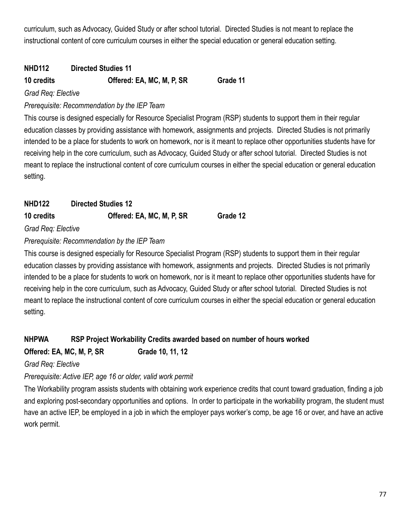curriculum, such as Advocacy, Guided Study or after school tutorial. Directed Studies is not meant to replace the instructional content of core curriculum courses in either the special education or general education setting.

## **NHD112 Directed Studies 11**

## **10 credits Offered: EA, MC, M, P, SR Grade 11**

*Grad Req: Elective*

## *Prerequisite: Recommendation by the IEP Team*

This course is designed especially for Resource Specialist Program (RSP) students to support them in their regular education classes by providing assistance with homework, assignments and projects. Directed Studies is not primarily intended to be a place for students to work on homework, nor is it meant to replace other opportunities students have for receiving help in the core curriculum, such as Advocacy, Guided Study or after school tutorial. Directed Studies is not meant to replace the instructional content of core curriculum courses in either the special education or general education setting.

| <b>NHD122</b>        | <b>Directed Studies 12</b> |          |
|----------------------|----------------------------|----------|
| 10 credits           | Offered: EA, MC, M, P, SR  | Grade 12 |
| Cread Dear Floothing |                            |          |

*Grad Req: Elective*

*Prerequisite: Recommendation by the IEP Team*

This course is designed especially for Resource Specialist Program (RSP) students to support them in their regular education classes by providing assistance with homework, assignments and projects. Directed Studies is not primarily intended to be a place for students to work on homework, nor is it meant to replace other opportunities students have for receiving help in the core curriculum, such as Advocacy, Guided Study or after school tutorial. Directed Studies is not meant to replace the instructional content of core curriculum courses in either the special education or general education setting.

## **NHPWA RSP Project Workability Credits awarded based on number of hours worked Offered: EA, MC, M, P, SR Grade 10, 11, 12**

### *Grad Req: Elective*

## *Prerequisite: Active IEP, age 16 or older, valid work permit*

The Workability program assists students with obtaining work experience credits that count toward graduation, finding a job and exploring post-secondary opportunities and options. In order to participate in the workability program, the student must have an active IEP, be employed in a job in which the employer pays worker's comp, be age 16 or over, and have an active work permit.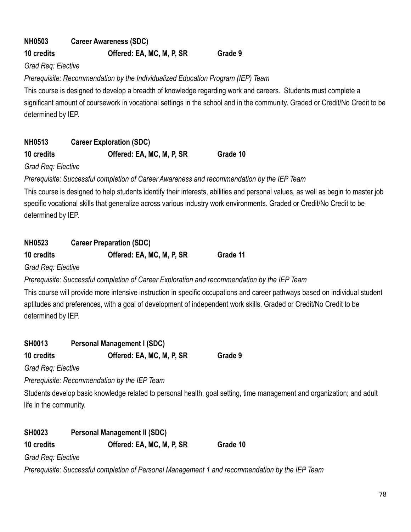# **NH0503 Career Awareness (SDC)**

## **10 credits Offered: EA, MC, M, P, SR Grade 9**

*Grad Req: Elective*

*Prerequisite: Recommendation by the Individualized Education Program (IEP) Team*

This course is designed to develop a breadth of knowledge regarding work and careers. Students must complete a significant amount of coursework in vocational settings in the school and in the community. Graded or Credit/No Credit to be determined by IEP.

## **NH0513 Career Exploration (SDC)**

**10 credits Offered: EA, MC, M, P, SR Grade 10**

*Grad Req: Elective*

*Prerequisite: Successful completion of Career Awareness and recommendation by the IEP Team*

This course is designed to help students identify their interests, abilities and personal values, as well as begin to master job specific vocational skills that generalize across various industry work environments. Graded or Credit/No Credit to be determined by IEP.

## **NH0523 Career Preparation (SDC)**

| 10 credits | Offered: EA, MC, M, P, SR | Grade 11 |
|------------|---------------------------|----------|
|            |                           |          |

*Grad Req: Elective*

*Prerequisite: Successful completion of Career Exploration and recommendation by the IEP Team*

This course will provide more intensive instruction in specific occupations and career pathways based on individual student aptitudes and preferences, with a goal of development of independent work skills. Graded or Credit/No Credit to be determined by IEP.

| <b>SH0013</b> | <b>Personal Management I (SDC)</b> |         |
|---------------|------------------------------------|---------|
| 10 credits    | Offered: EA, MC, M, P, SR          | Grade 9 |

*Grad Req: Elective*

*Prerequisite: Recommendation by the IEP Team*

Students develop basic knowledge related to personal health, goal setting, time management and organization; and adult life in the community.

| <b>SH0023</b>      | <b>Personal Management II (SDC)</b> |          |
|--------------------|-------------------------------------|----------|
| 10 credits         | Offered: EA, MC, M, P, SR           | Grade 10 |
| Grad Req: Elective |                                     |          |

*Prerequisite: Successful completion of Personal Management 1 and recommendation by the IEP Team*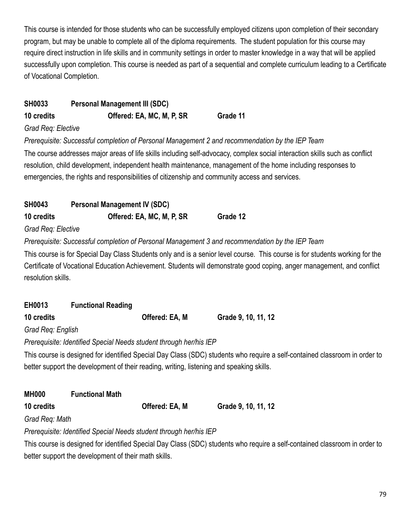This course is intended for those students who can be successfully employed citizens upon completion of their secondary program, but may be unable to complete all of the diploma requirements. The student population for this course may require direct instruction in life skills and in community settings in order to master knowledge in a way that will be applied successfully upon completion. This course is needed as part of a sequential and complete curriculum leading to a Certificate of Vocational Completion.

## **SH0033 Personal Management III (SDC) 10 credits Offered: EA, MC, M, P, SR Grade 11**

#### *Grad Req: Elective*

*Prerequisite: Successful completion of Personal Management 2 and recommendation by the IEP Team*

The course addresses major areas of life skills including self-advocacy, complex social interaction skills such as conflict resolution, child development, independent health maintenance, management of the home including responses to emergencies, the rights and responsibilities of citizenship and community access and services.

| <b>SH0043</b> | <b>Personal Management IV (SDC)</b> |          |  |
|---------------|-------------------------------------|----------|--|
| 10 credits    | Offered: EA, MC, M, P, SR           | Grade 12 |  |

#### *Grad Req: Elective*

*Prerequisite: Successful completion of Personal Management 3 and recommendation by the IEP Team*

This course is for Special Day Class Students only and is a senior level course. This course is for students working for the Certificate of Vocational Education Achievement. Students will demonstrate good coping, anger management, and conflict resolution skills.

| EH0013            | <b>Functional Reading</b>                                          |                |                                                                                       |
|-------------------|--------------------------------------------------------------------|----------------|---------------------------------------------------------------------------------------|
| 10 credits        |                                                                    | Offered: EA, M | Grade 9, 10, 11, 12                                                                   |
| Grad Reg: English |                                                                    |                |                                                                                       |
|                   | Prerequisite: Identified Special Needs student through her/his IEP |                |                                                                                       |
|                   |                                                                    |                | This course is designed for identified Special Day Class (SDC) students who require a |

self-contained classroom in order to better support the development of their reading, writing, listening and speaking skills.

| <b>MH000</b>   | <b>Functional Math</b> |                |                     |
|----------------|------------------------|----------------|---------------------|
| 10 credits     |                        | Offered: EA, M | Grade 9, 10, 11, 12 |
| Grad Reg: Math |                        |                |                     |

*Prerequisite: Identified Special Needs student through her/his IEP*

This course is designed for identified Special Day Class (SDC) students who require a self-contained classroom in order to better support the development of their math skills.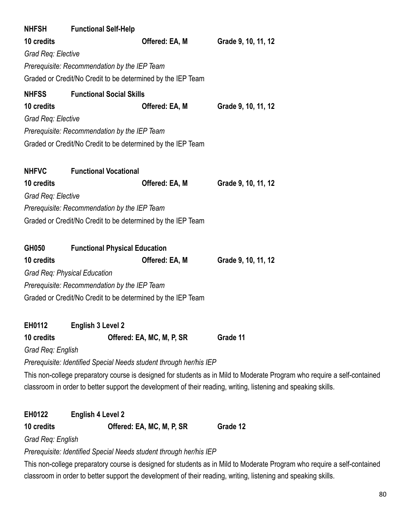| <b>NHFSH</b>       | <b>Functional Self-Help</b>                                        |                |                                                                                                                          |
|--------------------|--------------------------------------------------------------------|----------------|--------------------------------------------------------------------------------------------------------------------------|
| 10 credits         |                                                                    | Offered: EA, M | Grade 9, 10, 11, 12                                                                                                      |
| Grad Req: Elective |                                                                    |                |                                                                                                                          |
|                    | Prerequisite: Recommendation by the IEP Team                       |                |                                                                                                                          |
|                    | Graded or Credit/No Credit to be determined by the IEP Team        |                |                                                                                                                          |
| <b>NHFSS</b>       | <b>Functional Social Skills</b>                                    |                |                                                                                                                          |
| 10 credits         |                                                                    | Offered: EA, M | Grade 9, 10, 11, 12                                                                                                      |
| Grad Req: Elective |                                                                    |                |                                                                                                                          |
|                    | Prerequisite: Recommendation by the IEP Team                       |                |                                                                                                                          |
|                    | Graded or Credit/No Credit to be determined by the IEP Team        |                |                                                                                                                          |
|                    |                                                                    |                |                                                                                                                          |
| <b>NHFVC</b>       | <b>Functional Vocational</b>                                       |                |                                                                                                                          |
| 10 credits         |                                                                    | Offered: EA, M | Grade 9, 10, 11, 12                                                                                                      |
| Grad Req: Elective |                                                                    |                |                                                                                                                          |
|                    | Prerequisite: Recommendation by the IEP Team                       |                |                                                                                                                          |
|                    | Graded or Credit/No Credit to be determined by the IEP Team        |                |                                                                                                                          |
|                    |                                                                    |                |                                                                                                                          |
| GH050              | <b>Functional Physical Education</b>                               |                |                                                                                                                          |
| 10 credits         |                                                                    | Offered: EA, M | Grade 9, 10, 11, 12                                                                                                      |
|                    | Grad Req: Physical Education                                       |                |                                                                                                                          |
|                    | Prerequisite: Recommendation by the IEP Team                       |                |                                                                                                                          |
|                    | Graded or Credit/No Credit to be determined by the IEP Team        |                |                                                                                                                          |
|                    |                                                                    |                |                                                                                                                          |
| EH0112             | <b>English 3 Level 2</b>                                           |                |                                                                                                                          |
| 10 credits         | Offered: EA, MC, M, P, SR                                          |                | Grade 11                                                                                                                 |
| Grad Req: English  |                                                                    |                |                                                                                                                          |
|                    | Prerequisite: Identified Special Needs student through her/his IEP |                |                                                                                                                          |
|                    |                                                                    |                | This non-college preparatory course is designed for students as in Mild to Moderate Program who require a self-contained |
|                    |                                                                    |                | classroom in order to better support the development of their reading, writing, listening and speaking skills.           |
|                    |                                                                    |                |                                                                                                                          |
| EH0122             | <b>English 4 Level 2</b>                                           |                |                                                                                                                          |
| 10 credits         | Offered: EA, MC, M, P, SR                                          |                | Grade 12                                                                                                                 |

*Grad Req: English*

*Prerequisite: Identified Special Needs student through her/his IEP*

This non-college preparatory course is designed for students as in Mild to Moderate Program who require a self-contained classroom in order to better support the development of their reading, writing, listening and speaking skills.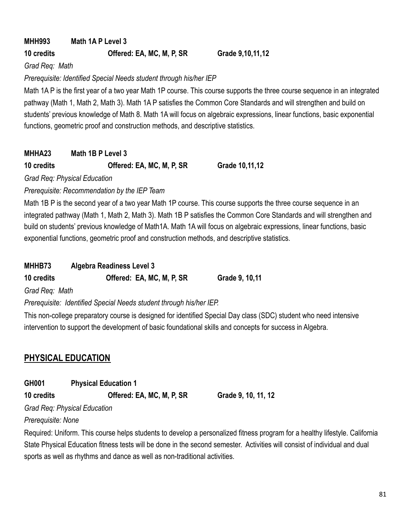**MHH993 Math 1A P Level 3**

## **10 credits Offered: EA, MC, M, P, SR Grade 9,10,11,12**

*Grad Req: Math*

*Prerequisite: Identified Special Needs student through his/her IEP*

Math 1A P is the first year of a two year Math 1P course. This course supports the three course sequence in an integrated pathway (Math 1, Math 2, Math 3). Math 1A P satisfies the Common Core Standards and will strengthen and build on students' previous knowledge of Math 8. Math 1A will focus on algebraic expressions, linear functions, basic exponential functions, geometric proof and construction methods, and descriptive statistics.

## **MHHA23 Math 1B P Level 3**

## **10 credits Offered: EA, MC, M, P, SR Grade 10,11,12**

*Grad Req: Physical Education*

*Prerequisite: Recommendation by the IEP Team*

Math 1B P is the second year of a two year Math 1P course. This course supports the three course sequence in an integrated pathway (Math 1, Math 2, Math 3). Math 1B P satisfies the Common Core Standards and will strengthen and build on students' previous knowledge of Math1A. Math 1A will focus on algebraic expressions, linear functions, basic exponential functions, geometric proof and construction methods, and descriptive statistics.

## **MHHB73 Algebra Readiness Level 3**

**10 credits Offered: EA, MC, M, P, SR Grade 9, 10,11**

*Grad Req: Math*

*Prerequisite: Identified Special Needs student through his/her IEP.*

This non-college preparatory course is designed for identified Special Day class (SDC) student who need intensive intervention to support the development of basic foundational skills and concepts for success in Algebra.

## **PHYSICAL EDUCATION**

**GH001 Physical Education 1**

**10 credits Offered: EA, MC, M, P, SR Grade 9, 10, 11, 12**

*Grad Req: Physical Education*

*Prerequisite: None*

Required: Uniform. This course helps students to develop a personalized fitness program for a healthy lifestyle. California State Physical Education fitness tests will be done in the second semester. Activities will consist of individual and dual sports as well as rhythms and dance as well as non-traditional activities.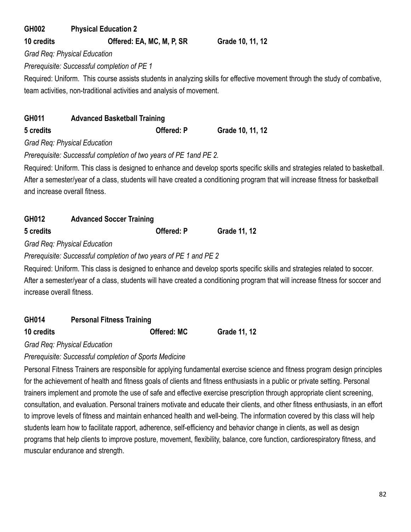# **GH002 Physical Education 2**

**10 credits Offered: EA, MC, M, P, SR Grade 10, 11, 12**

*Grad Req: Physical Education*

*Prerequisite: Successful completion of PE 1*

Required: Uniform. This course assists students in analyzing skills for effective movement through the study of combative, team activities, non-traditional activities and analysis of movement.

| GH011         | <b>Advanced Basketball Training</b> |                   |                  |
|---------------|-------------------------------------|-------------------|------------------|
| 5 credits     |                                     | <b>Offered: P</b> | Grade 10, 11, 12 |
| $\sim$ $\sim$ |                                     |                   |                  |

*Grad Req: Physical Education*

*Prerequisite: Successful completion of two years of PE 1and PE 2.*

Required: Uniform. This class is designed to enhance and develop sports specific skills and strategies related to basketball. After a semester/year of a class, students will have created a conditioning program that will increase fitness for basketball and increase overall fitness.

| GH012<br><b>Advanced Soccer Training</b> |  |                   |              |
|------------------------------------------|--|-------------------|--------------|
| 5 credits                                |  | <b>Offered: P</b> | Grade 11, 12 |
| $\sim$                                   |  |                   |              |

*Grad Req: Physical Education*

*Prerequisite: Successful completion of two years of PE 1 and PE 2*

Required: Uniform. This class is designed to enhance and develop sports specific skills and strategies related to soccer. After a semester/year of a class, students will have created a conditioning program that will increase fitness for soccer and increase overall fitness.

| GH014 | <b>Personal Fitness Training</b> |
|-------|----------------------------------|
|       |                                  |

**10 credits Offered: MC Grade 11, 12**

*Grad Req: Physical Education*

*Prerequisite: Successful completion of Sports Medicine*

Personal Fitness Trainers are responsible for applying fundamental exercise science and fitness program design principles for the achievement of health and fitness goals of clients and fitness enthusiasts in a public or private setting. Personal trainers implement and promote the use of safe and effective exercise prescription through appropriate client screening, consultation, and evaluation. Personal trainers motivate and educate their clients, and other fitness enthusiasts, in an effort to improve levels of fitness and maintain enhanced health and well-being. The information covered by this class will help students learn how to facilitate rapport, adherence, self-efficiency and behavior change in clients, as well as design programs that help clients to improve posture, movement, flexibility, balance, core function, cardiorespiratory fitness, and muscular endurance and strength.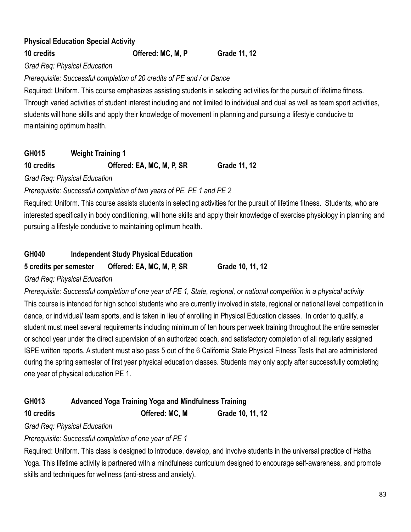## **Physical Education Special Activity**

#### **10 credits Offered: MC, M, P Grade 11, 12**

*Grad Req: Physical Education*

*Prerequisite: Successful completion of 20 credits of PE and / or Dance*

Required: Uniform. This course emphasizes assisting students in selecting activities for the pursuit of lifetime fitness. Through varied activities of student interest including and not limited to individual and dual as well as team sport activities, students will hone skills and apply their knowledge of movement in planning and pursuing a lifestyle conducive to maintaining optimum health.

## **GH015 Weight Training 1**

## **10 credits Offered: EA, MC, M, P, SR Grade 11, 12**

*Grad Req: Physical Education*

*Prerequisite: Successful completion of two years of PE. PE 1 and PE 2*

Required: Uniform. This course assists students in selecting activities for the pursuit of lifetime fitness. Students, who are interested specifically in body conditioning, will hone skills and apply their knowledge of exercise physiology in planning and pursuing a lifestyle conducive to maintaining optimum health.

## **GH040 Independent Study Physical Education**

**5 credits per semester Offered: EA, MC, M, P, SR Grade 10, 11, 12**

*Grad Req: Physical Education*

*Prerequisite: Successful completion of one year of PE 1, State, regional, or national competition in a physical activity* This course is intended for high school students who are currently involved in state, regional or national level competition in dance, or individual/ team sports, and is taken in lieu of enrolling in Physical Education classes. In order to qualify, a student must meet several requirements including minimum of ten hours per week training throughout the entire semester or school year under the direct supervision of an authorized coach, and satisfactory completion of all regularly assigned ISPE written reports. A student must also pass 5 out of the 6 California State Physical Fitness Tests that are administered during the spring semester of first year physical education classes. Students may only apply after successfully completing one year of physical education PE 1.

## **GH013 Advanced Yoga Training Yoga and Mindfulness Training**

**10 credits Offered: MC, M Grade 10, 11, 12**

*Grad Req: Physical Education*

*Prerequisite: Successful completion of one year of PE 1*

Required: Uniform. This class is designed to introduce, develop, and involve students in the universal practice of Hatha Yoga. This lifetime activity is partnered with a mindfulness curriculum designed to encourage self-awareness, and promote skills and techniques for wellness (anti-stress and anxiety).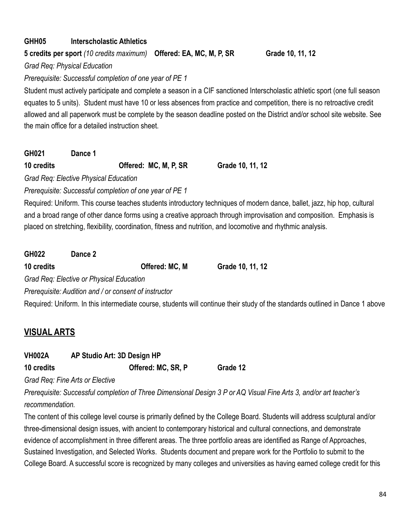## **GHH05 Interscholastic Athletics**

**5 credits per sport** *(10 credits maximum)* **Offered: EA, MC, M, P, SR Grade 10, 11, 12**

*Grad Req: Physical Education*

*Prerequisite: Successful completion of one year of PE 1*

Student must actively participate and complete a season in a CIF sanctioned Interscholastic athletic sport (one full season equates to 5 units). Student must have 10 or less absences from practice and competition, there is no retroactive credit allowed and all paperwork must be complete by the season deadline posted on the District and/or school site website. See the main office for a detailed instruction sheet.

**GH021 Dance 1**

**10 credits Offered: MC, M, P, SR Grade 10, 11, 12**

*Grad Req: Elective Physical Education*

*Prerequisite: Successful completion of one year of PE 1*

Required: Uniform. This course teaches students introductory techniques of modern dance, ballet, jazz, hip hop, cultural and a broad range of other dance forms using a creative approach through improvisation and composition. Emphasis is placed on stretching, flexibility, coordination, fitness and nutrition, and locomotive and rhythmic analysis.

**GH022 Dance 2**

**10 credits Offered: MC, M Grade 10, 11, 12**

*Grad Req: Elective or Physical Education*

*Prerequisite: Audition and / or consent of instructor*

Required: Uniform. In this intermediate course, students will continue their study of the standards outlined in Dance 1 above

## **VISUAL ARTS**

| VH002A       | AP Studio Art: 3D Design HP |      |
|--------------|-----------------------------|------|
| $10$ aradita | Offered, MC CD D            | C.o. |

**10 credits Offered: MC, SR, P Grade 12**

*Grad Req: Fine Arts or Elective*

*Prerequisite: Successful completion of Three Dimensional Design 3 P or AQ Visual Fine Arts 3, and/or art teacher's recommendation.*

The content of this college level course is primarily defined by the College Board. Students will address sculptural and/or three-dimensional design issues, with ancient to contemporary historical and cultural connections, and demonstrate evidence of accomplishment in three different areas. The three portfolio areas are identified as Range of Approaches, Sustained Investigation, and Selected Works. Students document and prepare work for the Portfolio to submit to the College Board. A successful score is recognized by many colleges and universities as having earned college credit for this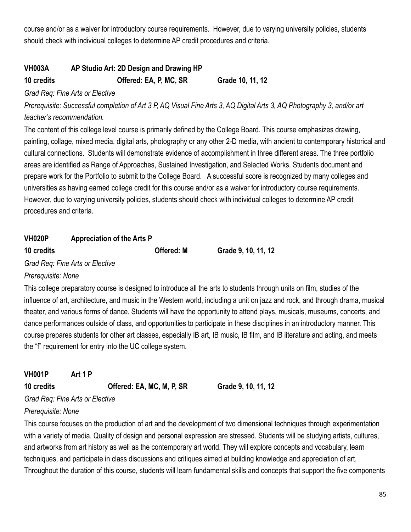course and/or as a waiver for introductory course requirements. However, due to varying university policies, students should check with individual colleges to determine AP credit procedures and criteria.

## **VH003A AP Studio Art: 2D Design and Drawing HP**

**10 credits Offered: EA, P, MC, SR Grade 10, 11, 12**

#### *Grad Req: Fine Arts or Elective*

*Prerequisite: Successful completion of Art 3 P, AQ Visual Fine Arts 3, AQ Digital Arts 3, AQ Photography 3, and/or art teacher's recommendation.*

The content of this college level course is primarily defined by the College Board. This course emphasizes drawing, painting, collage, mixed media, digital arts, photography or any other 2-D media, with ancient to contemporary historical and cultural connections. Students will demonstrate evidence of accomplishment in three different areas. The three portfolio areas are identified as Range of Approaches, Sustained Investigation, and Selected Works. Students document and prepare work for the Portfolio to submit to the College Board. A successful score is recognized by many colleges and universities as having earned college credit for this course and/or as a waiver for introductory course requirements. However, due to varying university policies, students should check with individual colleges to determine AP credit procedures and criteria.

## **VH020P Appreciation of the Arts P**

**10 credits Offered: M Grade 9, 10, 11, 12**

*Grad Req: Fine Arts or Elective*

### *Prerequisite: None*

This college preparatory course is designed to introduce all the arts to students through units on film, studies of the influence of art, architecture, and music in the Western world, including a unit on jazz and rock, and through drama, musical theater, and various forms of dance. Students will have the opportunity to attend plays, musicals, museums, concerts, and dance performances outside of class, and opportunities to participate in these disciplines in an introductory manner. This course prepares students for other art classes, especially IB art, IB music, IB film, and IB literature and acting, and meets the "f" requirement for entry into the UC college system.

| <b>VH001P</b> | Art 1 P |                           |
|---------------|---------|---------------------------|
| 10 credits    |         | Offered: EA, MC, M, P, SR |

**10 credits Offered: EA, MC, M, P, SR Grade 9, 10, 11, 12**

## *Grad Req: Fine Arts or Elective*

## *Prerequisite: None*

This course focuses on the production of art and the development of two dimensional techniques through experimentation with a variety of media. Quality of design and personal expression are stressed. Students will be studying artists, cultures, and artworks from art history as well as the contemporary art world. They will explore concepts and vocabulary, learn techniques, and participate in class discussions and critiques aimed at building knowledge and appreciation of art. Throughout the duration of this course, students will learn fundamental skills and concepts that support the five components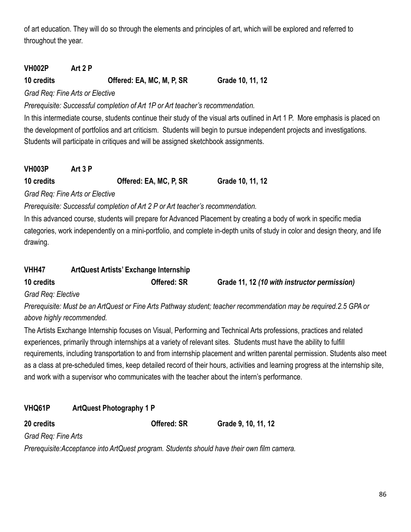of art education. They will do so through the elements and principles of art, which will be explored and referred to throughout the year.

## **VH002P Art 2 P**

**10 credits Offered: EA, MC, M, P, SR Grade 10, 11, 12**

*Grad Req: Fine Arts or Elective*

*Prerequisite: Successful completion of Art 1P or Art teacher's recommendation.*

In this intermediate course, students continue their study of the visual arts outlined in Art 1 P. More emphasis is placed on the development of portfolios and art criticism. Students will begin to pursue independent projects and investigations. Students will participate in critiques and will be assigned sketchbook assignments.

| <b>VH003P</b> | Art 3 P |                        |                  |
|---------------|---------|------------------------|------------------|
| 10 credits    |         | Offered: EA, MC, P, SR | Grade 10, 11, 12 |

*Grad Req: Fine Arts or Elective*

*Prerequisite: Successful completion of Art 2 P or Art teacher's recommendation.*

In this advanced course, students will prepare for Advanced Placement by creating a body of work in specific media categories, work independently on a mini-portfolio, and complete in-depth units of study in color and design theory, and life drawing.

| VHH47      | <b>ArtQuest Artists' Exchange Internship</b> |                                              |
|------------|----------------------------------------------|----------------------------------------------|
| 10 credits | <b>Offered: SR</b>                           | Grade 11, 12 (10 with instructor permission) |

*Grad Req: Elective*

*Prerequisite: Must be an ArtQuest or Fine Arts Pathway student; teacher recommendation may be required.2.5 GPA or above highly recommended.*

The Artists Exchange Internship focuses on Visual, Performing and Technical Arts professions, practices and related experiences, primarily through internships at a variety of relevant sites. Students must have the ability to fulfill requirements, including transportation to and from internship placement and written parental permission. Students also meet as a class at pre-scheduled times, keep detailed record of their hours, activities and learning progress at the internship site, and work with a supervisor who communicates with the teacher about the intern's performance.

## **VHQ61P ArtQuest Photography 1 P**

**20 credits Offered: SR Grade 9, 10, 11, 12**

*Grad Req: Fine Arts*

*Prerequisite:Acceptance into ArtQuest program. Students should have their own film camera.*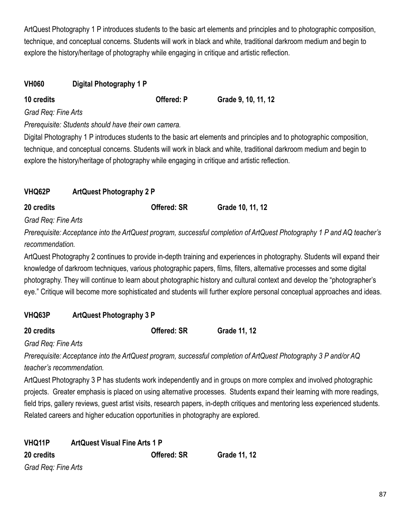ArtQuest Photography 1 P introduces students to the basic art elements and principles and to photographic composition, technique, and conceptual concerns. Students will work in black and white, traditional darkroom medium and begin to explore the history/heritage of photography while engaging in critique and artistic reflection.

#### **VH060 Digital Photography 1 P**

**10 credits Offered: P Grade 9, 10, 11, 12**

*Grad Req: Fine Arts*

*Prerequisite: Students should have their own camera.*

Digital Photography 1 P introduces students to the basic art elements and principles and to photographic composition, technique, and conceptual concerns. Students will work in black and white, traditional darkroom medium and begin to explore the history/heritage of photography while engaging in critique and artistic reflection.

## **VHQ62P ArtQuest Photography 2 P**

**20 credits Offered: SR Grade 10, 11, 12**

*Grad Req: Fine Arts*

*Prerequisite: Acceptance into the ArtQuest program, successful completion of ArtQuest Photography 1 P and AQ teacher's recommendation.*

ArtQuest Photography 2 continues to provide in-depth training and experiences in photography. Students will expand their knowledge of darkroom techniques, various photographic papers, films, filters, alternative processes and some digital photography. They will continue to learn about photographic history and cultural context and develop the "photographer's eye." Critique will become more sophisticated and students will further explore personal conceptual approaches and ideas.

## **VHQ63P ArtQuest Photography 3 P**

**20 credits Offered: SR Grade 11, 12**

*Grad Req: Fine Arts*

*Prerequisite: Acceptance into the ArtQuest program, successful completion of ArtQuest Photography 3 P and/or AQ teacher's recommendation.*

ArtQuest Photography 3 P has students work independently and in groups on more complex and involved photographic projects. Greater emphasis is placed on using alternative processes. Students expand their learning with more readings, field trips, gallery reviews, guest artist visits, research papers, in-depth critiques and mentoring less experienced students. Related careers and higher education opportunities in photography are explored.

| VHQ11P              | <b>ArtQuest Visual Fine Arts 1 P</b> |                    |              |
|---------------------|--------------------------------------|--------------------|--------------|
| 20 credits          |                                      | <b>Offered: SR</b> | Grade 11, 12 |
| Grad Reg: Fine Arts |                                      |                    |              |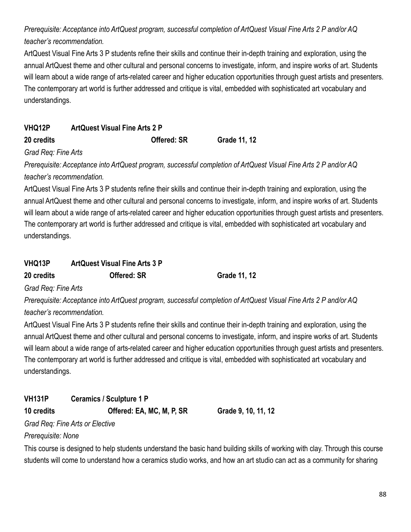*Prerequisite: Acceptance into ArtQuest program, successful completion of ArtQuest Visual Fine Arts 2 P and/or AQ teacher's recommendation.*

ArtQuest Visual Fine Arts 3 P students refine their skills and continue their in-depth training and exploration, using the annual ArtQuest theme and other cultural and personal concerns to investigate, inform, and inspire works of art. Students will learn about a wide range of arts-related career and higher education opportunities through guest artists and presenters. The contemporary art world is further addressed and critique is vital, embedded with sophisticated art vocabulary and understandings.

| <b>VHQ12P</b> | <b>ArtQuest Visual Fine Arts 2 P</b> |              |
|---------------|--------------------------------------|--------------|
| 20 credits    | <b>Offered: SR</b>                   | Grade 11, 12 |

*Grad Req: Fine Arts*

*Prerequisite: Acceptance into ArtQuest program, successful completion of ArtQuest Visual Fine Arts 2 P and/or AQ teacher's recommendation.*

ArtQuest Visual Fine Arts 3 P students refine their skills and continue their in-depth training and exploration, using the annual ArtQuest theme and other cultural and personal concerns to investigate, inform, and inspire works of art. Students will learn about a wide range of arts-related career and higher education opportunities through guest artists and presenters. The contemporary art world is further addressed and critique is vital, embedded with sophisticated art vocabulary and understandings.

| VHQ13P | <b>ArtQuest Visual Fine Arts 3 P</b> |  |
|--------|--------------------------------------|--|
|        |                                      |  |

**20 credits Offered: SR Grade 11, 12**

*Grad Req: Fine Arts*

*Prerequisite: Acceptance into ArtQuest program, successful completion of ArtQuest Visual Fine Arts 2 P and/or AQ teacher's recommendation.*

ArtQuest Visual Fine Arts 3 P students refine their skills and continue their in-depth training and exploration, using the annual ArtQuest theme and other cultural and personal concerns to investigate, inform, and inspire works of art. Students will learn about a wide range of arts-related career and higher education opportunities through guest artists and presenters. The contemporary art world is further addressed and critique is vital, embedded with sophisticated art vocabulary and understandings.

## **VH131P Ceramics / Sculpture 1 P**

**10 credits Offered: EA, MC, M, P, SR Grade 9, 10, 11, 12**

*Grad Req: Fine Arts or Elective*

*Prerequisite: None*

This course is designed to help students understand the basic hand building skills of working with clay. Through this course students will come to understand how a ceramics studio works, and how an art studio can act as a community for sharing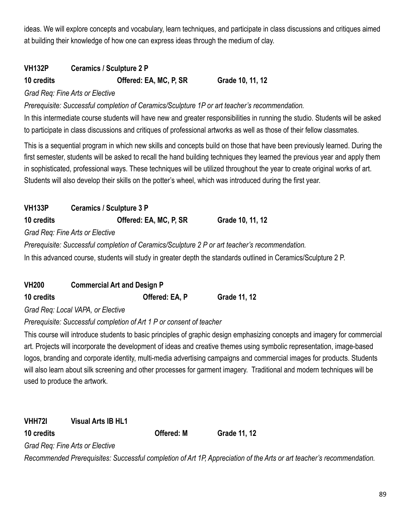ideas. We will explore concepts and vocabulary, learn techniques, and participate in class discussions and critiques aimed at building their knowledge of how one can express ideas through the medium of clay.

## **VH132P Ceramics / Sculpture 2 P**

**10 credits Offered: EA, MC, P, SR Grade 10, 11, 12**

#### *Grad Req: Fine Arts or Elective*

*Prerequisite: Successful completion of Ceramics/Sculpture 1P or art teacher's recommendation.*

In this intermediate course students will have new and greater responsibilities in running the studio. Students will be asked to participate in class discussions and critiques of professional artworks as well as those of their fellow classmates.

This is a sequential program in which new skills and concepts build on those that have been previously learned. During the first semester, students will be asked to recall the hand building techniques they learned the previous year and apply them in sophisticated, professional ways. These techniques will be utilized throughout the year to create original works of art. Students will also develop their skills on the potter's wheel, which was introduced during the first year.

**VH133P Ceramics / Sculpture 3 P 10 credits Offered: EA, MC, P, SR Grade 10, 11, 12** *Grad Req: Fine Arts or Elective Prerequisite: Successful completion of Ceramics/Sculpture 2 P or art teacher's recommendation.*

In this advanced course, students will study in greater depth the standards outlined in Ceramics/Sculpture 2 P.

| <b>VH200</b> | <b>Commercial Art and Design P</b> |              |
|--------------|------------------------------------|--------------|
| 10 credits   | Offered: EA, P                     | Grade 11, 12 |

*Grad Req: Local VAPA, or Elective*

### *Prerequisite: Successful completion of Art 1 P or consent of teacher*

This course will introduce students to basic principles of graphic design emphasizing concepts and imagery for commercial art. Projects will incorporate the development of ideas and creative themes using symbolic representation, image-based logos, branding and corporate identity, multi-media advertising campaigns and commercial images for products. Students will also learn about silk screening and other processes for garment imagery. Traditional and modern techniques will be used to produce the artwork.

**VHH72I Visual Arts IB HL1 10 credits Offered: M Grade 11, 12** *Grad Req: Fine Arts or Elective*

*Recommended Prerequisites: Successful completion of Art 1P, Appreciation of the Arts or art teacher's recommendation.*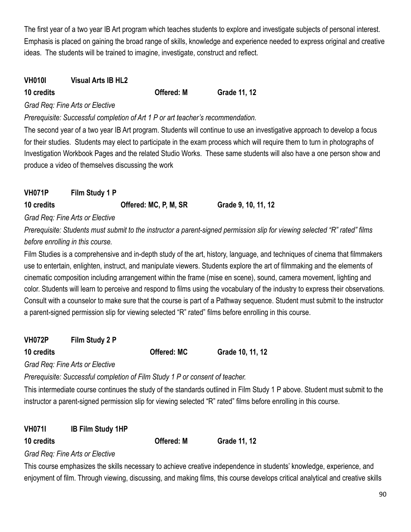The first year of a two year IB Art program which teaches students to explore and investigate subjects of personal interest. Emphasis is placed on gaining the broad range of skills, knowledge and experience needed to express original and creative ideas. The students will be trained to imagine, investigate, construct and reflect.

## **VH010I Visual Arts IB HL2**

**10 credits Offered: M Grade 11, 12**

### *Grad Req: Fine Arts or Elective*

*Prerequisite: Successful completion of Art 1 P or art teacher's recommendation.*

The second year of a two year IB Art program. Students will continue to use an investigative approach to develop a focus for their studies. Students may elect to participate in the exam process which will require them to turn in photographs of Investigation Workbook Pages and the related Studio Works. These same students will also have a one person show and produce a video of themselves discussing the work

## **VH071P Film Study 1 P**

**10 credits Offered: MC, P, M, SR Grade 9, 10, 11, 12**

*Grad Req: Fine Arts or Elective*

*Prerequisite: Students must submit to the instructor a parent-signed permission slip for viewing selected "R" rated" films before enrolling in this course.*

Film Studies is a comprehensive and in-depth study of the art, history, language, and techniques of cinema that filmmakers use to entertain, enlighten, instruct, and manipulate viewers. Students explore the art of filmmaking and the elements of cinematic composition including arrangement within the frame (mise en scene), sound, camera movement, lighting and color. Students will learn to perceive and respond to films using the vocabulary of the industry to express their observations. Consult with a counselor to make sure that the course is part of a Pathway sequence. Student must submit to the instructor a parent-signed permission slip for viewing selected "R" rated" films before enrolling in this course.

**VH072P Film Study 2 P**

**10 credits Offered: MC Grade 10, 11, 12**

*Grad Req: Fine Arts or Elective*

*Prerequisite: Successful completion of Film Study 1 P or consent of teacher.*

This intermediate course continues the study of the standards outlined in Film Study 1 P above. Student must submit to the instructor a parent-signed permission slip for viewing selected "R" rated" films before enrolling in this course.

**VH071I IB Film Study 1HP**

**10 credits Offered: M Grade 11, 12**

*Grad Req: Fine Arts or Elective*

This course emphasizes the skills necessary to achieve creative independence in students' knowledge, experience, and enjoyment of film. Through viewing, discussing, and making films, this course develops critical analytical and creative skills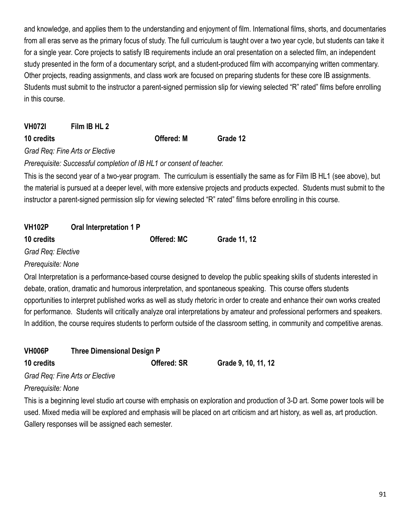and knowledge, and applies them to the understanding and enjoyment of film. International films, shorts, and documentaries from all eras serve as the primary focus of study. The full curriculum is taught over a two year cycle, but students can take it for a single year. Core projects to satisfy IB requirements include an oral presentation on a selected film, an independent study presented in the form of a documentary script, and a student-produced film with accompanying written commentary. Other projects, reading assignments, and class work are focused on preparing students for these core IB assignments. Students must submit to the instructor a parent-signed permission slip for viewing selected "R" rated" films before enrolling in this course.

| <b>VH0/21</b> | Film IB HL 2 |                   |          |
|---------------|--------------|-------------------|----------|
| 10 credits    |              | <b>Offered: M</b> | Grade 12 |

*Grad Req: Fine Arts or Elective*

**VH072I Film IB HL 2**

*Prerequisite: Successful completion of IB HL1 or consent of teacher.*

This is the second year of a two-year program. The curriculum is essentially the same as for Film IB HL1 (see above), but the material is pursued at a deeper level, with more extensive projects and products expected. Students must submit to the instructor a parent-signed permission slip for viewing selected "R" rated" films before enrolling in this course.

| <b>VH102P</b>      | Oral Interpretation 1 P |                    |                     |
|--------------------|-------------------------|--------------------|---------------------|
| 10 credits         |                         | <b>Offered: MC</b> | <b>Grade 11, 12</b> |
| Grad Reg: Elective |                         |                    |                     |
| Prerequisite: None |                         |                    |                     |

Oral Interpretation is a performance-based course designed to develop the public speaking skills of students interested in debate, oration, dramatic and humorous interpretation, and spontaneous speaking. This course offers students opportunities to interpret published works as well as study rhetoric in order to create and enhance their own works created for performance. Students will critically analyze oral interpretations by amateur and professional performers and speakers. In addition, the course requires students to perform outside of the classroom setting, in community and competitive arenas.

| <b>VH006P</b>      | <b>Three Dimensional Design P</b>                                                       |                    |                     |
|--------------------|-----------------------------------------------------------------------------------------|--------------------|---------------------|
| 10 credits         |                                                                                         | <b>Offered: SR</b> | Grade 9, 10, 11, 12 |
|                    | Grad Reg: Fine Arts or Elective                                                         |                    |                     |
| Prerequisite: None |                                                                                         |                    |                     |
|                    | This is a heginning level studio art course with emphasis on evologition and production |                    |                     |

is a beginning level studio art course with emphasis on exploration and production of 3-D art. Some power tools will be used. Mixed media will be explored and emphasis will be placed on art criticism and art history, as well as, art production. Gallery responses will be assigned each semester.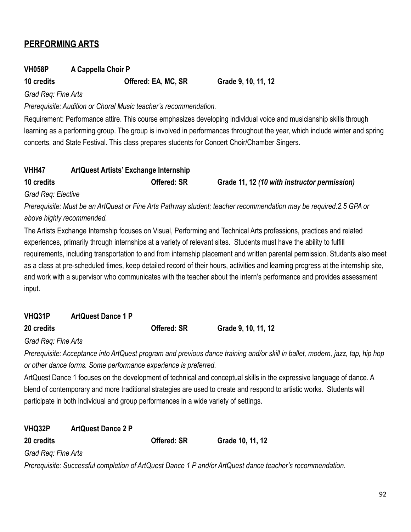## **PERFORMING ARTS**

## **VH058P A Cappella Choir P**

### **10 credits Offered: EA, MC, SR Grade 9, 10, 11, 12**

*Grad Req: Fine Arts*

*Prerequisite: Audition or Choral Music teacher's recommendation.*

Requirement: Performance attire. This course emphasizes developing individual voice and musicianship skills through learning as a performing group. The group is involved in performances throughout the year, which include winter and spring concerts, and State Festival. This class prepares students for Concert Choir/Chamber Singers.

| VHH47              | <b>ArtQuest Artists' Exchange Internship</b> |           |  |                    |                                              |  |   |
|--------------------|----------------------------------------------|-----------|--|--------------------|----------------------------------------------|--|---|
| 10 credits         |                                              |           |  | <b>Offered: SR</b> | Grade 11, 12 (10 with instructor permission) |  |   |
| Grad Reg: Elective |                                              |           |  |                    |                                              |  |   |
|                    |                                              | $\lambda$ |  |                    |                                              |  | , |

*Prerequisite: Must be an ArtQuest or Fine Arts Pathway student; teacher recommendation may be required.2.5 GPA or above highly recommended.*

The Artists Exchange Internship focuses on Visual, Performing and Technical Arts professions, practices and related experiences, primarily through internships at a variety of relevant sites. Students must have the ability to fulfill requirements, including transportation to and from internship placement and written parental permission. Students also meet as a class at pre-scheduled times, keep detailed record of their hours, activities and learning progress at the internship site, and work with a supervisor who communicates with the teacher about the intern's performance and provides assessment input.

| VHQ31P | <b>ArtQuest Dance 1 P</b> |
|--------|---------------------------|
|        |                           |

**20 credits Offered: SR Grade 9, 10, 11, 12**

*Grad Req: Fine Arts*

*Prerequisite: Acceptance into ArtQuest program and previous dance training and/or skill in ballet, modern, jazz, tap, hip hop or other dance forms. Some performance experience is preferred.*

ArtQuest Dance 1 focuses on the development of technical and conceptual skills in the expressive language of dance. A blend of contemporary and more traditional strategies are used to create and respond to artistic works. Students will participate in both individual and group performances in a wide variety of settings.

**VHQ32P ArtQuest Dance 2 P**

**20 credits Offered: SR Grade 10, 11, 12**

*Grad Req: Fine Arts*

*Prerequisite: Successful completion of ArtQuest Dance 1 P and/or ArtQuest dance teacher's recommendation.*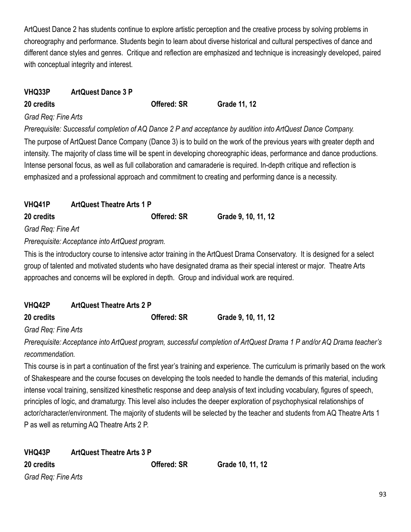ArtQuest Dance 2 has students continue to explore artistic perception and the creative process by solving problems in choreography and performance. Students begin to learn about diverse historical and cultural perspectives of dance and different dance styles and genres. Critique and reflection are emphasized and technique is increasingly developed, paired with conceptual integrity and interest.

## **VHQ33P ArtQuest Dance 3 P**

**20 credits Offered: SR Grade 11, 12**

#### *Grad Req: Fine Arts*

*Prerequisite: Successful completion of AQ Dance 2 P and acceptance by audition into ArtQuest Dance Company.* The purpose of ArtQuest Dance Company (Dance 3) is to build on the work of the previous years with greater depth and intensity. The majority of class time will be spent in developing choreographic ideas, performance and dance productions. Intense personal focus, as well as full collaboration and camaraderie is required. In-depth critique and reflection is emphasized and a professional approach and commitment to creating and performing dance is a necessity.

| <b>VHQ41P</b>      | <b>ArtQuest Theatre Arts 1 P</b> |                     |  |
|--------------------|----------------------------------|---------------------|--|
| <b>20 credits</b>  | <b>Offered: SR</b>               | Grade 9, 10, 11, 12 |  |
| Grad Req: Fine Art |                                  |                     |  |
| $\blacksquare$     |                                  |                     |  |

*Prerequisite: Acceptance into ArtQuest program.*

This is the introductory course to intensive actor training in the ArtQuest Drama Conservatory. It is designed for a select group of talented and motivated students who have designated drama as their special interest or major. Theatre Arts approaches and concerns will be explored in depth. Group and individual work are required.

| VHQ42P     | <b>ArtQuest Theatre Arts 2 P</b> |                     |
|------------|----------------------------------|---------------------|
| 20 credits | <b>Offered: SR</b>               | Grade 9, 10, 11, 12 |

*Grad Req: Fine Arts*

*Prerequisite: Acceptance into ArtQuest program, successful completion of ArtQuest Drama 1 P and/or AQ Drama teacher's recommendation.*

This course is in part a continuation of the first year's training and experience. The curriculum is primarily based on the work of Shakespeare and the course focuses on developing the tools needed to handle the demands of this material, including intense vocal training, sensitized kinesthetic response and deep analysis of text including vocabulary, figures of speech, principles of logic, and dramaturgy. This level also includes the deeper exploration of psychophysical relationships of actor/character/environment. The majority of students will be selected by the teacher and students from AQ Theatre Arts 1 P as well as returning AQ Theatre Arts 2 P.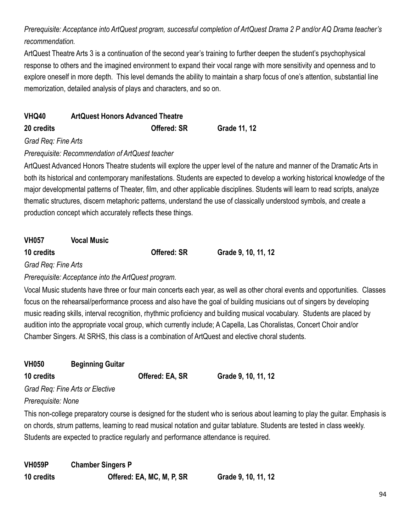*Prerequisite: Acceptance into ArtQuest program, successful completion of ArtQuest Drama 2 P and/or AQ Drama teacher's recommendation.*

ArtQuest Theatre Arts 3 is a continuation of the second year's training to further deepen the student's psychophysical response to others and the imagined environment to expand their vocal range with more sensitivity and openness and to explore oneself in more depth. This level demands the ability to maintain a sharp focus of one's attention, substantial line memorization, detailed analysis of plays and characters, and so on.

| <b>VHQ40</b><br><b>ArtQuest Honors Advanced Theatre</b> |                    |              |
|---------------------------------------------------------|--------------------|--------------|
| 20 credits                                              | <b>Offered: SR</b> | Grade 11, 12 |
| Grad Reg: Fine Arts                                     |                    |              |

## *Prerequisite: Recommendation of ArtQuest teacher*

ArtQuest Advanced Honors Theatre students will explore the upper level of the nature and manner of the Dramatic Arts in both its historical and contemporary manifestations. Students are expected to develop a working historical knowledge of the major developmental patterns of Theater, film, and other applicable disciplines. Students will learn to read scripts, analyze thematic structures, discern metaphoric patterns, understand the use of classically understood symbols, and create a production concept which accurately reflects these things.

**VH057 Vocal Music 10 credits Offered: SR Grade 9, 10, 11, 12**

*Grad Req: Fine Arts*

*Prerequisite: Acceptance into the ArtQuest program.*

Vocal Music students have three or four main concerts each year, as well as other choral events and opportunities. Classes focus on the rehearsal/performance process and also have the goal of building musicians out of singers by developing music reading skills, interval recognition, rhythmic proficiency and building musical vocabulary. Students are placed by audition into the appropriate vocal group, which currently include; A Capella, Las Choralistas, Concert Choir and/or Chamber Singers. At SRHS, this class is a combination of ArtQuest and elective choral students.

| <b>VH050</b>       | <b>Beginning Guitar</b>         |                 |                                                                                        |
|--------------------|---------------------------------|-----------------|----------------------------------------------------------------------------------------|
| 10 credits         |                                 | Offered: EA, SR | Grade 9, 10, 11, 12                                                                    |
|                    | Grad Reg: Fine Arts or Elective |                 |                                                                                        |
| Prerequisite: None |                                 |                 |                                                                                        |
|                    |                                 |                 | This non-college preparatory course is designed for the student who is serious about k |
|                    |                                 |                 | co pharda atrum nottorna logrning to road munical patation and quitar toblature. Ctude |

earning to play the guitar. Emphasis is on chords, strum patterns, learning to read musical notation and guitar tablature. Students are tested in class weekly. Students are expected to practice regularly and performance attendance is required.

**VH059P Chamber Singers P 10 credits Offered: EA, MC, M, P, SR Grade 9, 10, 11, 12**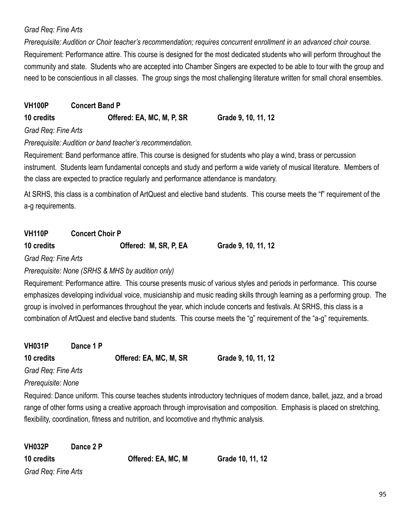## *Grad Req: Fine Arts*

*Prerequisite: Audition or Choir teacher's recommendation; requires concurrent enrollment in an advanced choir course.* Requirement: Performance attire. This course is designed for the most dedicated students who will perform throughout the community and state. Students who are accepted into Chamber Singers are expected to be able to tour with the group and need to be conscientious in all classes. The group sings the most challenging literature written for small choral ensembles.

| <b>VH100P</b> | <b>Concert Band P</b>     |                     |
|---------------|---------------------------|---------------------|
| 10 credits    | Offered: EA, MC, M, P, SR | Grade 9, 10, 11, 12 |

*Grad Req: Fine Arts*

*Prerequisite: Audition or band teacher's recommendation.*

Requirement: Band performance attire. This course is designed for students who play a wind, brass or percussion instrument. Students learn fundamental concepts and study and perform a wide variety of musical literature. Members of the class are expected to practice regularly and performance attendance is mandatory.

At SRHS, this class is a combination of ArtQuest and elective band students. This course meets the "f" requirement of the a-g requirements.

| <b>VH110P</b> | <b>Concert Choir P</b> |  |  |
|---------------|------------------------|--|--|
|---------------|------------------------|--|--|

**10 credits Offered: M, SR, P, EA Grade 9, 10, 11, 12**

*Grad Req: Fine Arts*

*Prerequisite: None (SRHS & MHS by audition only)*

Requirement: Performance attire. This course presents music of various styles and periods in performance. This course emphasizes developing individual voice, musicianship and music reading skills through learning as a performing group. The group is involved in performances throughout the year, which include concerts and festivals. At SRHS, this class is a combination of ArtQuest and elective band students. This course meets the "g" requirement of the "a-g" requirements.

| <b>VH031P</b>       | Dance 1 P |                        |                     |
|---------------------|-----------|------------------------|---------------------|
| 10 credits          |           | Offered: EA, MC, M, SR | Grade 9, 10, 11, 12 |
| Grad Reg: Fine Arts |           |                        |                     |
| Prerequisite: None  |           |                        |                     |

Required: Dance uniform. This course teaches students introductory techniques of modern dance, ballet, jazz, and a broad range of other forms using a creative approach through improvisation and composition. Emphasis is placed on stretching, flexibility, coordination, fitness and nutrition, and locomotive and rhythmic analysis.

| <b>VH032P</b>       | Dance 2 P |                    |                  |
|---------------------|-----------|--------------------|------------------|
| 10 credits          |           | Offered: EA, MC, M | Grade 10, 11, 12 |
| Grad Req: Fine Arts |           |                    |                  |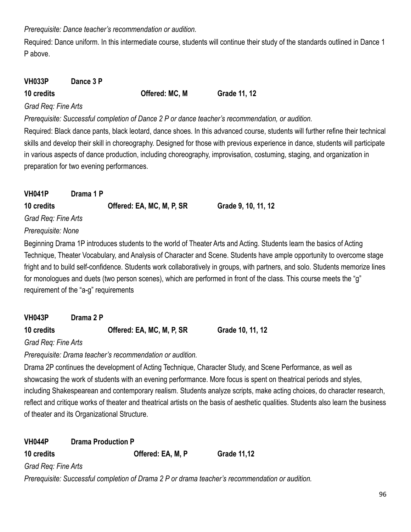*Prerequisite: Dance teacher's recommendation or audition.*

Required: Dance uniform. In this intermediate course, students will continue their study of the standards outlined in Dance 1 P above.

| <b>VH033P</b> | Dance 3 P |                |              |
|---------------|-----------|----------------|--------------|
| 10 credits    |           | Offered: MC, M | Grade 11, 12 |

#### *Grad Req: Fine Arts*

*Prerequisite: Successful completion of Dance 2 P or dance teacher's recommendation, or audition.*

Required: Black dance pants, black leotard, dance shoes. In this advanced course, students will further refine their technical skills and develop their skill in choreography. Designed for those with previous experience in dance, students will participate in various aspects of dance production, including choreography, improvisation, costuming, staging, and organization in preparation for two evening performances.

| <b>VH041P</b>       | Drama 1 P |                           |                                                                                                                     |
|---------------------|-----------|---------------------------|---------------------------------------------------------------------------------------------------------------------|
| 10 credits          |           | Offered: EA, MC, M, P, SR | Grade 9, 10, 11, 12                                                                                                 |
| Grad Reg: Fine Arts |           |                           |                                                                                                                     |
| Prerequisite: None  |           |                           |                                                                                                                     |
|                     |           |                           | Beginning Drama 1P introduces students to the world of Theater Arts and Acting. Students learn the basics of Acting |

Technique, Theater Vocabulary, and Analysis of Character and Scene. Students have ample opportunity to overcome stage fright and to build self-confidence. Students work collaboratively in groups, with partners, and solo. Students memorize lines for monologues and duets (two person scenes), which are performed in front of the class. This course meets the "g" requirement of the "a-g" requirements

| <b>VH043P</b> | Drama 2 P |
|---------------|-----------|
|               |           |

**10 credits Offered: EA, MC, M, P, SR Grade 10, 11, 12**

*Grad Req: Fine Arts*

*Prerequisite: Drama teacher's recommendation or audition.*

Drama 2P continues the development of Acting Technique, Character Study, and Scene Performance, as well as showcasing the work of students with an evening performance. More focus is spent on theatrical periods and styles, including Shakespearean and contemporary realism. Students analyze scripts, make acting choices, do character research, reflect and critique works of theater and theatrical artists on the basis of aesthetic qualities. Students also learn the business of theater and its Organizational Structure.

| <b>VH044P</b>       | <b>Drama Production P</b>                                                                       |                    |
|---------------------|-------------------------------------------------------------------------------------------------|--------------------|
| 10 credits          | Offered: EA, M, P                                                                               | <b>Grade 11,12</b> |
| Grad Reg: Fine Arts |                                                                                                 |                    |
|                     | Prerequisite: Successful completion of Drama 2 P or drama teacher's recommendation or audition. |                    |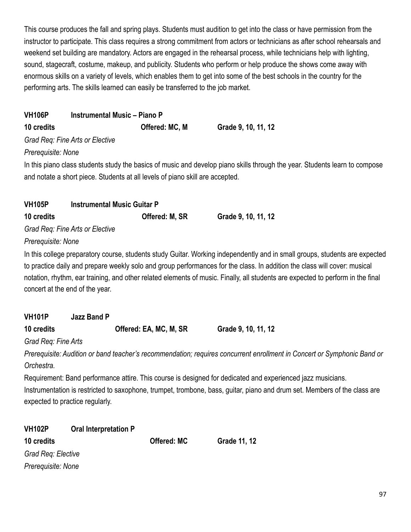This course produces the fall and spring plays. Students must audition to get into the class or have permission from the instructor to participate. This class requires a strong commitment from actors or technicians as after school rehearsals and weekend set building are mandatory. Actors are engaged in the rehearsal process, while technicians help with lighting, sound, stagecraft, costume, makeup, and publicity. Students who perform or help produce the shows come away with enormous skills on a variety of levels, which enables them to get into some of the best schools in the country for the performing arts. The skills learned can easily be transferred to the job market.

| <b>VH106P</b>       | <b>Instrumental Music - Piano P</b>                                           |                        |                                                                                                                                                                                                                                                              |
|---------------------|-------------------------------------------------------------------------------|------------------------|--------------------------------------------------------------------------------------------------------------------------------------------------------------------------------------------------------------------------------------------------------------|
| 10 credits          |                                                                               | Offered: MC, M         | Grade 9, 10, 11, 12                                                                                                                                                                                                                                          |
|                     | Grad Req: Fine Arts or Elective                                               |                        |                                                                                                                                                                                                                                                              |
| Prerequisite: None  |                                                                               |                        |                                                                                                                                                                                                                                                              |
|                     | and notate a short piece. Students at all levels of piano skill are accepted. |                        | In this piano class students study the basics of music and develop piano skills through the year. Students learn to compose                                                                                                                                  |
| VH105P              | <b>Instrumental Music Guitar P</b>                                            |                        |                                                                                                                                                                                                                                                              |
| 10 credits          |                                                                               | Offered: M, SR         | Grade 9, 10, 11, 12                                                                                                                                                                                                                                          |
|                     | Grad Req: Fine Arts or Elective                                               |                        |                                                                                                                                                                                                                                                              |
| Prerequisite: None  |                                                                               |                        |                                                                                                                                                                                                                                                              |
|                     |                                                                               |                        | In this college preparatory course, students study Guitar. Working independently and in small groups, students are expected                                                                                                                                  |
|                     | concert at the end of the year.                                               |                        | to practice daily and prepare weekly solo and group performances for the class. In addition the class will cover: musical<br>notation, rhythm, ear training, and other related elements of music. Finally, all students are expected to perform in the final |
| <b>VH101P</b>       | <b>Jazz Band P</b>                                                            |                        |                                                                                                                                                                                                                                                              |
| 10 credits          |                                                                               | Offered: EA, MC, M, SR | Grade 9, 10, 11, 12                                                                                                                                                                                                                                          |
| Grad Req: Fine Arts |                                                                               |                        |                                                                                                                                                                                                                                                              |
| Orchestra.          |                                                                               |                        | Prerequisite: Audition or band teacher's recommendation; requires concurrent enrollment in Concert or Symphonic Band or                                                                                                                                      |
|                     |                                                                               |                        | Requirement: Band performance attire. This course is designed for dedicated and experienced jazz musicians.                                                                                                                                                  |
|                     | expected to practice regularly.                                               |                        | Instrumentation is restricted to saxophone, trumpet, trombone, bass, guitar, piano and drum set. Members of the class are                                                                                                                                    |
| VH102P              | <b>Oral Interpretation P</b>                                                  |                        |                                                                                                                                                                                                                                                              |
| 10 credits          |                                                                               | <b>Offered: MC</b>     | <b>Grade 11, 12</b>                                                                                                                                                                                                                                          |
| Grad Req: Elective  |                                                                               |                        |                                                                                                                                                                                                                                                              |
| Prerequisite: None  |                                                                               |                        |                                                                                                                                                                                                                                                              |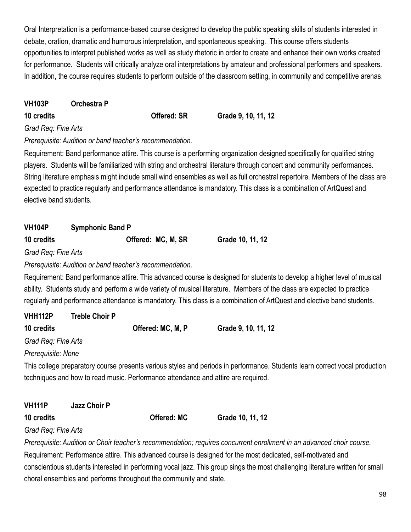Oral Interpretation is a performance-based course designed to develop the public speaking skills of students interested in debate, oration, dramatic and humorous interpretation, and spontaneous speaking. This course offers students opportunities to interpret published works as well as study rhetoric in order to create and enhance their own works created for performance. Students will critically analyze oral interpretations by amateur and professional performers and speakers. In addition, the course requires students to perform outside of the classroom setting, in community and competitive arenas.

### **VH103P Orchestra P**

**10 credits Offered: SR Grade 9, 10, 11, 12**

## *Grad Req: Fine Arts*

*Prerequisite: Audition or band teacher's recommendation.*

Requirement: Band performance attire. This course is a performing organization designed specifically for qualified string players. Students will be familiarized with string and orchestral literature through concert and community performances. String literature emphasis might include small wind ensembles as well as full orchestral repertoire. Members of the class are expected to practice regularly and performance attendance is mandatory. This class is a combination of ArtQuest and elective band students.

## **VH104P Symphonic Band P**

| 10 credits | Offered: MC, M, SR | Grade 10, 11, 12 |
|------------|--------------------|------------------|
|------------|--------------------|------------------|

*Grad Req: Fine Arts*

*Prerequisite: Audition or band teacher's recommendation.*

Requirement: Band performance attire. This advanced course is designed for students to develop a higher level of musical ability. Students study and perform a wide variety of musical literature. Members of the class are expected to practice regularly and performance attendance is mandatory. This class is a combination of ArtQuest and elective band students.

| VHH112P             | <b>Treble Choir P</b> |                   |                     |
|---------------------|-----------------------|-------------------|---------------------|
| 10 credits          |                       | Offered: MC, M, P | Grade 9, 10, 11, 12 |
| Grad Req: Fine Arts |                       |                   |                     |

*Prerequisite: None*

This college preparatory course presents various styles and periods in performance. Students learn correct vocal production techniques and how to read music. Performance attendance and attire are required.

| <b>VH111P</b>       | <b>Jazz Choir P</b> |             |                  |
|---------------------|---------------------|-------------|------------------|
| 10 credits          |                     | Offered: MC | Grade 10, 11, 12 |
| Grad Req: Fine Arts |                     |             |                  |

*Prerequisite: Audition or Choir teacher's recommendation; requires concurrent enrollment in an advanced choir course.* Requirement: Performance attire. This advanced course is designed for the most dedicated, self-motivated and conscientious students interested in performing vocal jazz. This group sings the most challenging literature written for small choral ensembles and performs throughout the community and state.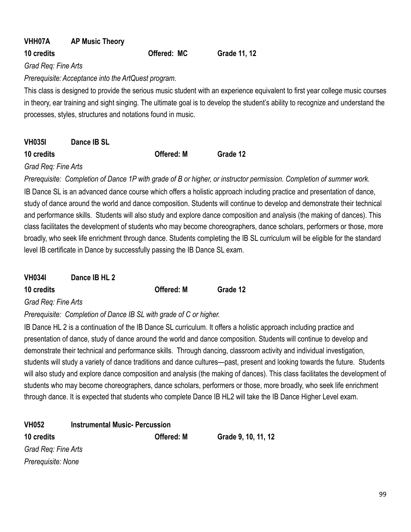| VHH07A                                                                                                                           | <b>AP Music Theory</b>                              |             |              |                                                                                                                               |  |
|----------------------------------------------------------------------------------------------------------------------------------|-----------------------------------------------------|-------------|--------------|-------------------------------------------------------------------------------------------------------------------------------|--|
| 10 credits                                                                                                                       |                                                     | Offered: MC | Grade 11, 12 |                                                                                                                               |  |
| Grad Req: Fine Arts                                                                                                              |                                                     |             |              |                                                                                                                               |  |
|                                                                                                                                  | Prerequisite: Acceptance into the ArtQuest program. |             |              |                                                                                                                               |  |
|                                                                                                                                  |                                                     |             |              | This class is designed to provide the serious music student with an experience equivalent to first year college music courses |  |
| in theory, ear training and sight singing. The ultimate goal is to develop the student's ability to recognize and understand the |                                                     |             |              |                                                                                                                               |  |
| processes, styles, structures and notations found in music.                                                                      |                                                     |             |              |                                                                                                                               |  |
|                                                                                                                                  |                                                     |             |              |                                                                                                                               |  |
| <b>VH0351</b>                                                                                                                    | Dance IB SI                                         |             |              |                                                                                                                               |  |

| 10 credits | <b>Offered: M</b> | Grade 12 |
|------------|-------------------|----------|

*Grad Req: Fine Arts*

*Prerequisite: Completion of Dance 1P with grade of B or higher, or instructor permission. Completion of summer work.* IB Dance SL is an advanced dance course which offers a holistic approach including practice and presentation of dance, study of dance around the world and dance composition. Students will continue to develop and demonstrate their technical and performance skills. Students will also study and explore dance composition and analysis (the making of dances). This class facilitates the development of students who may become choreographers, dance scholars, performers or those, more broadly, who seek life enrichment through dance. Students completing the IB SL curriculum will be eligible for the standard level IB certificate in Dance by successfully passing the IB Dance SL exam.

|  | <b>VH034I</b> | Dance IB HL 2 |  |
|--|---------------|---------------|--|
|--|---------------|---------------|--|

**10 credits Offered: M Grade 12**

*Grad Req: Fine Arts*

*Prerequisite: Completion of Dance IB SL with grade of C or higher.*

IB Dance HL 2 is a continuation of the IB Dance SL curriculum. It offers a holistic approach including practice and presentation of dance, study of dance around the world and dance composition. Students will continue to develop and demonstrate their technical and performance skills. Through dancing, classroom activity and individual investigation, students will study a variety of dance traditions and dance cultures—past, present and looking towards the future. Students will also study and explore dance composition and analysis (the making of dances). This class facilitates the development of students who may become choreographers, dance scholars, performers or those, more broadly, who seek life enrichment through dance. It is expected that students who complete Dance IB HL2 will take the IB Dance Higher Level exam.

| <b>Instrumental Music-Percussion</b> |                                           |                     |
|--------------------------------------|-------------------------------------------|---------------------|
|                                      | <b>Offered: M</b>                         | Grade 9, 10, 11, 12 |
|                                      |                                           |                     |
|                                      |                                           |                     |
|                                      | Grad Req: Fine Arts<br>Prerequisite: None |                     |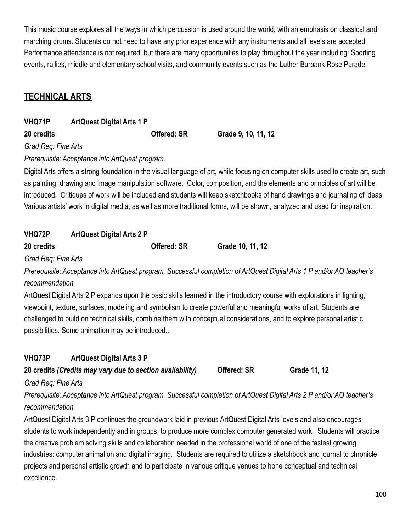This music course explores all the ways in which percussion is used around the world, with an emphasis on classical and marching drums. Students do not need to have any prior experience with any instruments and all levels are accepted. Performance attendance is not required, but there are many opportunities to play throughout the year including: Sporting events, rallies, middle and elementary school visits, and community events such as the Luther Burbank Rose Parade.

## **TECHNICAL ARTS**

| VHQ71P | <b>ArtQuest Digital Arts 1 P</b> |
|--------|----------------------------------|
|--------|----------------------------------|

**20 credits Offered: SR Grade 9, 10, 11, 12**

*Grad Req: Fine Arts*

*Prerequisite: Acceptance into ArtQuest program.*

Digital Arts offers a strong foundation in the visual language of art, while focusing on computer skills used to create art, such as painting, drawing and image manipulation software. Color, composition, and the elements and principles of art will be introduced. Critiques of work will be included and students will keep sketchbooks of hand drawings and journaling of ideas. Various artists' work in digital media, as well as more traditional forms, will be shown, analyzed and used for inspiration.

| <b>VHQ72P</b>     | <b>ArtQuest Digital Arts 2 P</b> |                  |
|-------------------|----------------------------------|------------------|
| <b>20 credits</b> | <b>Offered: SR</b>               | Grade 10, 11, 12 |

*Grad Req: Fine Arts*

*Prerequisite: Acceptance into ArtQuest program. Successful completion of ArtQuest Digital Arts 1 P and/or AQ teacher's recommendation.*

ArtQuest Digital Arts 2 P expands upon the basic skills learned in the introductory course with explorations in lighting, viewpoint, texture, surfaces, modeling and symbolism to create powerful and meaningful works of art. Students are challenged to build on technical skills, combine them with conceptual considerations, and to explore personal artistic possibilities. Some animation may be introduced..

### **VHQ73P ArtQuest Digital Arts 3 P**

**20 credits** *(Credits may vary due to section availability)* **Offered: SR Grade 11, 12**

*Grad Req: Fine Arts*

*Prerequisite: Acceptance into ArtQuest program. Successful completion of ArtQuest Digital Arts 2 P and/or AQ teacher's recommendation.*

ArtQuest Digital Arts 3 P continues the groundwork laid in previous ArtQuest Digital Arts levels and also encourages students to work independently and in groups, to produce more complex computer generated work. Students will practice the creative problem solving skills and collaboration needed in the professional world of one of the fastest growing industries: computer animation and digital imaging. Students are required to utilize a sketchbook and journal to chronicle projects and personal artistic growth and to participate in various critique venues to hone conceptual and technical excellence.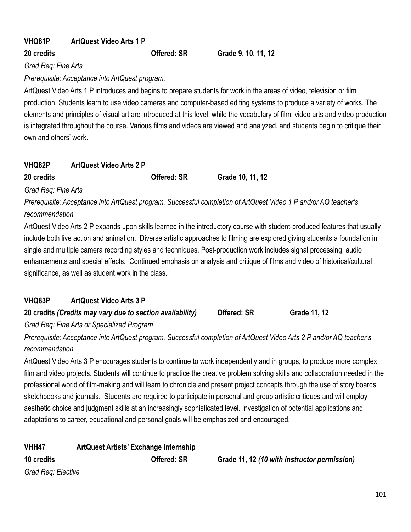## **VHQ81P ArtQuest Video Arts 1 P**

**20 credits Offered: SR Grade 9, 10, 11, 12**

*Grad Req: Fine Arts*

*Prerequisite: Acceptance into ArtQuest program.*

ArtQuest Video Arts 1 P introduces and begins to prepare students for work in the areas of video, television or film production. Students learn to use video cameras and computer-based editing systems to produce a variety of works. The elements and principles of visual art are introduced at this level, while the vocabulary of film, video arts and video production is integrated throughout the course. Various films and videos are viewed and analyzed, and students begin to critique their own and others' work.

| VHQ82P     | <b>ArtQuest Video Arts 2 P</b> |                    |                  |  |
|------------|--------------------------------|--------------------|------------------|--|
| 20 credits |                                | <b>Offered: SR</b> | Grade 10, 11, 12 |  |

*Grad Req: Fine Arts*

*Prerequisite: Acceptance into ArtQuest program. Successful completion of ArtQuest Video 1 P and/or AQ teacher's recommendation.*

ArtQuest Video Arts 2 P expands upon skills learned in the introductory course with student-produced features that usually include both live action and animation. Diverse artistic approaches to filming are explored giving students a foundation in single and multiple camera recording styles and techniques. Post-production work includes signal processing, audio enhancements and special effects. Continued emphasis on analysis and critique of films and video of historical/cultural significance, as well as student work in the class.

## **VHQ83P ArtQuest Video Arts 3 P**

**20 credits** *(Credits may vary due to section availability)* **Offered: SR Grade 11, 12**

*Grad Req: Fine Arts or Specialized Program*

*Prerequisite: Acceptance into ArtQuest program. Successful completion of ArtQuest Video Arts 2 P and/or AQ teacher's recommendation.*

ArtQuest Video Arts 3 P encourages students to continue to work independently and in groups, to produce more complex film and video projects. Students will continue to practice the creative problem solving skills and collaboration needed in the professional world of film-making and will learn to chronicle and present project concepts through the use of story boards, sketchbooks and journals. Students are required to participate in personal and group artistic critiques and will employ aesthetic choice and judgment skills at an increasingly sophisticated level. Investigation of potential applications and adaptations to career, educational and personal goals will be emphasized and encouraged.

**VHH47 ArtQuest Artists' Exchange Internship 10 credits Offered: SR Grade 11, 12** *(10 with instructor permission) Grad Req: Elective*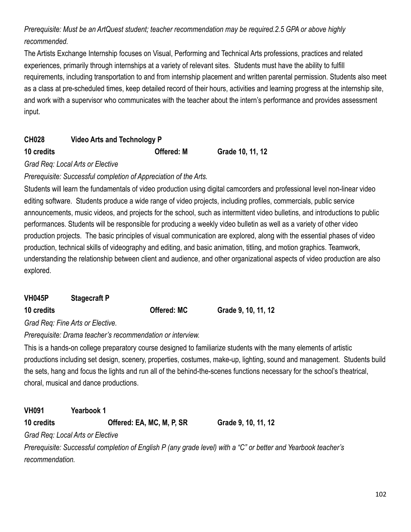## *Prerequisite: Must be an ArtQuest student; teacher recommendation may be required.2.5 GPA or above highly recommended.*

The Artists Exchange Internship focuses on Visual, Performing and Technical Arts professions, practices and related experiences, primarily through internships at a variety of relevant sites. Students must have the ability to fulfill requirements, including transportation to and from internship placement and written parental permission. Students also meet as a class at pre-scheduled times, keep detailed record of their hours, activities and learning progress at the internship site, and work with a supervisor who communicates with the teacher about the intern's performance and provides assessment input.

| <b>CH028</b> | Video Arts and Technology P |
|--------------|-----------------------------|
|--------------|-----------------------------|

**10 credits Offered: M Grade 10, 11, 12**

*Grad Req: Local Arts or Elective*

*Prerequisite: Successful completion of Appreciation of the Arts.*

Students will learn the fundamentals of video production using digital camcorders and professional level non-linear video editing software. Students produce a wide range of video projects, including profiles, commercials, public service announcements, music videos, and projects for the school, such as intermittent video bulletins, and introductions to public performances. Students will be responsible for producing a weekly video bulletin as well as a variety of other video production projects. The basic principles of visual communication are explored, along with the essential phases of video production, technical skills of videography and editing, and basic animation, titling, and motion graphics. Teamwork, understanding the relationship between client and audience, and other organizational aspects of video production are also explored.

| <b>VH045P</b> | <b>Stagecraft P</b> |                    |                     |
|---------------|---------------------|--------------------|---------------------|
| 10 credits    |                     | <b>Offered: MC</b> | Grade 9, 10, 11, 12 |

*Grad Req: Fine Arts or Elective.*

*Prerequisite: Drama teacher's recommendation or interview.*

This is a hands-on college preparatory course designed to familiarize students with the many elements of artistic productions including set design, scenery, properties, costumes, make-up, lighting, sound and management. Students build the sets, hang and focus the lights and run all of the behind-the-scenes functions necessary for the school's theatrical, choral, musical and dance productions.

**VH091 Yearbook 1**

**10 credits Offered: EA, MC, M, P, SR Grade 9, 10, 11, 12**

*Grad Req: Local Arts or Elective*

*Prerequisite: Successful completion of English P (any grade level) with a "C" or better and Yearbook teacher's recommendation.*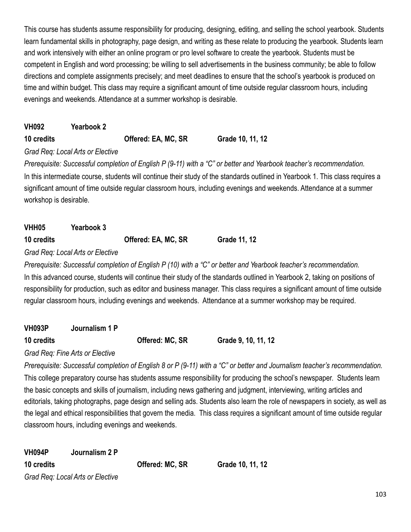This course has students assume responsibility for producing, designing, editing, and selling the school yearbook. Students learn fundamental skills in photography, page design, and writing as these relate to producing the yearbook. Students learn and work intensively with either an online program or pro level software to create the yearbook. Students must be competent in English and word processing; be willing to sell advertisements in the business community; be able to follow directions and complete assignments precisely; and meet deadlines to ensure that the school's yearbook is produced on time and within budget. This class may require a significant amount of time outside regular classroom hours, including evenings and weekends. Attendance at a summer workshop is desirable.

**VH092 Yearbook 2**

**10 credits Offered: EA, MC, SR Grade 10, 11, 12**

## *Grad Req: Local Arts or Elective*

*Prerequisite: Successful completion of English P (9-11) with a "C" or better and Yearbook teacher's recommendation.* In this intermediate course, students will continue their study of the standards outlined in Yearbook 1. This class requires a significant amount of time outside regular classroom hours, including evenings and weekends. Attendance at a summer workshop is desirable.

| VHH <sub>05</sub> | <b>Yearbook 3</b>                |                     |              |
|-------------------|----------------------------------|---------------------|--------------|
| 10 credits        |                                  | Offered: EA, MC, SR | Grade 11, 12 |
|                   | Grad Req: Local Arts or Elective |                     |              |

*Prerequisite: Successful completion of English P (10) with a "C" or better and Yearbook teacher's recommendation.* In this advanced course, students will continue their study of the standards outlined in Yearbook 2, taking on positions of responsibility for production, such as editor and business manager. This class requires a significant amount of time outside regular classroom hours, including evenings and weekends. Attendance at a summer workshop may be required.

## **VH093P Journalism 1 P**

**10 credits Offered: MC, SR Grade 9, 10, 11, 12**

### *Grad Req: Fine Arts or Elective*

*Prerequisite: Successful completion of English 8 or P (9-11) with a "C" or better and Journalism teacher's recommendation.* This college preparatory course has students assume responsibility for producing the school's newspaper. Students learn the basic concepts and skills of journalism, including news gathering and judgment, interviewing, writing articles and editorials, taking photographs, page design and selling ads. Students also learn the role of newspapers in society, as well as the legal and ethical responsibilities that govern the media. This class requires a significant amount of time outside regular classroom hours, including evenings and weekends.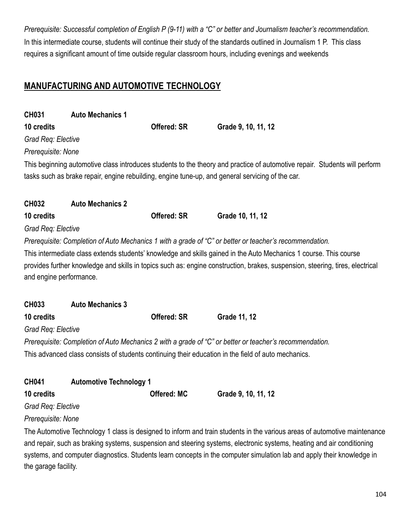*Prerequisite: Successful completion of English P (9-11) with a "C" or better and Journalism teacher's recommendation.* In this intermediate course, students will continue their study of the standards outlined in Journalism 1 P. This class requires a significant amount of time outside regular classroom hours, including evenings and weekends

## **MANUFACTURING AND AUTOMOTIVE TECHNOLOGY**

| <b>CH031</b>            | <b>Auto Mechanics 1</b>                                                                                                |                    |                                                                                                                               |  |  |
|-------------------------|------------------------------------------------------------------------------------------------------------------------|--------------------|-------------------------------------------------------------------------------------------------------------------------------|--|--|
| 10 credits              |                                                                                                                        | <b>Offered: SR</b> | Grade 9, 10, 11, 12                                                                                                           |  |  |
| Grad Req: Elective      |                                                                                                                        |                    |                                                                                                                               |  |  |
| Prerequisite: None      |                                                                                                                        |                    |                                                                                                                               |  |  |
|                         |                                                                                                                        |                    | This beginning automotive class introduces students to the theory and practice of automotive repair. Students will perform    |  |  |
|                         |                                                                                                                        |                    | tasks such as brake repair, engine rebuilding, engine tune-up, and general servicing of the car.                              |  |  |
|                         |                                                                                                                        |                    |                                                                                                                               |  |  |
| <b>CH032</b>            | <b>Auto Mechanics 2</b>                                                                                                |                    |                                                                                                                               |  |  |
| 10 credits              |                                                                                                                        | <b>Offered: SR</b> | Grade 10, 11, 12                                                                                                              |  |  |
| Grad Req: Elective      |                                                                                                                        |                    |                                                                                                                               |  |  |
|                         |                                                                                                                        |                    | Prerequisite: Completion of Auto Mechanics 1 with a grade of "C" or better or teacher's recommendation.                       |  |  |
|                         |                                                                                                                        |                    | This intermediate class extends students' knowledge and skills gained in the Auto Mechanics 1 course. This course             |  |  |
|                         |                                                                                                                        |                    | provides further knowledge and skills in topics such as: engine construction, brakes, suspension, steering, tires, electrical |  |  |
| and engine performance. |                                                                                                                        |                    |                                                                                                                               |  |  |
|                         |                                                                                                                        |                    |                                                                                                                               |  |  |
| <b>CH033</b>            | <b>Auto Mechanics 3</b>                                                                                                |                    |                                                                                                                               |  |  |
| 10 credits              |                                                                                                                        | <b>Offered: SR</b> | Grade 11, 12                                                                                                                  |  |  |
| Grad Req: Elective      |                                                                                                                        |                    |                                                                                                                               |  |  |
|                         |                                                                                                                        |                    | Prerequisite: Completion of Auto Mechanics 2 with a grade of "C" or better or teacher's recommendation.                       |  |  |
|                         |                                                                                                                        |                    | This advanced class consists of students continuing their education in the field of auto mechanics.                           |  |  |
|                         |                                                                                                                        |                    |                                                                                                                               |  |  |
| <b>CH041</b>            | <b>Automotive Technology 1</b>                                                                                         |                    |                                                                                                                               |  |  |
| 10 credits              |                                                                                                                        | <b>Offered: MC</b> | Grade 9, 10, 11, 12                                                                                                           |  |  |
| Grad Req: Elective      |                                                                                                                        |                    |                                                                                                                               |  |  |
| Prerequisite: None      |                                                                                                                        |                    |                                                                                                                               |  |  |
|                         |                                                                                                                        |                    | The Automotive Technology 1 class is designed to inform and train students in the various areas of automotive maintenance     |  |  |
|                         |                                                                                                                        |                    | and repair, such as braking systems, suspension and steering systems, electronic systems, heating and air conditioning        |  |  |
|                         | systems, and computer diagnostics. Students learn concepts in the computer simulation lab and apply their knowledge in |                    |                                                                                                                               |  |  |

the garage facility.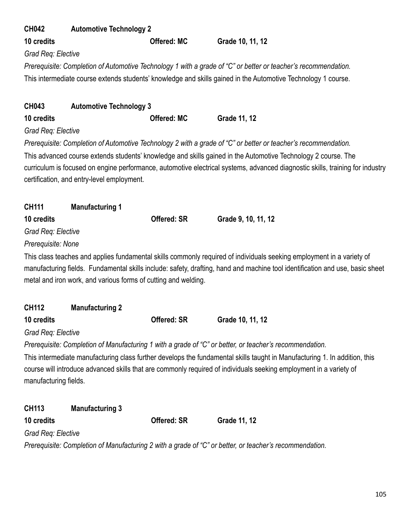| <b>CH042</b>          | <b>Automotive Technology 2</b>                                 |                    |                                                                                                                               |
|-----------------------|----------------------------------------------------------------|--------------------|-------------------------------------------------------------------------------------------------------------------------------|
| 10 credits            |                                                                | <b>Offered: MC</b> | Grade 10, 11, 12                                                                                                              |
| Grad Req: Elective    |                                                                |                    |                                                                                                                               |
|                       |                                                                |                    | Prerequisite: Completion of Automotive Technology 1 with a grade of "C" or better or teacher's recommendation.                |
|                       |                                                                |                    | This intermediate course extends students' knowledge and skills gained in the Automotive Technology 1 course.                 |
|                       |                                                                |                    |                                                                                                                               |
| <b>CH043</b>          | <b>Automotive Technology 3</b>                                 |                    |                                                                                                                               |
| 10 credits            |                                                                | <b>Offered: MC</b> | Grade 11, 12                                                                                                                  |
| Grad Req: Elective    |                                                                |                    |                                                                                                                               |
|                       |                                                                |                    | Prerequisite: Completion of Automotive Technology 2 with a grade of "C" or better or teacher's recommendation.                |
|                       |                                                                |                    | This advanced course extends students' knowledge and skills gained in the Automotive Technology 2 course. The                 |
|                       |                                                                |                    | curriculum is focused on engine performance, automotive electrical systems, advanced diagnostic skills, training for industry |
|                       | certification, and entry-level employment.                     |                    |                                                                                                                               |
|                       |                                                                |                    |                                                                                                                               |
| <b>CH111</b>          | <b>Manufacturing 1</b>                                         |                    |                                                                                                                               |
| 10 credits            |                                                                | <b>Offered: SR</b> | Grade 9, 10, 11, 12                                                                                                           |
| Grad Req: Elective    |                                                                |                    |                                                                                                                               |
| Prerequisite: None    |                                                                |                    |                                                                                                                               |
|                       |                                                                |                    | This class teaches and applies fundamental skills commonly required of individuals seeking employment in a variety of         |
|                       |                                                                |                    | manufacturing fields. Fundamental skills include: safety, drafting, hand and machine tool identification and use, basic sheet |
|                       | metal and iron work, and various forms of cutting and welding. |                    |                                                                                                                               |
| <b>CH112</b>          |                                                                |                    |                                                                                                                               |
| 10 credits            | <b>Manufacturing 2</b>                                         | Offered: SR        | Grade 10, 11, 12                                                                                                              |
| Grad Req: Elective    |                                                                |                    |                                                                                                                               |
|                       |                                                                |                    | Prerequisite: Completion of Manufacturing 1 with a grade of "C" or better, or teacher's recommendation.                       |
|                       |                                                                |                    | This intermediate manufacturing class further develops the fundamental skills taught in Manufacturing 1. In addition, this    |
|                       |                                                                |                    | course will introduce advanced skills that are commonly required of individuals seeking employment in a variety of            |
| manufacturing fields. |                                                                |                    |                                                                                                                               |
|                       |                                                                |                    |                                                                                                                               |
| <b>CH113</b>          | <b>Manufacturing 3</b>                                         |                    |                                                                                                                               |
| 10 credits            |                                                                | <b>Offered: SR</b> | Grade 11, 12                                                                                                                  |
| Grad Req: Elective    |                                                                |                    |                                                                                                                               |
|                       |                                                                |                    | Prerequisite: Completion of Manufacturing 2 with a grade of "C" or better, or teacher's recommendation.                       |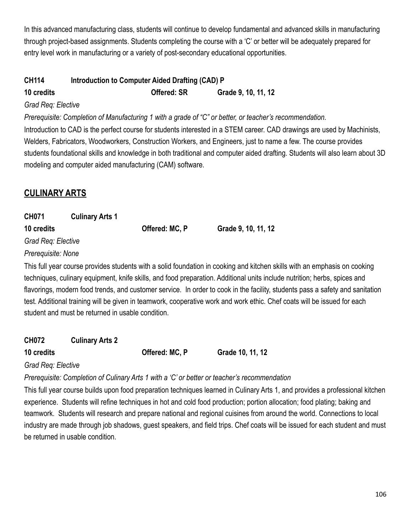In this advanced manufacturing class, students will continue to develop fundamental and advanced skills in manufacturing through project-based assignments. Students completing the course with a 'C' or better will be adequately prepared for entry level work in manufacturing or a variety of post-secondary educational opportunities.

## **CH114 Introduction to Computer Aided Drafting (CAD) P 10 credits Offered: SR Grade 9, 10, 11, 12**

#### *Grad Req: Elective*

*Prerequisite: Completion of Manufacturing 1 with a grade of "C" or better, or teacher's recommendation.*

Introduction to CAD is the perfect course for students interested in a STEM career. CAD drawings are used by Machinists, Welders, Fabricators, Woodworkers, Construction Workers, and Engineers, just to name a few. The course provides students foundational skills and knowledge in both traditional and computer aided drafting. Students will also learn about 3D modeling and computer aided manufacturing (CAM) software.

## **CULINARY ARTS**

| <b>CH071</b>       | <b>Culinary Arts 1</b> |                |                     |
|--------------------|------------------------|----------------|---------------------|
| 10 credits         |                        | Offered: MC, P | Grade 9, 10, 11, 12 |
| Grad Reg: Elective |                        |                |                     |
| Prerequisite: None |                        |                |                     |

This full year course provides students with a solid foundation in cooking and kitchen skills with an emphasis on cooking techniques, culinary equipment, knife skills, and food preparation. Additional units include nutrition; herbs, spices and flavorings, modern food trends, and customer service. In order to cook in the facility, students pass a safety and sanitation test. Additional training will be given in teamwork, cooperative work and work ethic. Chef coats will be issued for each student and must be returned in usable condition.

**CH072 Culinary Arts 2**

**10 credits Offered: MC, P Grade 10, 11, 12**

*Grad Req: Elective*

*Prerequisite: Completion of Culinary Arts 1 with a 'C' or better or teacher's recommendation*

This full year course builds upon food preparation techniques learned in Culinary Arts 1, and provides a professional kitchen experience. Students will refine techniques in hot and cold food production; portion allocation; food plating; baking and teamwork. Students will research and prepare national and regional cuisines from around the world. Connections to local industry are made through job shadows, guest speakers, and field trips. Chef coats will be issued for each student and must be returned in usable condition.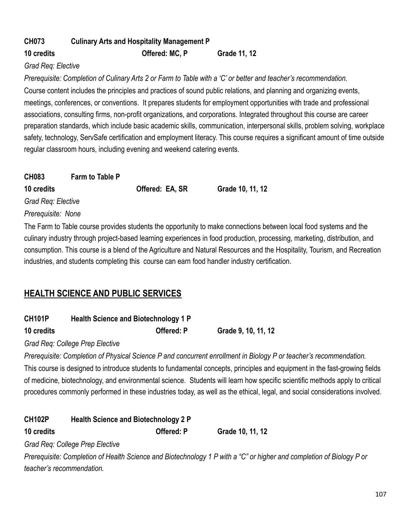## **CH073 Culinary Arts and Hospitality Management P 10 credits Offered: MC, P Grade 11, 12**

#### *Grad Req: Elective*

*Prerequisite: Completion of Culinary Arts 2 or Farm to Table with a 'C' or better and teacher's recommendation.* Course content includes the principles and practices of sound public relations, and planning and organizing events, meetings, conferences, or conventions. It prepares students for employment opportunities with trade and professional associations, consulting firms, non-profit organizations, and corporations. Integrated throughout this course are career preparation standards, which include basic academic skills, communication, interpersonal skills, problem solving, workplace safety, technology, ServSafe certification and employment literacy. This course requires a significant amount of time outside regular classroom hours, including evening and weekend catering events.

| <b>CH083</b>       | <b>Farm to Table P</b> |                                                                                    |                  |
|--------------------|------------------------|------------------------------------------------------------------------------------|------------------|
| 10 credits         |                        | Offered: EA, SR                                                                    | Grade 10, 11, 12 |
| Grad Reg: Elective |                        |                                                                                    |                  |
| Prerequisite: None |                        |                                                                                    |                  |
|                    |                        | The Farm to Table course provides students the opportunity to make connections het |                  |

The Farm to Table course provides students the opportunity to make connections between local food systems and the culinary industry through project-based learning experiences in food production, processing, marketing, distribution, and consumption. This course is a blend of the Agriculture and Natural Resources and the Hospitality, Tourism, and Recreation industries, and students completing this course can earn food handler industry certification.

## **HEALTH SCIENCE AND PUBLIC SERVICES**

| <b>CH101P</b> | <b>Health Science and Biotechnology 1 P</b> |                     |
|---------------|---------------------------------------------|---------------------|
| 10 credits    | <b>Offered: P</b>                           | Grade 9, 10, 11, 12 |

*Grad Req: College Prep Elective*

*Prerequisite: Completion of Physical Science P and concurrent enrollment in Biology P or teacher's recommendation.*

This course is designed to introduce students to fundamental concepts, principles and equipment in the fast-growing fields of medicine, biotechnology, and environmental science. Students will learn how specific scientific methods apply to critical procedures commonly performed in these industries today, as well as the ethical, legal, and social considerations involved.

| <b>CH102P</b>             | <b>Health Science and Biotechnology 2 P</b> |            |                                                                                                                      |
|---------------------------|---------------------------------------------|------------|----------------------------------------------------------------------------------------------------------------------|
| 10 credits                |                                             | Offered: P | Grade 10, 11, 12                                                                                                     |
|                           | Grad Req: College Prep Elective             |            |                                                                                                                      |
|                           |                                             |            | Prerequisite: Completion of Health Science and Biotechnology 1 P with a "C" or higher and completion of Biology P or |
| teacher's recommendation. |                                             |            |                                                                                                                      |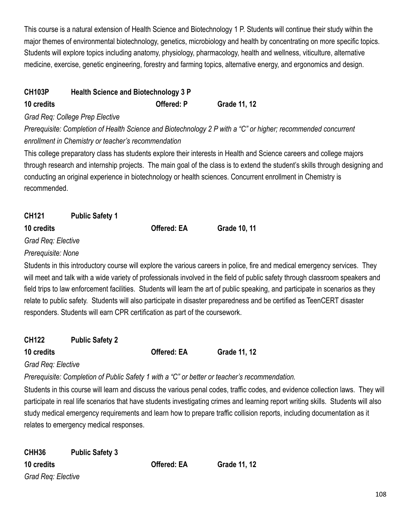This course is a natural extension of Health Science and Biotechnology 1 P. Students will continue their study within the major themes of environmental biotechnology, genetics, microbiology and health by concentrating on more specific topics. Students will explore topics including anatomy, physiology, pharmacology, health and wellness, viticulture, alternative medicine, exercise, genetic engineering, forestry and farming topics, alternative energy, and ergonomics and design.

## **CH103P Health Science and Biotechnology 3 P 10 credits Offered: P Grade 11, 12**

*Grad Req: College Prep Elective*

*Prerequisite: Completion of Health Science and Biotechnology 2 P with a "C" or higher; recommended concurrent enrollment in Chemistry or teacher's recommendation*

This college preparatory class has students explore their interests in Health and Science careers and college majors through research and internship projects. The main goal of the class is to extend the student's skills through designing and conducting an original experience in biotechnology or health sciences. Concurrent enrollment in Chemistry is recommended.

| CH121              | <b>Public Safety 1</b> |                    |              |
|--------------------|------------------------|--------------------|--------------|
| 10 credits         |                        | <b>Offered: EA</b> | Grade 10, 11 |
| Grad Req: Elective |                        |                    |              |

### *Prerequisite: None*

Students in this introductory course will explore the various careers in police, fire and medical emergency services. They will meet and talk with a wide variety of professionals involved in the field of public safety through classroom speakers and field trips to law enforcement facilities. Students will learn the art of public speaking, and participate in scenarios as they relate to public safety. Students will also participate in disaster preparedness and be certified as TeenCERT disaster responders. Students will earn CPR certification as part of the coursework.

|--|--|--|

**10 credits Offered: EA Grade 11, 12**

*Grad Req: Elective*

*Prerequisite: Completion of Public Safety 1 with a "C" or better or teacher's recommendation.*

Students in this course will learn and discuss the various penal codes, traffic codes, and evidence collection laws. They will participate in real life scenarios that have students investigating crimes and learning report writing skills. Students will also study medical emergency requirements and learn how to prepare traffic collision reports, including documentation as it relates to emergency medical responses.

| CHH <sub>36</sub>  | <b>Public Safety 3</b> |
|--------------------|------------------------|
| 10 credits         |                        |
| Grad Req: Elective |                        |

**10 credits Offered: EA Grade 11, 12**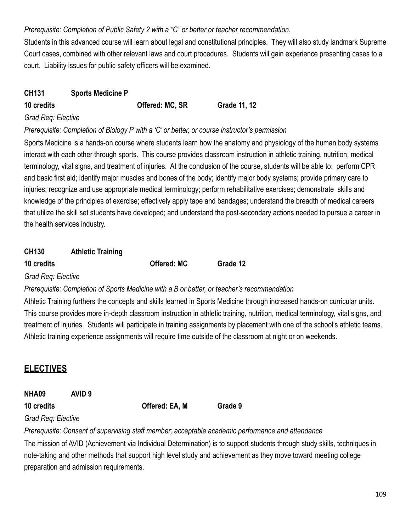### *Prerequisite: Completion of Public Safety 2 with a "C" or better or teacher recommendation.*

Students in this advanced course will learn about legal and constitutional principles. They will also study landmark Supreme Court cases, combined with other relevant laws and court procedures. Students will gain experience presenting cases to a court. Liability issues for public safety officers will be examined.

### **CH131 Sports Medicine P**

**10 credits Offered: MC, SR Grade 11, 12**

#### *Grad Req: Elective*

#### *Prerequisite: Completion of Biology P with a 'C' or better, or course instructor's permission*

Sports Medicine is a hands-on course where students learn how the anatomy and physiology of the human body systems interact with each other through sports. This course provides classroom instruction in athletic training, nutrition, medical terminology, vital signs, and treatment of injuries. At the conclusion of the course, students will be able to: perform CPR and basic first aid; identify major muscles and bones of the body; identify major body systems; provide primary care to injuries; recognize and use appropriate medical terminology; perform rehabilitative exercises; demonstrate skills and knowledge of the principles of exercise; effectively apply tape and bandages; understand the breadth of medical careers that utilize the skill set students have developed; and understand the post-secondary actions needed to pursue a career in the health services industry.

## **CH130 Athletic Training**

**10 credits Offered: MC Grade 12**

*Grad Req: Elective*

#### *Prerequisite: Completion of Sports Medicine with a B or better, or teacher's recommendation*

Athletic Training furthers the concepts and skills learned in Sports Medicine through increased hands-on curricular units. This course provides more in-depth classroom instruction in athletic training, nutrition, medical terminology, vital signs, and treatment of injuries. Students will participate in training assignments by placement with one of the school's athletic teams. Athletic training experience assignments will require time outside of the classroom at night or on weekends.

# **ELECTIVES**

| NHA09                    | AVID <sub>9</sub> |  |
|--------------------------|-------------------|--|
| $\overline{\phantom{a}}$ |                   |  |

**10 credits Offered: EA, M Grade 9**

### *Grad Req: Elective*

*Prerequisite: Consent of supervising staff member; acceptable academic performance and attendance*

The mission of AVID (Achievement via Individual Determination) is to support students through study skills, techniques in note-taking and other methods that support high level study and achievement as they move toward meeting college preparation and admission requirements.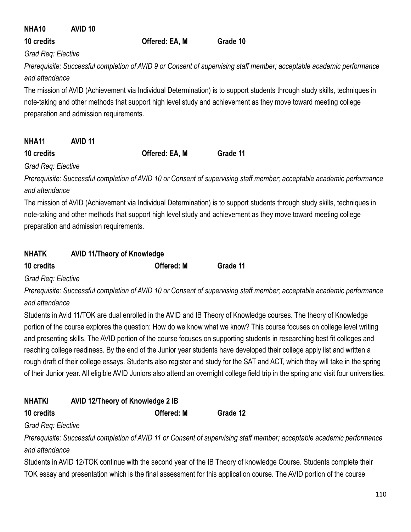| NHA <sub>10</sub>  | AVID <sub>10</sub>                      |                |                                                                                                                                                                                                                                                    |
|--------------------|-----------------------------------------|----------------|----------------------------------------------------------------------------------------------------------------------------------------------------------------------------------------------------------------------------------------------------|
| 10 credits         |                                         | Offered: EA, M | Grade 10                                                                                                                                                                                                                                           |
| Grad Req: Elective |                                         |                |                                                                                                                                                                                                                                                    |
| and attendance     |                                         |                | Prerequisite: Successful completion of AVID 9 or Consent of supervising staff member; acceptable academic performance<br>The mission of AVID (Achievement via Individual Determination) is to support students through study skills, techniques in |
|                    | preparation and admission requirements. |                | note-taking and other methods that support high level study and achievement as they move toward meeting college                                                                                                                                    |
| NHA <sub>11</sub>  | AVID <sub>11</sub>                      |                |                                                                                                                                                                                                                                                    |
| 10 credits         |                                         | Offered: EA, M | Grade 11                                                                                                                                                                                                                                           |
| Grad Reg: Elective |                                         |                |                                                                                                                                                                                                                                                    |

*Prerequisite: Successful completion of AVID 10 or Consent of supervising staff member; acceptable academic performance and attendance*

The mission of AVID (Achievement via Individual Determination) is to support students through study skills, techniques in note-taking and other methods that support high level study and achievement as they move toward meeting college preparation and admission requirements.

| NHATK<br><b>AVID 11/Theory of Knowledge</b> |
|---------------------------------------------|
|---------------------------------------------|

| Offered: M | Grade 11 |
|------------|----------|
|            |          |

*Grad Req: Elective*

*Prerequisite: Successful completion of AVID 10 or Consent of supervising staff member; acceptable academic performance and attendance*

Students in Avid 11/TOK are dual enrolled in the AVID and IB Theory of Knowledge courses. The theory of Knowledge portion of the course explores the question: How do we know what we know? This course focuses on college level writing and presenting skills. The AVID portion of the course focuses on supporting students in researching best fit colleges and reaching college readiness. By the end of the Junior year students have developed their college apply list and written a rough draft of their college essays. Students also register and study for the SAT and ACT, which they will take in the spring of their Junior year. All eligible AVID Juniors also attend an overnight college field trip in the spring and visit four universities.

| <b>NHATKI</b> | AVID 12/Theory of Knowledge 2 IB |
|---------------|----------------------------------|
|---------------|----------------------------------|

**10 credits Offered: M Grade 12**

## *Grad Req: Elective*

*Prerequisite: Successful completion of AVID 11 or Consent of supervising staff member; acceptable academic performance and attendance*

Students in AVID 12/TOK continue with the second year of the IB Theory of knowledge Course. Students complete their TOK essay and presentation which is the final assessment for this application course. The AVID portion of the course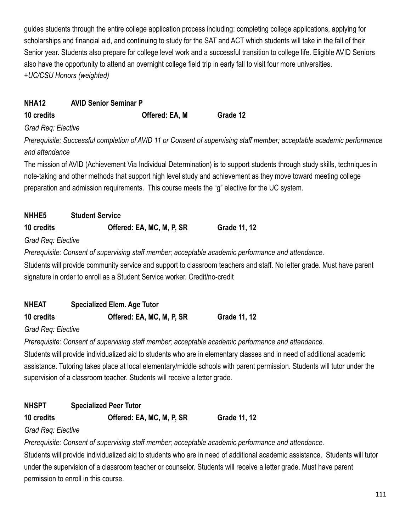guides students through the entire college application process including: completing college applications, applying for scholarships and financial aid, and continuing to study for the SAT and ACT which students will take in the fall of their Senior year. Students also prepare for college level work and a successful transition to college life. Eligible AVID Seniors also have the opportunity to attend an overnight college field trip in early fall to visit four more universities. *+UC/CSU Honors (weighted)*

## **NHA12 AVID Senior Seminar P**

**10 credits Offered: EA, M Grade 12**

#### *Grad Req: Elective*

*Prerequisite: Successful completion of AVID 11 or Consent of supervising staff member; acceptable academic performance and attendance*

The mission of AVID (Achievement Via Individual Determination) is to support students through study skills, techniques in note-taking and other methods that support high level study and achievement as they move toward meeting college preparation and admission requirements. This course meets the "g" elective for the UC system.

| <b>NHHE5</b>       | <b>Student Service</b>    |              |
|--------------------|---------------------------|--------------|
| 10 credits         | Offered: EA, MC, M, P, SR | Grade 11, 12 |
| Grad Req: Elective |                           |              |

*Prerequisite: Consent of supervising staff member; acceptable academic performance and attendance.*

Students will provide community service and support to classroom teachers and staff. No letter grade. Must have parent signature in order to enroll as a Student Service worker. Credit/no-credit

| <b>NHEAT</b> | <b>Specialized Elem. Age Tutor</b> |                     |
|--------------|------------------------------------|---------------------|
| 10 credits   | Offered: EA, MC, M, P, SR          | <b>Grade 11, 12</b> |

*Grad Req: Elective*

*Prerequisite: Consent of supervising staff member; acceptable academic performance and attendance.*

Students will provide individualized aid to students who are in elementary classes and in need of additional academic assistance. Tutoring takes place at local elementary/middle schools with parent permission. Students will tutor under the supervision of a classroom teacher. Students will receive a letter grade.

# **NHSPT Specialized Peer Tutor**

**10 credits Offered: EA, MC, M, P, SR Grade 11, 12**

### *Grad Req: Elective*

*Prerequisite: Consent of supervising staff member; acceptable academic performance and attendance.*

Students will provide individualized aid to students who are in need of additional academic assistance. Students will tutor under the supervision of a classroom teacher or counselor. Students will receive a letter grade. Must have parent permission to enroll in this course.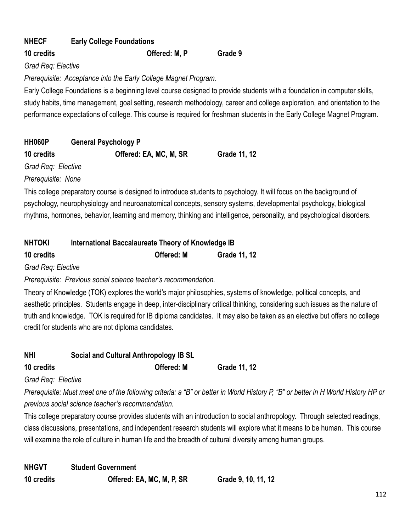| <b>NHECF</b> | <b>Early College Foundations</b> |         |
|--------------|----------------------------------|---------|
| 10 credits   | Offered: M. P                    | Grade 9 |

*Grad Req: Elective*

*Prerequisite: Acceptance into the Early College Magnet Program.*

Early College Foundations is a beginning level course designed to provide students with a foundation in computer skills, study habits, time management, goal setting, research methodology, career and college exploration, and orientation to the performance expectations of college. This course is required for freshman students in the Early College Magnet Program.

| <b>HH060P</b>      | <b>General Psychology P</b> |                     |
|--------------------|-----------------------------|---------------------|
| 10 credits         | Offered: EA, MC, M, SR      | <b>Grade 11, 12</b> |
| Grad Req: Elective |                             |                     |

*Prerequisite: None*

This college preparatory course is designed to introduce students to psychology. It will focus on the background of psychology, neurophysiology and neuroanatomical concepts, sensory systems, developmental psychology, biological rhythms, hormones, behavior, learning and memory, thinking and intelligence, personality, and psychological disorders.

| <b>NHTOKI</b> | International Baccalaureate Theory of Knowledge IB |
|---------------|----------------------------------------------------|
|---------------|----------------------------------------------------|

| 10 credits | <b>Offered: M</b> | Grade 11, 12 |
|------------|-------------------|--------------|
|            |                   |              |

*Grad Req: Elective*

*Prerequisite: Previous social science teacher's recommendation.*

Theory of Knowledge (TOK) explores the world's major philosophies, systems of knowledge, political concepts, and aesthetic principles. Students engage in deep, inter-disciplinary critical thinking, considering such issues as the nature of truth and knowledge. TOK is required for IB diploma candidates. It may also be taken as an elective but offers no college credit for students who are not diploma candidates.

| <b>NHI</b> | <b>Social and Cultural Anthropology IB SL</b> |                     |
|------------|-----------------------------------------------|---------------------|
| 10 credits | <b>Offered: M</b>                             | <b>Grade 11, 12</b> |

*Grad Req: Elective*

*Prerequisite: Must meet one of the following criteria: a "B" or better in World History P, "B" or better in H World History HP or previous social science teacher's recommendation.*

This college preparatory course provides students with an introduction to social anthropology. Through selected readings, class discussions, presentations, and independent research students will explore what it means to be human. This course will examine the role of culture in human life and the breadth of cultural diversity among human groups.

**NHGVT Student Government 10 credits Offered: EA, MC, M, P, SR Grade 9, 10, 11, 12**